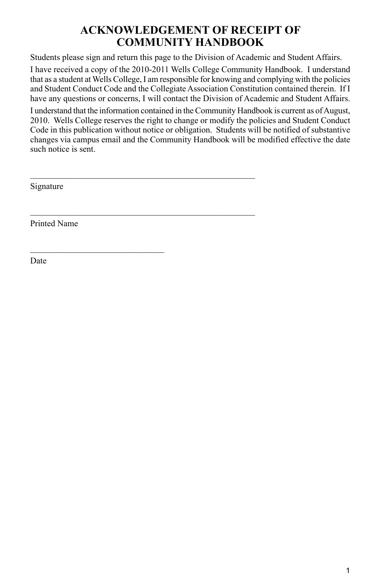## **ACKNOWLEDGEMENT OF RECEIPT OF COMMUNITY HANDBOOK**

Students please sign and return this page to the Division of Academic and Student Affairs.

I have received a copy of the 2010-2011 Wells College Community Handbook. I understand that as a student at Wells College, I am responsible for knowing and complying with the policies and Student Conduct Code and the Collegiate Association Constitution contained therein. If I have any questions or concerns, I will contact the Division of Academic and Student Affairs.

I understand that the information contained in the Community Handbook is current as of August, 2010. Wells College reserves the right to change or modify the policies and Student Conduct Code in this publication without notice or obligation. Students will be notified of substantive changes via campus email and the Community Handbook will be modified effective the date such notice is sent.

\_\_\_\_\_\_\_\_\_\_\_\_\_\_\_\_\_\_\_\_\_\_\_\_\_\_\_\_\_\_\_\_\_\_\_\_\_\_\_\_\_\_\_\_\_\_\_\_\_\_\_\_

\_\_\_\_\_\_\_\_\_\_\_\_\_\_\_\_\_\_\_\_\_\_\_\_\_\_\_\_\_\_\_\_\_\_\_\_\_\_\_\_\_\_\_\_\_\_\_\_\_\_\_\_

Signature

Printed Name

**Date**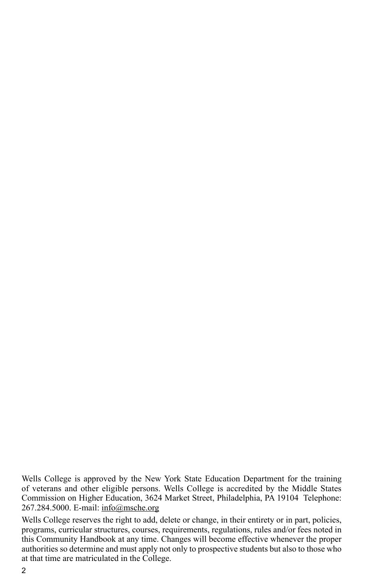Wells College is approved by the New York State Education Department for the training of veterans and other eligible persons. Wells College is accredited by the Middle States Commission on Higher Education, 3624 Market Street, Philadelphia, PA 19104 Telephone: 267.284.5000. E-mail: info@msche.org

Wells College reserves the right to add, delete or change, in their entirety or in part, policies, programs, curricular structures, courses, requirements, regulations, rules and/or fees noted in this Community Handbook at any time. Changes will become effective whenever the proper authorities so determine and must apply not only to prospective students but also to those who at that time are matriculated in the College.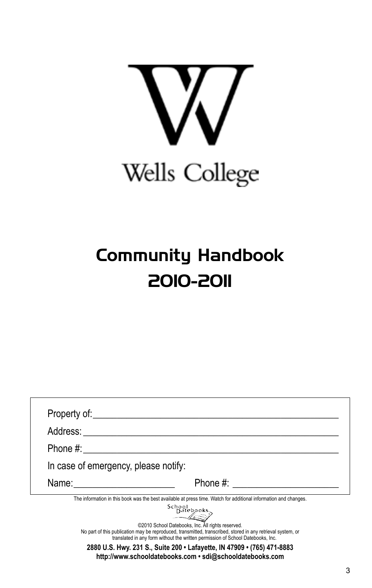

# Community Handbook 2010-2011

| Address:                             |                                                                                                                                                                                                                                                                                                                                                                                                                                                                                                                                        |
|--------------------------------------|----------------------------------------------------------------------------------------------------------------------------------------------------------------------------------------------------------------------------------------------------------------------------------------------------------------------------------------------------------------------------------------------------------------------------------------------------------------------------------------------------------------------------------------|
|                                      |                                                                                                                                                                                                                                                                                                                                                                                                                                                                                                                                        |
| In case of emergency, please notify: |                                                                                                                                                                                                                                                                                                                                                                                                                                                                                                                                        |
|                                      |                                                                                                                                                                                                                                                                                                                                                                                                                                                                                                                                        |
|                                      | The information in this book was the best available at press time. Watch for additional information and changes.<br>School<br>Datebooks.<br>©2010 School Datebooks, Inc. All rights reserved.<br>No part of this publication may be reproduced, transmitted, transcribed, stored in any retrieval system, or<br>translated in any form without the written permission of School Datebooks, Inc.<br>2880 U.S. Hwy. 231 S., Suite 200 . Lafayette, IN 47909 . (765) 471-8883<br>http://www.schooldatebooks.com · sdi@schooldatebooks.com |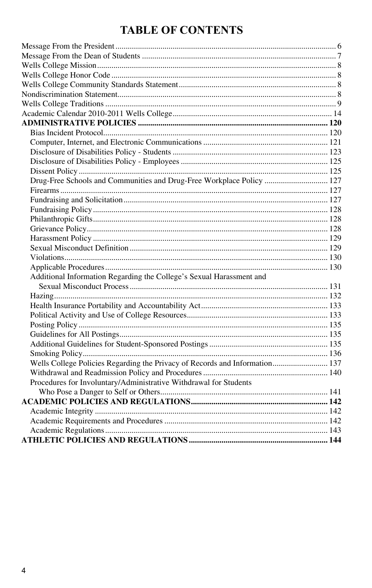## **TABLE OF CONTENTS**

| Drug-Free Schools and Communities and Drug-Free Workplace Policy  127       |  |
|-----------------------------------------------------------------------------|--|
|                                                                             |  |
|                                                                             |  |
|                                                                             |  |
|                                                                             |  |
|                                                                             |  |
|                                                                             |  |
|                                                                             |  |
|                                                                             |  |
|                                                                             |  |
| Additional Information Regarding the College's Sexual Harassment and        |  |
|                                                                             |  |
|                                                                             |  |
|                                                                             |  |
|                                                                             |  |
|                                                                             |  |
|                                                                             |  |
|                                                                             |  |
|                                                                             |  |
| Wells College Policies Regarding the Privacy of Records and Information 137 |  |
|                                                                             |  |
| Procedures for Involuntary/Administrative Withdrawal for Students           |  |
|                                                                             |  |
|                                                                             |  |
|                                                                             |  |
|                                                                             |  |
|                                                                             |  |
|                                                                             |  |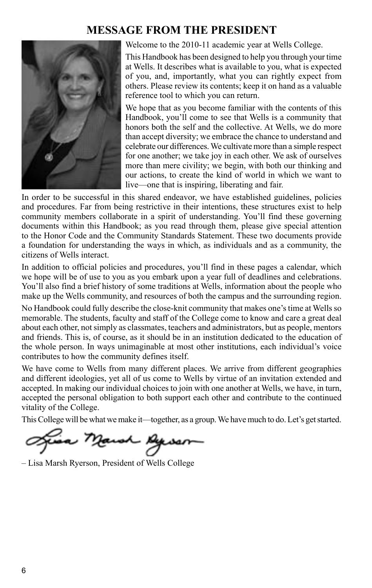## **MESSAGE FROM THE PRESIDENT**



Welcome to the 2010-11 academic year at Wells College.

This Handbook has been designed to help you through your time at Wells. It describes what is available to you, what is expected of you, and, importantly, what you can rightly expect from others. Please review its contents; keep it on hand as a valuable reference tool to which you can return.

We hope that as you become familiar with the contents of this Handbook, you'll come to see that Wells is a community that honors both the self and the collective. At Wells, we do more than accept diversity; we embrace the chance to understand and celebrate our differences.We cultivate more than a simple respect for one another; we take joy in each other. We ask of ourselves more than mere civility; we begin, with both our thinking and our actions, to create the kind of world in which we want to live—one that is inspiring, liberating and fair.

In order to be successful in this shared endeavor, we have established guidelines, policies and procedures. Far from being restrictive in their intentions, these structures exist to help community members collaborate in a spirit of understanding. You'll find these governing documents within this Handbook; as you read through them, please give special attention to the Honor Code and the Community Standards Statement. These two documents provide a foundation for understanding the ways in which, as individuals and as a community, the citizens of Wells interact.

In addition to official policies and procedures, you'll find in these pages a calendar, which we hope will be of use to you as you embark upon a year full of deadlines and celebrations. You'll also find a brief history of some traditions at Wells, information about the people who make up the Wells community, and resources of both the campus and the surrounding region.

No Handbook could fully describe the close-knit community that makes one's time at Wells so memorable. The students, faculty and staff of the College come to know and care a great deal about each other, not simply as classmates, teachers and administrators, but as people, mentors and friends. This is, of course, as it should be in an institution dedicated to the education of the whole person. In ways unimaginable at most other institutions, each individual's voice contributes to how the community defines itself.

We have come to Wells from many different places. We arrive from different geographies and different ideologies, yet all of us come to Wells by virtue of an invitation extended and accepted. In making our individual choices to join with one another at Wells, we have, in turn, accepted the personal obligation to both support each other and contribute to the continued vitality of the College.

This College will be what we make it—together, as a group.We have much to do. Let's get started.

awn Ag

– Lisa Marsh Ryerson, President of Wells College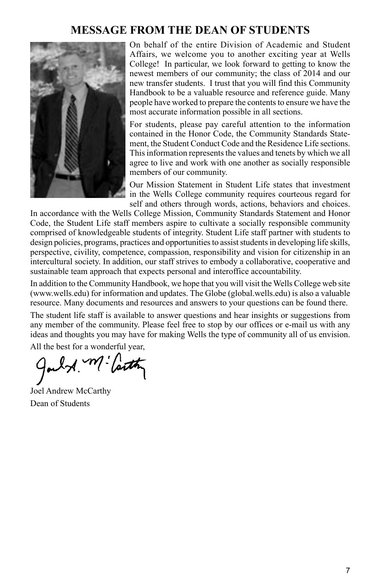## **MESSAGE FROM THE DEAN OF STUDENTS**



On behalf of the entire Division of Academic and Student Affairs, we welcome you to another exciting year at Wells College! In particular, we look forward to getting to know the newest members of our community; the class of 2014 and our new transfer students. I trust that you will find this Community Handbook to be a valuable resource and reference guide. Many people have worked to prepare the contents to ensure we have the most accurate information possible in all sections.

For students, please pay careful attention to the information contained in the Honor Code, the Community Standards Statement, the Student Conduct Code and the Residence Life sections. This information represents the values and tenets by which we all agree to live and work with one another as socially responsible members of our community.

Our Mission Statement in Student Life states that investment in the Wells College community requires courteous regard for self and others through words, actions, behaviors and choices.

In accordance with the Wells College Mission, Community Standards Statement and Honor Code, the Student Life staff members aspire to cultivate a socially responsible community comprised of knowledgeable students of integrity. Student Life staff partner with students to design policies, programs, practices and opportunities to assist students in developing life skills, perspective, civility, competence, compassion, responsibility and vision for citizenship in an intercultural society. In addition, our staff strives to embody a collaborative, cooperative and sustainable team approach that expects personal and interoffice accountability.

In addition to the Community Handbook, we hope that you will visit the Wells College web site (www.wells.edu) for information and updates. The Globe (global.wells.edu) is also a valuable resource. Many documents and resources and answers to your questions can be found there.

The student life staff is available to answer questions and hear insights or suggestions from any member of the community. Please feel free to stop by our offices or e-mail us with any ideas and thoughts you may have for making Wells the type of community all of us envision.

All the best for a wonderful year,

A. M. Carth

Joel Andrew McCarthy Dean of Students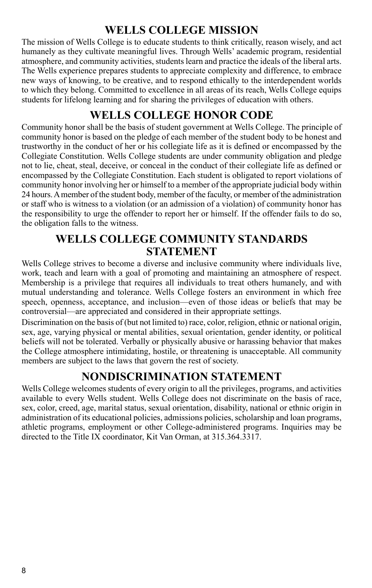## **WELLS COLLEGE MISSION**

The mission of Wells College is to educate students to think critically, reason wisely, and act humanely as they cultivate meaningful lives. Through Wells' academic program, residential atmosphere, and community activities, students learn and practice the ideals of the liberal arts. The Wells experience prepares students to appreciate complexity and difference, to embrace new ways of knowing, to be creative, and to respond ethically to the interdependent worlds to which they belong. Committed to excellence in all areas of its reach, Wells College equips students for lifelong learning and for sharing the privileges of education with others.

## **WELLS COLLEGE HONOR CODE**

Community honor shall be the basis of student government at Wells College. The principle of community honor is based on the pledge of each member of the student body to be honest and trustworthy in the conduct of her or his collegiate life as it is defined or encompassed by the Collegiate Constitution. Wells College students are under community obligation and pledge not to lie, cheat, steal, deceive, or conceal in the conduct of their collegiate life as defined or encompassed by the Collegiate Constitution. Each student is obligated to report violations of community honor involving her or himself to a member of the appropriate judicial body within 24 hours. A member of the student body, member of the faculty, or member of the administration or staff who is witness to a violation (or an admission of a violation) of community honor has the responsibility to urge the offender to report her or himself. If the offender fails to do so, the obligation falls to the witness.

## **WELLS COLLEGE COMMUNITY STANDARDS STATEMENT**

Wells College strives to become a diverse and inclusive community where individuals live, work, teach and learn with a goal of promoting and maintaining an atmosphere of respect. Membership is a privilege that requires all individuals to treat others humanely, and with mutual understanding and tolerance. Wells College fosters an environment in which free speech, openness, acceptance, and inclusion—even of those ideas or beliefs that may be controversial—are appreciated and considered in their appropriate settings.

Discrimination on the basis of (but not limited to) race, color, religion, ethnic or national origin, sex, age, varying physical or mental abilities, sexual orientation, gender identity, or political beliefs will not be tolerated. Verbally or physically abusive or harassing behavior that makes the College atmosphere intimidating, hostile, or threatening is unacceptable. All community members are subject to the laws that govern the rest of society.

## **NONDISCRIMINATION STATEMENT**

Wells College welcomes students of every origin to all the privileges, programs, and activities available to every Wells student. Wells College does not discriminate on the basis of race, sex, color, creed, age, marital status, sexual orientation, disability, national or ethnic origin in administration of its educational policies, admissions policies, scholarship and loan programs, athletic programs, employment or other College-administered programs. Inquiries may be directed to the Title IX coordinator, Kit Van Orman, at 315.364.3317.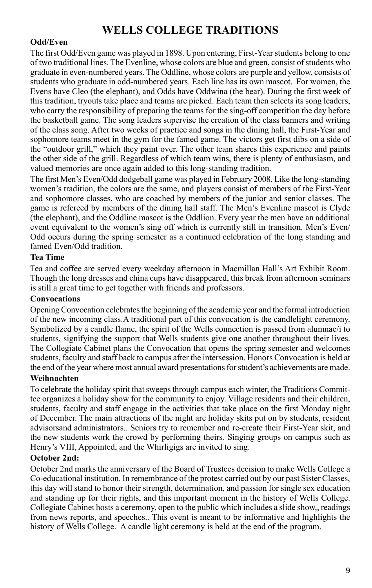## **WELLS COLLEGE TRADITIONS**

#### **Odd/Even**

The first Odd/Even game was played in 1898. Upon entering, First-Year students belong to one of two traditional lines. The Evenline, whose colors are blue and green, consist of students who graduate in even-numbered years. The Oddline, whose colors are purple and yellow, consists of students who graduate in odd-numbered years. Each line has its own mascot. For women, the Evens have Cleo (the elephant), and Odds have Oddwina (the bear). During the first week of this tradition, tryouts take place and teams are picked. Each team then selects its song leaders, who carry the responsibility of preparing the teams for the sing-off competition the day before the basketball game. The song leaders supervise the creation of the class banners and writing of the class song. After two weeks of practice and songs in the dining hall, the First-Year and sophomore teams meet in the gym for the famed game. The victors get first dibs on a side of the "outdoor grill," which they paint over. The other team shares this experience and paints the other side of the grill. Regardless of which team wins, there is plenty of enthusiasm, and valued memories are once again added to this long-standing tradition.

The first Men's Even/Odd dodgeball game was played in February 2008. Like the long-standing women's tradition, the colors are the same, and players consist of members of the First-Year and sophomore classes, who are coached by members of the junior and senior classes. The game is refereed by members of the dining hall staff. The Men's Evenline mascot is Clyde (the elephant), and the Oddline mascot is the Oddlion. Every year the men have an additional event equivalent to the women's sing off which is currently still in transition. Men's Even/ Odd occurs during the spring semester as a continued celebration of the long standing and famed Even/Odd tradition.

#### **Tea Time**

Tea and coffee are served every weekday afternoon in Macmillan Hall's Art Exhibit Room. Though the long dresses and china cups have disappeared, this break from afternoon seminars is still a great time to get together with friends and professors.

#### **Convocations**

Opening Convocation celebrates the beginning of the academic year and the formal introduction of the new incoming class.A traditional part of this convocation is the candlelight ceremony. Symbolized by a candle flame, the spirit of the Wells connection is passed from alumnae/i to students, signifying the support that Wells students give one another throughout their lives. The Collegiate Cabinet plans the Convocation that opens the spring semester and welcomes students, faculty and staff back to campus after the intersession. Honors Convocation is held at the end of the year where most annual award presentations for student's achievements are made.

#### **Weihnachten**

To celebrate the holiday spirit that sweeps through campus each winter, the Traditions Committee organizes a holiday show for the community to enjoy. Village residents and their children, students, faculty and staff engage in the activities that take place on the first Monday night of December. The main attractions of the night are holiday skits put on by students, resident advisorsand administrators.. Seniors try to remember and re-create their First-Year skit, and the new students work the crowd by performing theirs. Singing groups on campus such as Henry's VIII, Appointed, and the Whirligigs are invited to sing.

#### **October 2nd:**

October 2nd marks the anniversary of the Board of Trustees decision to make Wells College a Co-educational institution. In remembrance of the protest carried out by our past Sister Classes, this day will stand to honor their strength, determination, and passion for single sex education and standing up for their rights, and this important moment in the history of Wells College. Collegiate Cabinet hosts a ceremony, open to the public which includes a slide show,, readings from news reports, and speeches.. This event is meant to be informative and highlights the history of Wells College. A candle light ceremony is held at the end of the program.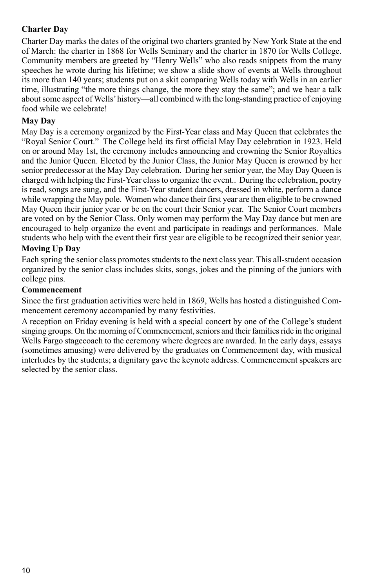#### **Charter Day**

Charter Day marks the dates of the original two charters granted by New York State at the end of March: the charter in 1868 for Wells Seminary and the charter in 1870 for Wells College. Community members are greeted by "Henry Wells" who also reads snippets from the many speeches he wrote during his lifetime; we show a slide show of events at Wells throughout its more than 140 years; students put on a skit comparing Wells today with Wells in an earlier time, illustrating "the more things change, the more they stay the same"; and we hear a talk about some aspect of Wells' history—all combined with the long-standing practice of enjoying food while we celebrate!

#### **May Day**

May Day is a ceremony organized by the First-Year class and May Queen that celebrates the "Royal Senior Court." The College held its first official May Day celebration in 1923. Held on or around May 1st, the ceremony includes announcing and crowning the Senior Royalties and the Junior Queen. Elected by the Junior Class, the Junior May Queen is crowned by her senior predecessor at the May Day celebration. During her senior year, the May Day Queen is charged with helping the First-Year class to organize the event.. During the celebration, poetry is read, songs are sung, and the First-Year student dancers, dressed in white, perform a dance while wrapping the May pole. Women who dance their first year are then eligible to be crowned May Queen their junior year or be on the court their Senior year. The Senior Court members are voted on by the Senior Class. Only women may perform the May Day dance but men are encouraged to help organize the event and participate in readings and performances. Male students who help with the event their first year are eligible to be recognized their senior year.

#### **Moving Up Day**

Each spring the senior class promotes students to the next class year. This all-student occasion organized by the senior class includes skits, songs, jokes and the pinning of the juniors with college pins.

#### **Commencement**

Since the first graduation activities were held in 1869, Wells has hosted a distinguished Commencement ceremony accompanied by many festivities.

A reception on Friday evening is held with a special concert by one of the College's student singing groups. On the morning of Commencement, seniors and their families ride in the original Wells Fargo stagecoach to the ceremony where degrees are awarded. In the early days, essays (sometimes amusing) were delivered by the graduates on Commencement day, with musical interludes by the students; a dignitary gave the keynote address. Commencement speakers are selected by the senior class.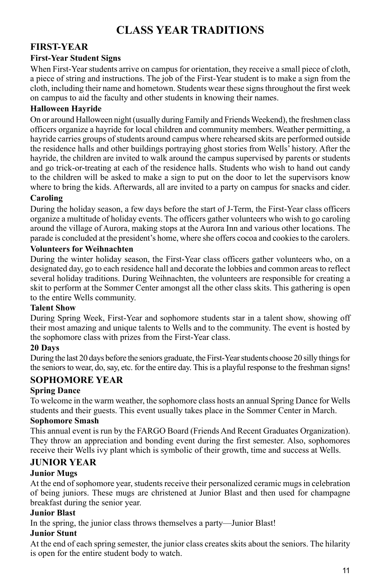## **CLASS YEAR TRADITIONS**

### **First-Year**

#### **First-Year Student Signs**

When First-Year students arrive on campus for orientation, they receive a small piece of cloth, a piece of string and instructions. The job of the First-Year student is to make a sign from the cloth, including their name and hometown. Students wear these signs throughout the first week on campus to aid the faculty and other students in knowing their names.

#### **Halloween Hayride**

On or around Halloween night (usually during Family and Friends Weekend), the freshmen class officers organize a hayride for local children and community members. Weather permitting, a hayride carries groups of students around campus where rehearsed skits are performed outside the residence halls and other buildings portraying ghost stories from Wells' history. After the hayride, the children are invited to walk around the campus supervised by parents or students and go trick-or-treating at each of the residence halls. Students who wish to hand out candy to the children will be asked to make a sign to put on the door to let the supervisors know where to bring the kids. Afterwards, all are invited to a party on campus for snacks and cider.

#### **Caroling**

During the holiday season, a few days before the start of J-Term, the First-Year class officers organize a multitude of holiday events. The officers gather volunteers who wish to go caroling around the village of Aurora, making stops at the Aurora Inn and various other locations. The parade is concluded at the president's home, where she offers cocoa and cookies to the carolers.

#### **Volunteers for Weihnachten**

During the winter holiday season, the First-Year class officers gather volunteers who, on a designated day, go to each residence hall and decorate the lobbies and common areas to reflect several holiday traditions. During Weihnachten, the volunteers are responsible for creating a skit to perform at the Sommer Center amongst all the other class skits. This gathering is open to the entire Wells community.

#### **Talent Show**

During Spring Week, First-Year and sophomore students star in a talent show, showing off their most amazing and unique talents to Wells and to the community. The event is hosted by the sophomore class with prizes from the First-Year class.

#### **20 Days**

During the last 20 days before the seniors graduate, the First-Year students choose 20 silly things for the seniors to wear, do, say, etc. for the entire day. This is a playful response to the freshman signs!

#### **Sophomore Year**

#### **Spring Dance**

To welcome in the warm weather, the sophomore class hosts an annual Spring Dance for Wells students and their guests. This event usually takes place in the Sommer Center in March.

#### **Sophomore Smash**

This annual event is run by the FARGO Board (Friends And Recent Graduates Organization). They throw an appreciation and bonding event during the first semester. Also, sophomores receive their Wells ivy plant which is symbolic of their growth, time and success at Wells.

#### **Junior Year**

#### **Junior Mugs**

At the end of sophomore year, students receive their personalized ceramic mugs in celebration of being juniors. These mugs are christened at Junior Blast and then used for champagne breakfast during the senior year.

#### **Junior Blast**

In the spring, the junior class throws themselves a party—Junior Blast!

#### **Junior Stunt**

At the end of each spring semester, the junior class creates skits about the seniors. The hilarity is open for the entire student body to watch.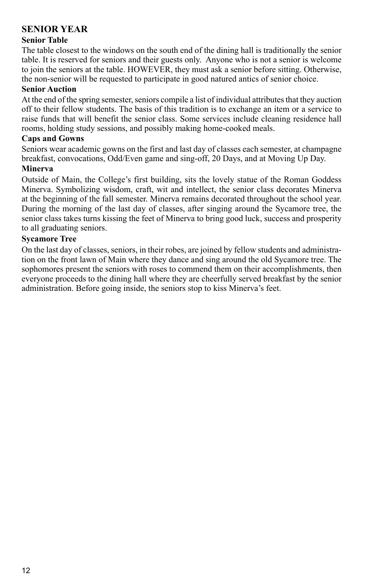### **Senior Year**

#### **Senior Table**

The table closest to the windows on the south end of the dining hall is traditionally the senior table. It is reserved for seniors and their guests only. Anyone who is not a senior is welcome to join the seniors at the table. HOWEVER, they must ask a senior before sitting. Otherwise, the non-senior will be requested to participate in good natured antics of senior choice.

#### **Senior Auction**

At the end of the spring semester, seniors compile a list of individual attributes that they auction off to their fellow students. The basis of this tradition is to exchange an item or a service to raise funds that will benefit the senior class. Some services include cleaning residence hall rooms, holding study sessions, and possibly making home-cooked meals.

#### **Caps and Gowns**

Seniors wear academic gowns on the first and last day of classes each semester, at champagne breakfast, convocations, Odd/Even game and sing-off, 20 Days, and at Moving Up Day.

#### **Minerva**

Outside of Main, the College's first building, sits the lovely statue of the Roman Goddess Minerva. Symbolizing wisdom, craft, wit and intellect, the senior class decorates Minerva at the beginning of the fall semester. Minerva remains decorated throughout the school year. During the morning of the last day of classes, after singing around the Sycamore tree, the senior class takes turns kissing the feet of Minerva to bring good luck, success and prosperity to all graduating seniors.

#### **Sycamore Tree**

On the last day of classes, seniors, in their robes, are joined by fellow students and administration on the front lawn of Main where they dance and sing around the old Sycamore tree. The sophomores present the seniors with roses to commend them on their accomplishments, then everyone proceeds to the dining hall where they are cheerfully served breakfast by the senior administration. Before going inside, the seniors stop to kiss Minerva's feet.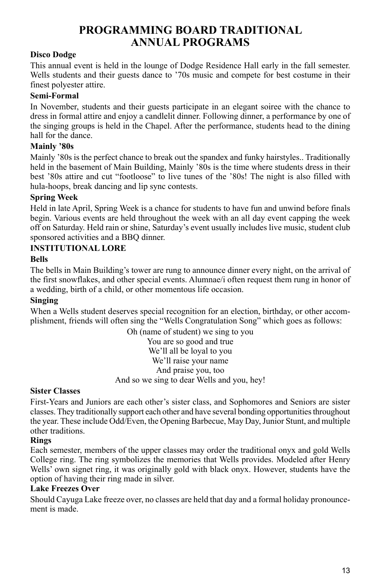## **PROGRAMMING BOARD TRADITIONAL ANNUAL PROGRAMS**

#### **Disco Dodge**

This annual event is held in the lounge of Dodge Residence Hall early in the fall semester. Wells students and their guests dance to '70s music and compete for best costume in their finest polyester attire.

#### **Semi-Formal**

In November, students and their guests participate in an elegant soiree with the chance to dress in formal attire and enjoy a candlelit dinner. Following dinner, a performance by one of the singing groups is held in the Chapel. After the performance, students head to the dining hall for the dance.

#### **Mainly '80s**

Mainly '80s is the perfect chance to break out the spandex and funky hairstyles.. Traditionally held in the basement of Main Building, Mainly '80s is the time where students dress in their best '80s attire and cut "footloose" to live tunes of the '80s! The night is also filled with hula-hoops, break dancing and lip sync contests.

#### **Spring Week**

Held in late April, Spring Week is a chance for students to have fun and unwind before finals begin. Various events are held throughout the week with an all day event capping the week off on Saturday. Held rain or shine, Saturday's event usually includes live music, student club sponsored activities and a BBQ dinner.

#### **INSTITUTIONAL LORE**

#### **Bells**

The bells in Main Building's tower are rung to announce dinner every night, on the arrival of the first snowflakes, and other special events. Alumnae/i often request them rung in honor of a wedding, birth of a child, or other momentous life occasion.

#### **Singing**

When a Wells student deserves special recognition for an election, birthday, or other accomplishment, friends will often sing the "Wells Congratulation Song" which goes as follows:

> Oh (name of student) we sing to you You are so good and true We'll all be loyal to you We'll raise your name And praise you, too And so we sing to dear Wells and you, hey!

#### **Sister Classes**

First-Years and Juniors are each other's sister class, and Sophomores and Seniors are sister classes. They traditionally support each other and have several bonding opportunities throughout the year. These include Odd/Even, the Opening Barbecue, May Day, Junior Stunt, and multiple other traditions.

#### **Rings**

Each semester, members of the upper classes may order the traditional onyx and gold Wells College ring. The ring symbolizes the memories that Wells provides. Modeled after Henry Wells' own signet ring, it was originally gold with black onyx. However, students have the option of having their ring made in silver.

#### **Lake Freezes Over**

Should Cayuga Lake freeze over, no classes are held that day and a formal holiday pronouncement is made.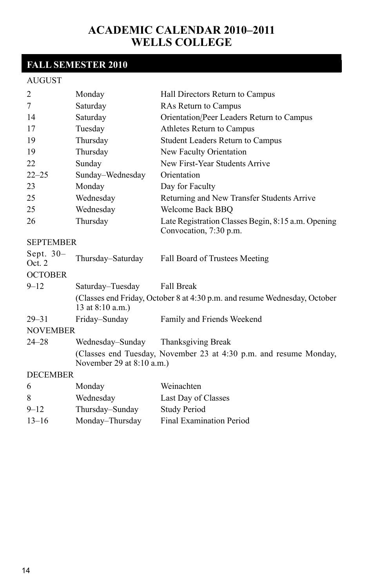## **Academic Calendar 2010–2011 Wells College**

## **FALL SEMESTER 2010**

#### AUGUST

| $\overline{2}$       | Monday                      | Hall Directors Return to Campus                                              |
|----------------------|-----------------------------|------------------------------------------------------------------------------|
| 7                    | Saturday                    | <b>RAs Return to Campus</b>                                                  |
| 14                   | Saturday                    | Orientation/Peer Leaders Return to Campus                                    |
| 17                   | Tuesday                     | Athletes Return to Campus                                                    |
| 19                   | Thursday                    | <b>Student Leaders Return to Campus</b>                                      |
| 19                   | Thursday                    | New Faculty Orientation                                                      |
| 22                   | Sunday                      | New First-Year Students Arrive                                               |
| $22 - 25$            | Sunday-Wednesday            | Orientation                                                                  |
| 23                   | Monday                      | Day for Faculty                                                              |
| 25                   | Wednesday                   | Returning and New Transfer Students Arrive                                   |
| 25                   | Wednesday                   | Welcome Back BBQ                                                             |
| 26                   | Thursday                    | Late Registration Classes Begin, 8:15 a.m. Opening<br>Convocation, 7:30 p.m. |
| <b>SEPTEMBER</b>     |                             |                                                                              |
| Sept. $30-$<br>Oct 2 | Thursday-Saturday           | Fall Board of Trustees Meeting                                               |
| <b>OCTOBER</b>       |                             |                                                                              |
| $9 - 12$             | Saturday–Tuesday            | <b>Fall Break</b>                                                            |
|                      | 13 at 8:10 a.m.)            | (Classes end Friday, October 8 at 4:30 p.m. and resume Wednesday, October    |
| $29 - 31$            | Friday-Sunday               | Family and Friends Weekend                                                   |
| <b>NOVEMBER</b>      |                             |                                                                              |
| $24 - 28$            | Wednesday–Sunday            | Thanksgiving Break                                                           |
|                      | November 29 at $8:10$ a.m.) | (Classes end Tuesday, November 23 at 4:30 p.m. and resume Monday,            |
| <b>DECEMBER</b>      |                             |                                                                              |
| 6                    | Monday                      | Weinachten                                                                   |
| 8                    | Wednesday                   | Last Day of Classes                                                          |
| $9 - 12$             | Thursday-Sunday             | <b>Study Period</b>                                                          |

13–16 Monday–Thursday Final Examination Period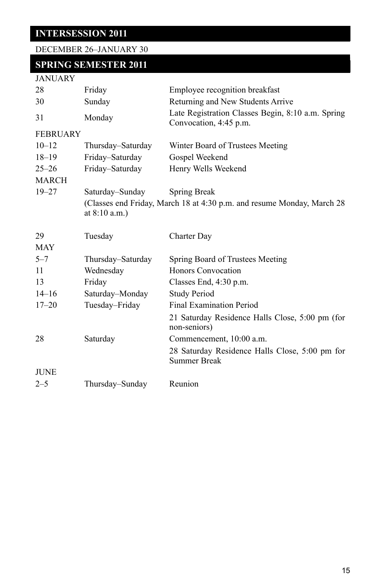**INTERSESSION 2011**

|  | DECEMBER 26–JANUARY 30 |  |  |  |  |
|--|------------------------|--|--|--|--|
|--|------------------------|--|--|--|--|

| <b>SPRING SEMESTER 2011</b> |  |  |
|-----------------------------|--|--|
|                             |  |  |

| JANUARY |
|---------|
|---------|

| 28              | Friday            | Employee recognition breakfast                                              |
|-----------------|-------------------|-----------------------------------------------------------------------------|
| 30              | Sunday            | Returning and New Students Arrive                                           |
| 31              | Monday            | Late Registration Classes Begin, 8:10 a.m. Spring<br>Convocation, 4:45 p.m. |
| <b>FEBRUARY</b> |                   |                                                                             |
| $10 - 12$       | Thursday-Saturday | Winter Board of Trustees Meeting                                            |
| $18 - 19$       | Friday-Saturday   | Gospel Weekend                                                              |
| $25 - 26$       | Friday-Saturday   | Henry Wells Weekend                                                         |
| <b>MARCH</b>    |                   |                                                                             |
| $19 - 27$       | Saturday–Sunday   | Spring Break                                                                |
|                 | at $8:10$ a.m.)   | (Classes end Friday, March 18 at 4:30 p.m. and resume Monday, March 28      |
| 29              | Tuesday           | Charter Day                                                                 |
| <b>MAY</b>      |                   |                                                                             |
| $5 - 7$         | Thursday–Saturday | Spring Board of Trustees Meeting                                            |
| 11              | Wednesday         | Honors Convocation                                                          |
| 13              | Friday            | Classes End, $4:30$ p.m.                                                    |
| $14 - 16$       | Saturday-Monday   | <b>Study Period</b>                                                         |
| $17 - 20$       | Tuesday-Friday    | <b>Final Examination Period</b>                                             |
|                 |                   | 21 Saturday Residence Halls Close, 5:00 pm (for<br>non-seniors)             |
| 28              | Saturday          | Commencement, 10:00 a.m.                                                    |
|                 |                   | 28 Saturday Residence Halls Close, 5:00 pm for<br><b>Summer Break</b>       |
| <b>JUNE</b>     |                   |                                                                             |
| $2 - 5$         | Thursday-Sunday   | Reunion                                                                     |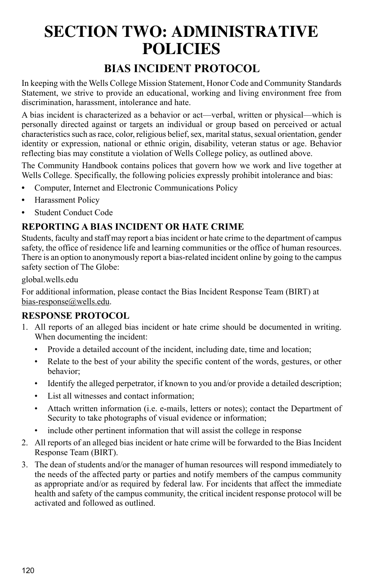# **SECTION TWO: ADMINISTRATIVE POLICIES**

## **BIAS INCIDENT PROTOCOL**

In keeping with the Wells College Mission Statement, Honor Code and Community Standards Statement, we strive to provide an educational, working and living environment free from discrimination, harassment, intolerance and hate.

A bias incident is characterized as a behavior or act—verbal, written or physical—which is personally directed against or targets an individual or group based on perceived or actual characteristics such as race, color, religious belief, sex, marital status, sexual orientation, gender identity or expression, national or ethnic origin, disability, veteran status or age. Behavior reflecting bias may constitute a violation of Wells College policy, as outlined above.

The Community Handbook contains polices that govern how we work and live together at Wells College. Specifically, the following policies expressly prohibit intolerance and bias:

- **•** Computer, Internet and Electronic Communications Policy
- **•** Harassment Policy
- **•** Student Conduct Code

### **Reporting a Bias Incident or Hate Crime**

Students, faculty and staff may report a bias incident or hate crime to the department of campus safety, the office of residence life and learning communities or the office of human resources. There is an option to anonymously report a bias-related incident online by going to the campus safety section of The Globe:

#### global.wells.edu

For additional information, please contact the Bias Incident Response Team (BIRT) at bias-response@wells.edu.

### **Response Protocol**

- 1. All reports of an alleged bias incident or hate crime should be documented in writing. When documenting the incident:
	- Provide a detailed account of the incident, including date, time and location;
	- Relate to the best of your ability the specific content of the words, gestures, or other behavior;
	- Identify the alleged perpetrator, if known to you and/or provide a detailed description;
	- List all witnesses and contact information;
	- Attach written information (i.e. e-mails, letters or notes); contact the Department of Security to take photographs of visual evidence or information;
	- include other pertinent information that will assist the college in response
- 2. All reports of an alleged bias incident or hate crime will be forwarded to the Bias Incident Response Team (BIRT).
- 3. The dean of students and/or the manager of human resources will respond immediately to the needs of the affected party or parties and notify members of the campus community as appropriate and/or as required by federal law. For incidents that affect the immediate health and safety of the campus community, the critical incident response protocol will be activated and followed as outlined.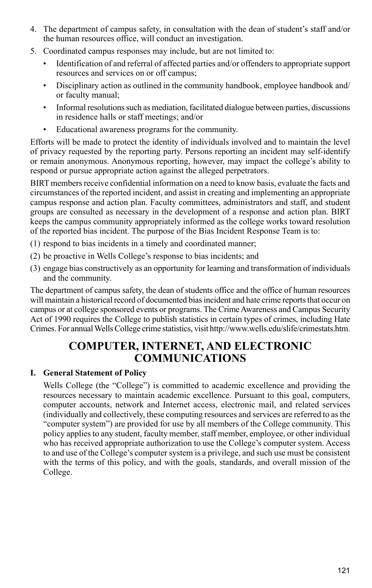- 4. The department of campus safety, in consultation with the dean of student's staff and/or the human resources office, will conduct an investigation.
- 5. Coordinated campus responses may include, but are not limited to:
	- Identification of and referral of affected parties and/or offenders to appropriate support resources and services on or off campus;
	- Disciplinary action as outlined in the community handbook, employee handbook and/ or faculty manual;
	- Informal resolutions such as mediation, facilitated dialogue between parties, discussions in residence halls or staff meetings; and/or
	- Educational awareness programs for the community.

Efforts will be made to protect the identity of individuals involved and to maintain the level of privacy requested by the reporting party. Persons reporting an incident may self-identify or remain anonymous. Anonymous reporting, however, may impact the college's ability to respond or pursue appropriate action against the alleged perpetrators.

BIRT members receive confidential information on a need to know basis, evaluate the facts and circumstances of the reported incident, and assist in creating and implementing an appropriate campus response and action plan. Faculty committees, administrators and staff, and student groups are consulted as necessary in the development of a response and action plan. BIRT keeps the campus community appropriately informed as the college works toward resolution of the reported bias incident. The purpose of the Bias Incident Response Team is to:

- (1) respond to bias incidents in a timely and coordinated manner;
- (2) be proactive in Wells College's response to bias incidents; and
- (3) engage bias constructively as an opportunity for learning and transformation of individuals and the community.

The department of campus safety, the dean of students office and the office of human resources will maintain a historical record of documented bias incident and hate crime reports that occur on campus or at college sponsored events or programs. The Crime Awareness and Campus Security Act of 1990 requires the College to publish statistics in certain types of crimes, including Hate Crimes. For annual Wells College crime statistics, visit http://www.wells.edu/slife/crimestats.htm.

## **COMPUTER, INTERNET, AND ELECTRONIC COMMUNICATIONS**

#### **I. General Statement of Policy**

Wells College (the "College") is committed to academic excellence and providing the resources necessary to maintain academic excellence. Pursuant to this goal, computers, computer accounts, network and Internet access, electronic mail, and related services (individually and collectively, these computing resources and services are referred to as the "computer system") are provided for use by all members of the College community. This policy applies to any student, faculty member, staff member, employee, or other individual who has received appropriate authorization to use the College's computer system. Access to and use of the College's computer system is a privilege, and such use must be consistent with the terms of this policy, and with the goals, standards, and overall mission of the College.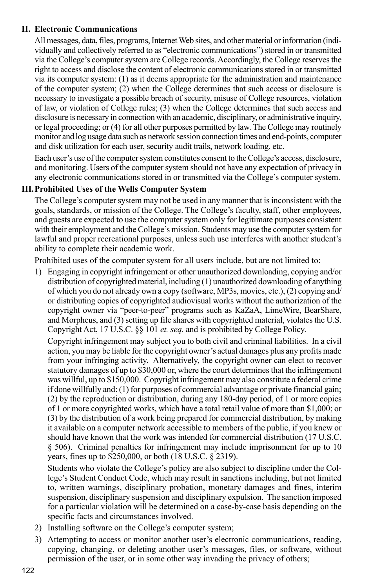#### **II. Electronic Communications**

All messages, data, files, programs, Internet Web sites, and other material or information (individually and collectively referred to as "electronic communications") stored in or transmitted via the College's computer system are College records. Accordingly, the College reserves the right to access and disclose the content of electronic communications stored in or transmitted via its computer system: (1) as it deems appropriate for the administration and maintenance of the computer system; (2) when the College determines that such access or disclosure is necessary to investigate a possible breach of security, misuse of College resources, violation of law, or violation of College rules; (3) when the College determines that such access and disclosure is necessary in connection with an academic, disciplinary, or administrative inquiry, or legal proceeding; or (4) for all other purposes permitted by law. The College may routinely monitor and log usage data such as network session connection times and end-points, computer and disk utilization for each user, security audit trails, network loading, etc.

Each user's use of the computer system constitutes consent to the College's access, disclosure, and monitoring. Users of the computer system should not have any expectation of privacy in any electronic communications stored in or transmitted via the College's computer system.

#### **III.Prohibited Uses of the Wells Computer System**

The College's computer system may not be used in any manner that is inconsistent with the goals, standards, or mission of the College. The College's faculty, staff, other employees, and guests are expected to use the computer system only for legitimate purposes consistent with their employment and the College's mission. Students may use the computer system for lawful and proper recreational purposes, unless such use interferes with another student's ability to complete their academic work.

Prohibited uses of the computer system for all users include, but are not limited to:

1) Engaging in copyright infringement or other unauthorized downloading, copying and/or distribution of copyrighted material, including (1) unauthorized downloading of anything of which you do not already own a copy (software, MP3s, movies, etc.), (2) copying and/ or distributing copies of copyrighted audiovisual works without the authorization of the copyright owner via "peer-to-peer" programs such as KaZaA, LimeWire, BearShare, and Morpheus, and (3) setting up file shares with copyrighted material, violates the U.S. Copyright Act, 17 U.S.C. §§ 101 *et. seq.* and is prohibited by College Policy.

Copyright infringement may subject you to both civil and criminal liabilities. In a civil action, you may be liable for the copyright owner's actual damages plus any profits made from your infringing activity. Alternatively, the copyright owner can elect to recover statutory damages of up to \$30,000 or, where the court determines that the infringement was willful, up to \$150,000. Copyright infringement may also constitute a federal crime if done willfully and: (1) for purposes of commercial advantage or private financial gain; (2) by the reproduction or distribution, during any 180-day period, of 1 or more copies of 1 or more copyrighted works, which have a total retail value of more than \$1,000; or (3) by the distribution of a work being prepared for commercial distribution, by making it available on a computer network accessible to members of the public, if you knew or should have known that the work was intended for commercial distribution (17 U.S.C. § 506). Criminal penalties for infringement may include imprisonment for up to 10 years, fines up to \$250,000, or both (18 U.S.C. § 2319).

Students who violate the College's policy are also subject to discipline under the College's Student Conduct Code, which may result in sanctions including, but not limited to, written warnings, disciplinary probation, monetary damages and fines, interim suspension, disciplinary suspension and disciplinary expulsion. The sanction imposed for a particular violation will be determined on a case-by-case basis depending on the specific facts and circumstances involved.

- 2) Installing software on the College's computer system;
- 3) Attempting to access or monitor another user's electronic communications, reading, copying, changing, or deleting another user's messages, files, or software, without permission of the user, or in some other way invading the privacy of others;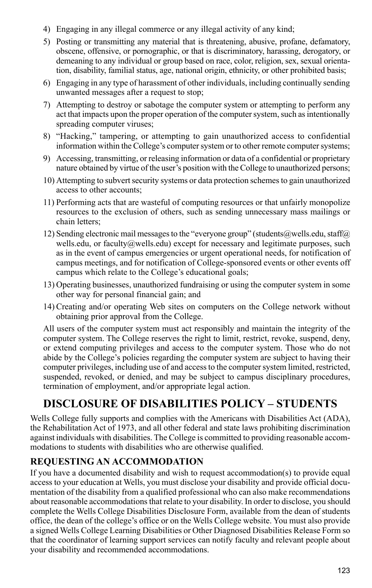- 4) Engaging in any illegal commerce or any illegal activity of any kind;
- 5) Posting or transmitting any material that is threatening, abusive, profane, defamatory, obscene, offensive, or pornographic, or that is discriminatory, harassing, derogatory, or demeaning to any individual or group based on race, color, religion, sex, sexual orientation, disability, familial status, age, national origin, ethnicity, or other prohibited basis;
- 6) Engaging in any type of harassment of other individuals, including continually sending unwanted messages after a request to stop;
- 7) Attempting to destroy or sabotage the computer system or attempting to perform any act that impacts upon the proper operation of the computer system, such as intentionally spreading computer viruses;
- 8) "Hacking," tampering, or attempting to gain unauthorized access to confidential information within the College's computer system or to other remote computer systems;
- 9) Accessing, transmitting, or releasing information or data of a confidential or proprietary nature obtained by virtue of the user's position with the College to unauthorized persons;
- 10) Attempting to subvert security systems or data protection schemes to gain unauthorized access to other accounts;
- 11) Performing acts that are wasteful of computing resources or that unfairly monopolize resources to the exclusion of others, such as sending unnecessary mass mailings or chain letters;
- 12) Sending electronic mail messages to the "everyone group" (students@wells.edu, staff@) wells.edu, or faculty@wells.edu) except for necessary and legitimate purposes, such as in the event of campus emergencies or urgent operational needs, for notification of campus meetings, and for notification of College-sponsored events or other events off campus which relate to the College's educational goals;
- 13) Operating businesses, unauthorized fundraising or using the computer system in some other way for personal financial gain; and
- 14) Creating and/or operating Web sites on computers on the College network without obtaining prior approval from the College.

All users of the computer system must act responsibly and maintain the integrity of the computer system. The College reserves the right to limit, restrict, revoke, suspend, deny, or extend computing privileges and access to the computer system. Those who do not abide by the College's policies regarding the computer system are subject to having their computer privileges, including use of and access to the computer system limited, restricted, suspended, revoked, or denied, and may be subject to campus disciplinary procedures, termination of employment, and/or appropriate legal action.

## **DISCLOSURE OF DISABILITIES POLICY – STUDENTS**

Wells College fully supports and complies with the Americans with Disabilities Act (ADA), the Rehabilitation Act of 1973, and all other federal and state laws prohibiting discrimination against individuals with disabilities. The College is committed to providing reasonable accommodations to students with disabilities who are otherwise qualified.

#### **Requesting an Accommodation**

If you have a documented disability and wish to request accommodation(s) to provide equal access to your education at Wells, you must disclose your disability and provide official documentation of the disability from a qualified professional who can also make recommendations about reasonable accommodations that relate to your disability. In order to disclose, you should complete the Wells College Disabilities Disclosure Form, available from the dean of students office, the dean of the college's office or on the Wells College website. You must also provide a signed Wells College Learning Disabilities or Other Diagnosed Disabilities Release Form so that the coordinator of learning support services can notify faculty and relevant people about your disability and recommended accommodations.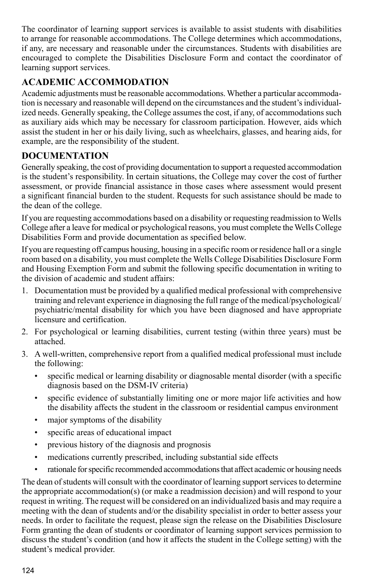The coordinator of learning support services is available to assist students with disabilities to arrange for reasonable accommodations. The College determines which accommodations, if any, are necessary and reasonable under the circumstances. Students with disabilities are encouraged to complete the Disabilities Disclosure Form and contact the coordinator of learning support services.

### **Academic Accommodation**

Academic adjustments must be reasonable accommodations. Whether a particular accommodation is necessary and reasonable will depend on the circumstances and the student's individualized needs. Generally speaking, the College assumes the cost, if any, of accommodations such as auxiliary aids which may be necessary for classroom participation. However, aids which assist the student in her or his daily living, such as wheelchairs, glasses, and hearing aids, for example, are the responsibility of the student.

### **Documentation**

Generally speaking, the cost of providing documentation to support a requested accommodation is the student's responsibility. In certain situations, the College may cover the cost of further assessment, or provide financial assistance in those cases where assessment would present a significant financial burden to the student. Requests for such assistance should be made to the dean of the college.

If you are requesting accommodations based on a disability or requesting readmission to Wells College after a leave for medical or psychological reasons, you must complete the Wells College Disabilities Form and provide documentation as specified below.

If you are requesting off campus housing, housing in a specific room or residence hall or a single room based on a disability, you must complete the Wells College Disabilities Disclosure Form and Housing Exemption Form and submit the following specific documentation in writing to the division of academic and student affairs:

- 1. Documentation must be provided by a qualified medical professional with comprehensive training and relevant experience in diagnosing the full range of the medical/psychological/ psychiatric/mental disability for which you have been diagnosed and have appropriate licensure and certification.
- 2. For psychological or learning disabilities, current testing (within three years) must be attached.
- 3. A well-written, comprehensive report from a qualified medical professional must include the following:
	- specific medical or learning disability or diagnosable mental disorder (with a specific diagnosis based on the DSM-IV criteria)
	- specific evidence of substantially limiting one or more major life activities and how the disability affects the student in the classroom or residential campus environment
	- major symptoms of the disability
	- specific areas of educational impact
	- previous history of the diagnosis and prognosis
	- medications currently prescribed, including substantial side effects
	- rationale for specific recommended accommodations that affect academic or housing needs

The dean of students will consult with the coordinator of learning support services to determine the appropriate accommodation(s) (or make a readmission decision) and will respond to your request in writing. The request will be considered on an individualized basis and may require a meeting with the dean of students and/or the disability specialist in order to better assess your needs. In order to facilitate the request, please sign the release on the Disabilities Disclosure Form granting the dean of students or coordinator of learning support services permission to discuss the student's condition (and how it affects the student in the College setting) with the student's medical provider.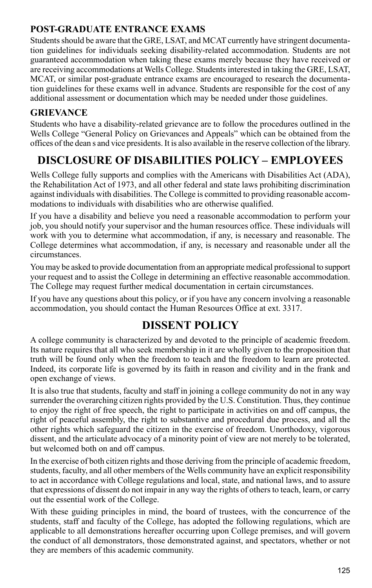### **Post-Graduate Entrance Exams**

Students should be aware that the GRE, LSAT, and MCAT currently have stringent documentation guidelines for individuals seeking disability-related accommodation. Students are not guaranteed accommodation when taking these exams merely because they have received or are receiving accommodations at Wells College. Students interested in taking the GRE, LSAT, MCAT, or similar post-graduate entrance exams are encouraged to research the documentation guidelines for these exams well in advance. Students are responsible for the cost of any additional assessment or documentation which may be needed under those guidelines.

### **Grievance**

Students who have a disability-related grievance are to follow the procedures outlined in the Wells College "General Policy on Grievances and Appeals" which can be obtained from the offices of the dean s and vice presidents. It is also available in the reserve collection of the library.

## **DISCLOSURE OF DISABILITIES POLICY – EMPLOYEES**

Wells College fully supports and complies with the Americans with Disabilities Act (ADA), the Rehabilitation Act of 1973, and all other federal and state laws prohibiting discrimination against individuals with disabilities. The College is committed to providing reasonable accommodations to individuals with disabilities who are otherwise qualified.

If you have a disability and believe you need a reasonable accommodation to perform your job, you should notify your supervisor and the human resources office. These individuals will work with you to determine what accommodation, if any, is necessary and reasonable. The College determines what accommodation, if any, is necessary and reasonable under all the circumstances.

You may be asked to provide documentation from an appropriate medical professional to support your request and to assist the College in determining an effective reasonable accommodation. The College may request further medical documentation in certain circumstances.

If you have any questions about this policy, or if you have any concern involving a reasonable accommodation, you should contact the Human Resources Office at ext. 3317.

## **DISSENT POLICY**

A college community is characterized by and devoted to the principle of academic freedom. Its nature requires that all who seek membership in it are wholly given to the proposition that truth will be found only when the freedom to teach and the freedom to learn are protected. Indeed, its corporate life is governed by its faith in reason and civility and in the frank and open exchange of views.

It is also true that students, faculty and staff in joining a college community do not in any way surrender the overarching citizen rights provided by the U.S. Constitution. Thus, they continue to enjoy the right of free speech, the right to participate in activities on and off campus, the right of peaceful assembly, the right to substantive and procedural due process, and all the other rights which safeguard the citizen in the exercise of freedom. Unorthodoxy, vigorous dissent, and the articulate advocacy of a minority point of view are not merely to be tolerated, but welcomed both on and off campus.

In the exercise of both citizen rights and those deriving from the principle of academic freedom, students, faculty, and all other members of the Wells community have an explicit responsibility to act in accordance with College regulations and local, state, and national laws, and to assure that expressions of dissent do not impair in any way the rights of others to teach, learn, or carry out the essential work of the College.

With these guiding principles in mind, the board of trustees, with the concurrence of the students, staff and faculty of the College, has adopted the following regulations, which are applicable to all demonstrations hereafter occurring upon College premises, and will govern the conduct of all demonstrators, those demonstrated against, and spectators, whether or not they are members of this academic community.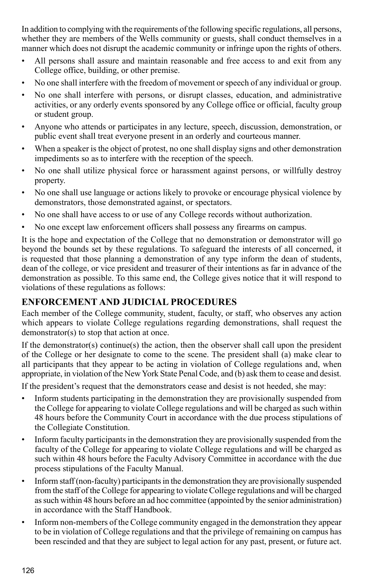In addition to complying with the requirements of the following specific regulations, all persons, whether they are members of the Wells community or guests, shall conduct themselves in a manner which does not disrupt the academic community or infringe upon the rights of others.

- All persons shall assure and maintain reasonable and free access to and exit from any College office, building, or other premise.
- No one shall interfere with the freedom of movement or speech of any individual or group.
- No one shall interfere with persons, or disrupt classes, education, and administrative activities, or any orderly events sponsored by any College office or official, faculty group or student group.
- Anyone who attends or participates in any lecture, speech, discussion, demonstration, or public event shall treat everyone present in an orderly and courteous manner.
- When a speaker is the object of protest, no one shall display signs and other demonstration impediments so as to interfere with the reception of the speech.
- No one shall utilize physical force or harassment against persons, or willfully destroy property.
- No one shall use language or actions likely to provoke or encourage physical violence by demonstrators, those demonstrated against, or spectators.
- No one shall have access to or use of any College records without authorization.
- No one except law enforcement officers shall possess any firearms on campus.

It is the hope and expectation of the College that no demonstration or demonstrator will go beyond the bounds set by these regulations. To safeguard the interests of all concerned, it is requested that those planning a demonstration of any type inform the dean of students, dean of the college, or vice president and treasurer of their intentions as far in advance of the demonstration as possible. To this same end, the College gives notice that it will respond to violations of these regulations as follows:

### **Enforcement and Judicial Procedures**

Each member of the College community, student, faculty, or staff, who observes any action which appears to violate College regulations regarding demonstrations, shall request the demonstrator(s) to stop that action at once.

If the demonstrator(s) continue(s) the action, then the observer shall call upon the president of the College or her designate to come to the scene. The president shall (a) make clear to all participants that they appear to be acting in violation of College regulations and, when appropriate, in violation of the New York State Penal Code, and (b) ask them to cease and desist.

If the president's request that the demonstrators cease and desist is not heeded, she may:

- Inform students participating in the demonstration they are provisionally suspended from the College for appearing to violate College regulations and will be charged as such within 48 hours before the Community Court in accordance with the due process stipulations of the Collegiate Constitution.
- Inform faculty participants in the demonstration they are provisionally suspended from the faculty of the College for appearing to violate College regulations and will be charged as such within 48 hours before the Faculty Advisory Committee in accordance with the due process stipulations of the Faculty Manual.
- Inform staff (non-faculty) participants in the demonstration they are provisionally suspended from the staff of the College for appearing to violate College regulations and will be charged as such within 48 hours before an ad hoc committee (appointed by the senior administration) in accordance with the Staff Handbook.
- Inform non-members of the College community engaged in the demonstration they appear to be in violation of College regulations and that the privilege of remaining on campus has been rescinded and that they are subject to legal action for any past, present, or future act.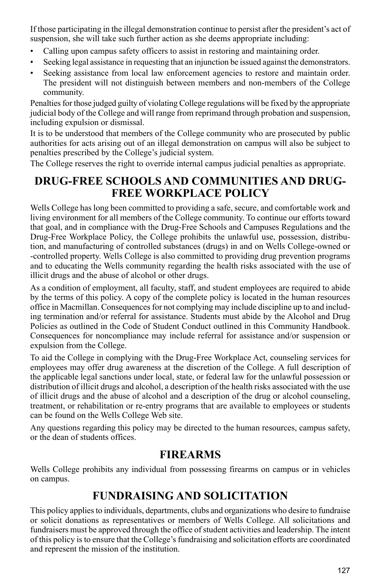If those participating in the illegal demonstration continue to persist after the president's act of suspension, she will take such further action as she deems appropriate including:

- Calling upon campus safety officers to assist in restoring and maintaining order.
- Seeking legal assistance in requesting that an injunction be issued against the demonstrators.
- Seeking assistance from local law enforcement agencies to restore and maintain order. The president will not distinguish between members and non-members of the College community.

Penalties for those judged guilty of violating College regulations will be fixed by the appropriate judicial body of the College and will range from reprimand through probation and suspension, including expulsion or dismissal.

It is to be understood that members of the College community who are prosecuted by public authorities for acts arising out of an illegal demonstration on campus will also be subject to penalties prescribed by the College's judicial system.

The College reserves the right to override internal campus judicial penalties as appropriate.

## **DRUG-FREE SCHOOLS AND COMMUNITIES AND DRUG-FREE WORKPLACE POLICY**

Wells College has long been committed to providing a safe, secure, and comfortable work and living environment for all members of the College community. To continue our efforts toward that goal, and in compliance with the Drug-Free Schools and Campuses Regulations and the Drug-Free Workplace Policy, the College prohibits the unlawful use, possession, distribution, and manufacturing of controlled substances (drugs) in and on Wells College-owned or -controlled property. Wells College is also committed to providing drug prevention programs and to educating the Wells community regarding the health risks associated with the use of illicit drugs and the abuse of alcohol or other drugs.

As a condition of employment, all faculty, staff, and student employees are required to abide by the terms of this policy. A copy of the complete policy is located in the human resources office in Macmillan. Consequences for not complying may include discipline up to and including termination and/or referral for assistance. Students must abide by the Alcohol and Drug Policies as outlined in the Code of Student Conduct outlined in this Community Handbook. Consequences for noncompliance may include referral for assistance and/or suspension or expulsion from the College.

To aid the College in complying with the Drug-Free Workplace Act, counseling services for employees may offer drug awareness at the discretion of the College. A full description of the applicable legal sanctions under local, state, or federal law for the unlawful possession or distribution of illicit drugs and alcohol, a description of the health risks associated with the use of illicit drugs and the abuse of alcohol and a description of the drug or alcohol counseling, treatment, or rehabilitation or re-entry programs that are available to employees or students can be found on the Wells College Web site.

Any questions regarding this policy may be directed to the human resources, campus safety, or the dean of students offices.

### **FIREARMS**

Wells College prohibits any individual from possessing firearms on campus or in vehicles on campus.

## **FUNDRAISING AND SOLICITATION**

This policy applies to individuals, departments, clubs and organizations who desire to fundraise or solicit donations as representatives or members of Wells College. All solicitations and fundraisers must be approved through the office of student activities and leadership. The intent of this policy is to ensure that the College's fundraising and solicitation efforts are coordinated and represent the mission of the institution.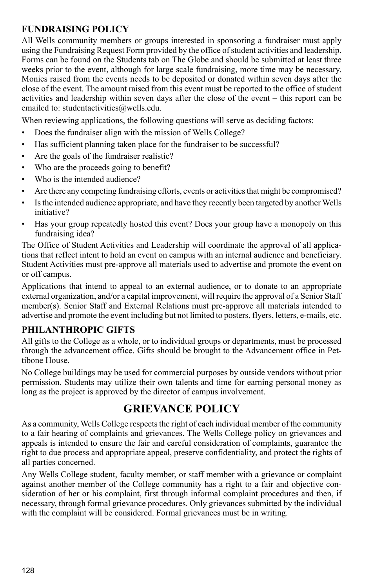### **Fundraising Policy**

All Wells community members or groups interested in sponsoring a fundraiser must apply using the Fundraising Request Form provided by the office of student activities and leadership. Forms can be found on the Students tab on The Globe and should be submitted at least three weeks prior to the event, although for large scale fundraising, more time may be necessary. Monies raised from the events needs to be deposited or donated within seven days after the close of the event. The amount raised from this event must be reported to the office of student activities and leadership within seven days after the close of the event – this report can be emailed to: studentactivities@wells.edu.

When reviewing applications, the following questions will serve as deciding factors:

- Does the fundraiser align with the mission of Wells College?
- Has sufficient planning taken place for the fundraiser to be successful?
- Are the goals of the fundraiser realistic?
- Who are the proceeds going to benefit?
- Who is the intended audience?
- Are there any competing fundraising efforts, events or activities that might be compromised?
- Is the intended audience appropriate, and have they recently been targeted by another Wells initiative?
- Has your group repeatedly hosted this event? Does your group have a monopoly on this fundraising idea?

The Office of Student Activities and Leadership will coordinate the approval of all applications that reflect intent to hold an event on campus with an internal audience and beneficiary. Student Activities must pre-approve all materials used to advertise and promote the event on or off campus.

Applications that intend to appeal to an external audience, or to donate to an appropriate external organization, and/or a capital improvement, will require the approval of a Senior Staff member(s). Senior Staff and External Relations must pre-approve all materials intended to advertise and promote the event including but not limited to posters, flyers, letters, e-mails, etc.

### **Philanthropic Gifts**

All gifts to the College as a whole, or to individual groups or departments, must be processed through the advancement office. Gifts should be brought to the Advancement office in Pettibone House.

No College buildings may be used for commercial purposes by outside vendors without prior permission. Students may utilize their own talents and time for earning personal money as long as the project is approved by the director of campus involvement.

## **GRIEVANCE POLICY**

As a community, Wells College respects the right of each individual member of the community to a fair hearing of complaints and grievances. The Wells College policy on grievances and appeals is intended to ensure the fair and careful consideration of complaints, guarantee the right to due process and appropriate appeal, preserve confidentiality, and protect the rights of all parties concerned.

Any Wells College student, faculty member, or staff member with a grievance or complaint against another member of the College community has a right to a fair and objective consideration of her or his complaint, first through informal complaint procedures and then, if necessary, through formal grievance procedures. Only grievances submitted by the individual with the complaint will be considered. Formal grievances must be in writing.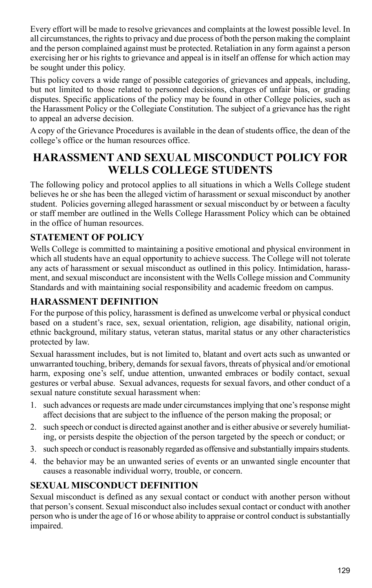Every effort will be made to resolve grievances and complaints at the lowest possible level. In all circumstances, the rights to privacy and due process of both the person making the complaint and the person complained against must be protected. Retaliation in any form against a person exercising her or his rights to grievance and appeal is in itself an offense for which action may be sought under this policy.

This policy covers a wide range of possible categories of grievances and appeals, including, but not limited to those related to personnel decisions, charges of unfair bias, or grading disputes. Specific applications of the policy may be found in other College policies, such as the Harassment Policy or the Collegiate Constitution. The subject of a grievance has the right to appeal an adverse decision.

A copy of the Grievance Procedures is available in the dean of students office, the dean of the college's office or the human resources office.

## **HARASSMENT AND SEXUAL MISCONDUCT POLICY FOR WELLS COLLEGE STUDENTS**

The following policy and protocol applies to all situations in which a Wells College student believes he or she has been the alleged victim of harassment or sexual misconduct by another student. Policies governing alleged harassment or sexual misconduct by or between a faculty or staff member are outlined in the Wells College Harassment Policy which can be obtained in the office of human resources.

### **Statement of Policy**

Wells College is committed to maintaining a positive emotional and physical environment in which all students have an equal opportunity to achieve success. The College will not tolerate any acts of harassment or sexual misconduct as outlined in this policy. Intimidation, harassment, and sexual misconduct are inconsistent with the Wells College mission and Community Standards and with maintaining social responsibility and academic freedom on campus.

#### **Harassment Definition**

For the purpose of this policy, harassment is defined as unwelcome verbal or physical conduct based on a student's race, sex, sexual orientation, religion, age disability, national origin, ethnic background, military status, veteran status, marital status or any other characteristics protected by law.

Sexual harassment includes, but is not limited to, blatant and overt acts such as unwanted or unwarranted touching, bribery, demands for sexual favors, threats of physical and/or emotional harm, exposing one's self, undue attention, unwanted embraces or bodily contact, sexual gestures or verbal abuse. Sexual advances, requests for sexual favors, and other conduct of a sexual nature constitute sexual harassment when:

- 1. such advances or requests are made under circumstances implying that one's response might affect decisions that are subject to the influence of the person making the proposal; or
- 2. such speech or conduct is directed against another and is either abusive or severely humiliating, or persists despite the objection of the person targeted by the speech or conduct; or
- 3. such speech or conduct is reasonably regarded as offensive and substantially impairs students.
- 4. the behavior may be an unwanted series of events or an unwanted single encounter that causes a reasonable individual worry, trouble, or concern.

### **Sexual Misconduct Definition**

Sexual misconduct is defined as any sexual contact or conduct with another person without that person's consent. Sexual misconduct also includes sexual contact or conduct with another person who is under the age of 16 or whose ability to appraise or control conduct is substantially impaired.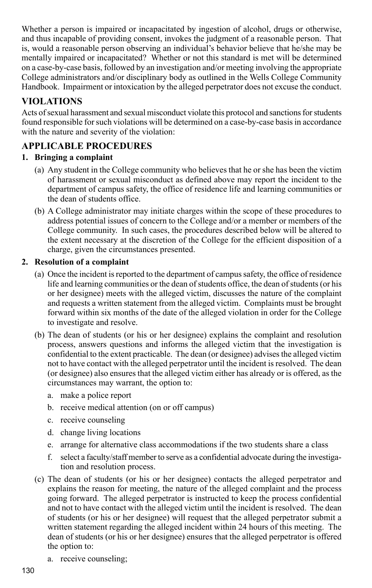Whether a person is impaired or incapacitated by ingestion of alcohol, drugs or otherwise, and thus incapable of providing consent, invokes the judgment of a reasonable person. That is, would a reasonable person observing an individual's behavior believe that he/she may be mentally impaired or incapacitated? Whether or not this standard is met will be determined on a case-by-case basis, followed by an investigation and/or meeting involving the appropriate College administrators and/or disciplinary body as outlined in the Wells College Community Handbook. Impairment or intoxication by the alleged perpetrator does not excuse the conduct.

## **Violations**

Acts of sexual harassment and sexual misconduct violate this protocol and sanctions for students found responsible for such violations will be determined on a case-by-case basis in accordance with the nature and severity of the violation:

### **APPLICABLE PROCEDURES**

#### **1. Bringing a complaint**

- (a) Any student in the College community who believes that he or she has been the victim of harassment or sexual misconduct as defined above may report the incident to the department of campus safety, the office of residence life and learning communities or the dean of students office.
- (b) A College administrator may initiate charges within the scope of these procedures to address potential issues of concern to the College and/or a member or members of the College community. In such cases, the procedures described below will be altered to the extent necessary at the discretion of the College for the efficient disposition of a charge, given the circumstances presented.

#### **2. Resolution of a complaint**

- (a) Once the incident is reported to the department of campus safety, the office of residence life and learning communities or the dean of students office, the dean of students (or his or her designee) meets with the alleged victim, discusses the nature of the complaint and requests a written statement from the alleged victim. Complaints must be brought forward within six months of the date of the alleged violation in order for the College to investigate and resolve.
- (b) The dean of students (or his or her designee) explains the complaint and resolution process, answers questions and informs the alleged victim that the investigation is confidential to the extent practicable. The dean (or designee) advises the alleged victim not to have contact with the alleged perpetrator until the incident is resolved. The dean (or designee) also ensures that the alleged victim either has already or is offered, as the circumstances may warrant, the option to:
	- a. make a police report
	- b. receive medical attention (on or off campus)
	- c. receive counseling
	- d. change living locations
	- e. arrange for alternative class accommodations if the two students share a class
	- f. select a faculty/staff member to serve as a confidential advocate during the investigation and resolution process.
- (c) The dean of students (or his or her designee) contacts the alleged perpetrator and explains the reason for meeting, the nature of the alleged complaint and the process going forward. The alleged perpetrator is instructed to keep the process confidential and not to have contact with the alleged victim until the incident is resolved. The dean of students (or his or her designee) will request that the alleged perpetrator submit a written statement regarding the alleged incident within 24 hours of this meeting. The dean of students (or his or her designee) ensures that the alleged perpetrator is offered the option to:
	- a. receive counseling;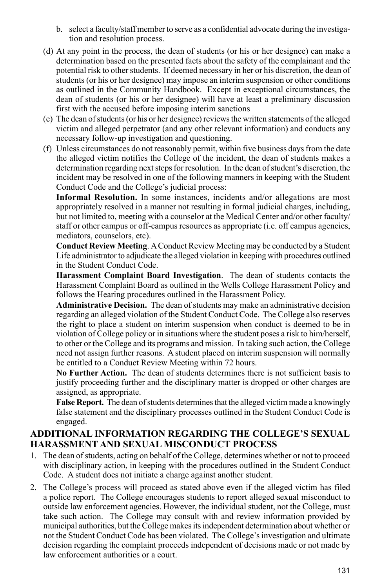- b. select a faculty/staff member to serve as a confidential advocate during the investigation and resolution process.
- (d) At any point in the process, the dean of students (or his or her designee) can make a determination based on the presented facts about the safety of the complainant and the potential risk to other students. If deemed necessary in her or his discretion, the dean of students (or his or her designee) may impose an interim suspension or other conditions as outlined in the Community Handbook. Except in exceptional circumstances, the dean of students (or his or her designee) will have at least a preliminary discussion first with the accused before imposing interim sanctions
- (e) The dean of students (or his or her designee) reviews the written statements of the alleged victim and alleged perpetrator (and any other relevant information) and conducts any necessary follow-up investigation and questioning.
- (f) Unless circumstances do not reasonably permit, within five business days from the date the alleged victim notifies the College of the incident, the dean of students makes a determination regarding next steps for resolution. In the dean of student's discretion, the incident may be resolved in one of the following manners in keeping with the Student Conduct Code and the College's judicial process:

**Informal Resolution.** In some instances, incidents and/or allegations are most appropriately resolved in a manner not resulting in formal judicial charges, including, but not limited to, meeting with a counselor at the Medical Center and/or other faculty/ staff or other campus or off-campus resources as appropriate (i.e. off campus agencies, mediators, counselors, etc).

**Conduct Review Meeting**. A Conduct Review Meeting may be conducted by a Student Life administrator to adjudicate the alleged violation in keeping with procedures outlined in the Student Conduct Code.

**Harassment Complaint Board Investigation**. The dean of students contacts the Harassment Complaint Board as outlined in the Wells College Harassment Policy and follows the Hearing procedures outlined in the Harassment Policy.

**Administrative Decision.** The dean of students may make an administrative decision regarding an alleged violation of the Student Conduct Code. The College also reserves the right to place a student on interim suspension when conduct is deemed to be in violation of College policy or in situations where the student poses a risk to him/herself, to other or the College and its programs and mission. In taking such action, the College need not assign further reasons. A student placed on interim suspension will normally be entitled to a Conduct Review Meeting within 72 hours.

**No Further Action.** The dean of students determines there is not sufficient basis to justify proceeding further and the disciplinary matter is dropped or other charges are assigned, as appropriate.

**False Report.** The dean of students determines that the alleged victim made a knowingly false statement and the disciplinary processes outlined in the Student Conduct Code is engaged.

#### **ADDITIONAL INFORMATION REGARDING THE COLLEGE'S SEXUAL HARASSMENT AND SEXUAL MISCONDUCT PROCESS**

- 1. The dean of students, acting on behalf of the College, determines whether or not to proceed with disciplinary action, in keeping with the procedures outlined in the Student Conduct Code. A student does not initiate a charge against another student.
- 2. The College's process will proceed as stated above even if the alleged victim has filed a police report. The College encourages students to report alleged sexual misconduct to outside law enforcement agencies. However, the individual student, not the College, must take such action. The College may consult with and review information provided by municipal authorities, but the College makes its independent determination about whether or not the Student Conduct Code has been violated. The College's investigation and ultimate decision regarding the complaint proceeds independent of decisions made or not made by law enforcement authorities or a court.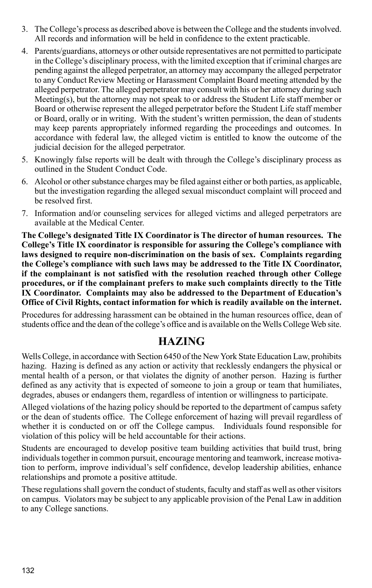- 3. The College's process as described above is between the College and the students involved. All records and information will be held in confidence to the extent practicable.
- 4. Parents/guardians, attorneys or other outside representatives are not permitted to participate in the College's disciplinary process, with the limited exception that if criminal charges are pending against the alleged perpetrator, an attorney may accompany the alleged perpetrator to any Conduct Review Meeting or Harassment Complaint Board meeting attended by the alleged perpetrator. The alleged perpetrator may consult with his or her attorney during such Meeting(s), but the attorney may not speak to or address the Student Life staff member or Board or otherwise represent the alleged perpetrator before the Student Life staff member or Board, orally or in writing. With the student's written permission, the dean of students may keep parents appropriately informed regarding the proceedings and outcomes. In accordance with federal law, the alleged victim is entitled to know the outcome of the judicial decision for the alleged perpetrator.
- 5. Knowingly false reports will be dealt with through the College's disciplinary process as outlined in the Student Conduct Code.
- 6. Alcohol or other substance charges may be filed against either or both parties, as applicable, but the investigation regarding the alleged sexual misconduct complaint will proceed and be resolved first.
- 7. Information and/or counseling services for alleged victims and alleged perpetrators are available at the Medical Center.

**The College's designated Title IX Coordinator is The director of human resources. The College's Title IX coordinator is responsible for assuring the College's compliance with laws designed to require non-discrimination on the basis of sex. Complaints regarding the College's compliance with such laws may be addressed to the Title IX Coordinator, if the complainant is not satisfied with the resolution reached through other College procedures, or if the complainant prefers to make such complaints directly to the Title IX Coordinator. Complaints may also be addressed to the Department of Education's Office of Civil Rights, contact information for which is readily available on the internet.**

Procedures for addressing harassment can be obtained in the human resources office, dean of students office and the dean of the college's office and is available on the Wells College Web site.

## **HAZING**

Wells College, in accordance with Section 6450 of the New York State Education Law, prohibits hazing. Hazing is defined as any action or activity that recklessly endangers the physical or mental health of a person, or that violates the dignity of another person. Hazing is further defined as any activity that is expected of someone to join a group or team that humiliates, degrades, abuses or endangers them, regardless of intention or willingness to participate.

Alleged violations of the hazing policy should be reported to the department of campus safety or the dean of students office. The College enforcement of hazing will prevail regardless of whether it is conducted on or off the College campus. Individuals found responsible for violation of this policy will be held accountable for their actions.

Students are encouraged to develop positive team building activities that build trust, bring individuals together in common pursuit, encourage mentoring and teamwork, increase motivation to perform, improve individual's self confidence, develop leadership abilities, enhance relationships and promote a positive attitude.

These regulations shall govern the conduct of students, faculty and staff as well as other visitors on campus. Violators may be subject to any applicable provision of the Penal Law in addition to any College sanctions.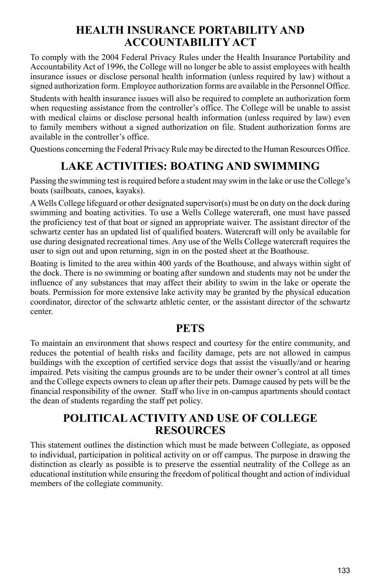## **HEALTH INSURANCE PORTABILITY AND ACCOUNTABILITY ACT**

To comply with the 2004 Federal Privacy Rules under the Health Insurance Portability and Accountability Act of 1996, the College will no longer be able to assist employees with health insurance issues or disclose personal health information (unless required by law) without a signed authorization form. Employee authorization forms are available in the Personnel Office.

Students with health insurance issues will also be required to complete an authorization form when requesting assistance from the controller's office. The College will be unable to assist with medical claims or disclose personal health information (unless required by law) even to family members without a signed authorization on file. Student authorization forms are available in the controller's office.

Questions concerning the Federal Privacy Rule may be directed to the Human Resources Office.

## **LAKE ACTIVITIES: BOATING AND SWIMMING**

Passing the swimming test is required before a student may swim in the lake or use the College's boats (sailboats, canoes, kayaks).

A Wells College lifeguard or other designated supervisor(s) must be on duty on the dock during swimming and boating activities. To use a Wells College watercraft, one must have passed the proficiency test of that boat or signed an appropriate waiver. The assistant director of the schwartz center has an updated list of qualified boaters. Watercraft will only be available for use during designated recreational times. Any use of the Wells College watercraft requires the user to sign out and upon returning, sign in on the posted sheet at the Boathouse.

Boating is limited to the area within 400 yards of the Boathouse, and always within sight of the dock. There is no swimming or boating after sundown and students may not be under the influence of any substances that may affect their ability to swim in the lake or operate the boats. Permission for more extensive lake activity may be granted by the physical education coordinator, director of the schwartz athletic center, or the assistant director of the schwartz center.

### **PETS**

To maintain an environment that shows respect and courtesy for the entire community, and reduces the potential of health risks and facility damage, pets are not allowed in campus buildings with the exception of certified service dogs that assist the visually/and or hearing impaired. Pets visiting the campus grounds are to be under their owner's control at all times and the College expects owners to clean up after their pets. Damage caused by pets will be the financial responsibility of the owner. Staff who live in on-campus apartments should contact the dean of students regarding the staff pet policy.

## **POLITICAL ACTIVITY AND USE OF COLLEGE RESOURCES**

This statement outlines the distinction which must be made between Collegiate, as opposed to individual, participation in political activity on or off campus. The purpose in drawing the distinction as clearly as possible is to preserve the essential neutrality of the College as an educational institution while ensuring the freedom of political thought and action of individual members of the collegiate community.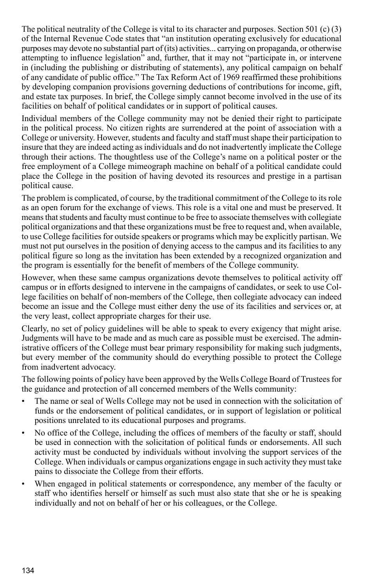The political neutrality of the College is vital to its character and purposes. Section 501 (c) (3) of the Internal Revenue Code states that "an institution operating exclusively for educational purposes may devote no substantial part of (its) activities... carrying on propaganda, or otherwise attempting to influence legislation" and, further, that it may not "participate in, or intervene in (including the publishing or distributing of statements), any political campaign on behalf of any candidate of public office." The Tax Reform Act of 1969 reaffirmed these prohibitions by developing companion provisions governing deductions of contributions for income, gift, and estate tax purposes. In brief, the College simply cannot become involved in the use of its facilities on behalf of political candidates or in support of political causes.

Individual members of the College community may not be denied their right to participate in the political process. No citizen rights are surrendered at the point of association with a College or university. However, students and faculty and staff must shape their participation to insure that they are indeed acting as individuals and do not inadvertently implicate the College through their actions. The thoughtless use of the College's name on a political poster or the free employment of a College mimeograph machine on behalf of a political candidate could place the College in the position of having devoted its resources and prestige in a partisan political cause.

The problem is complicated, of course, by the traditional commitment of the College to its role as an open forum for the exchange of views. This role is a vital one and must be preserved. It means that students and faculty must continue to be free to associate themselves with collegiate political organizations and that these organizations must be free to request and, when available, to use College facilities for outside speakers or programs which may be explicitly partisan. We must not put ourselves in the position of denying access to the campus and its facilities to any political figure so long as the invitation has been extended by a recognized organization and the program is essentially for the benefit of members of the College community.

However, when these same campus organizations devote themselves to political activity off campus or in efforts designed to intervene in the campaigns of candidates, or seek to use College facilities on behalf of non-members of the College, then collegiate advocacy can indeed become an issue and the College must either deny the use of its facilities and services or, at the very least, collect appropriate charges for their use.

Clearly, no set of policy guidelines will be able to speak to every exigency that might arise. Judgments will have to be made and as much care as possible must be exercised. The administrative officers of the College must bear primary responsibility for making such judgments, but every member of the community should do everything possible to protect the College from inadvertent advocacy.

The following points of policy have been approved by the Wells College Board of Trustees for the guidance and protection of all concerned members of the Wells community:

- The name or seal of Wells College may not be used in connection with the solicitation of funds or the endorsement of political candidates, or in support of legislation or political positions unrelated to its educational purposes and programs.
- No office of the College, including the offices of members of the faculty or staff, should be used in connection with the solicitation of political funds or endorsements. All such activity must be conducted by individuals without involving the support services of the College. When individuals or campus organizations engage in such activity they must take pains to dissociate the College from their efforts.
- When engaged in political statements or correspondence, any member of the faculty or staff who identifies herself or himself as such must also state that she or he is speaking individually and not on behalf of her or his colleagues, or the College.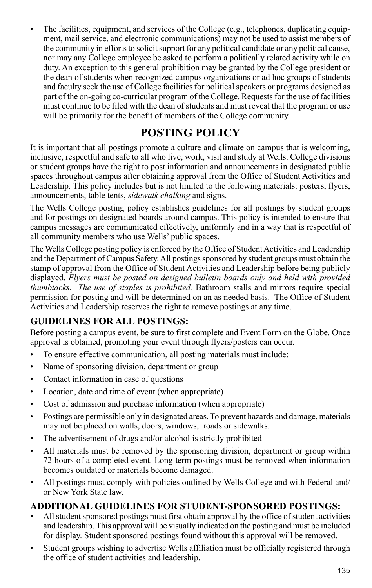The facilities, equipment, and services of the College (e.g., telephones, duplicating equipment, mail service, and electronic communications) may not be used to assist members of the community in efforts to solicit support for any political candidate or any political cause, nor may any College employee be asked to perform a politically related activity while on duty. An exception to this general prohibition may be granted by the College president or the dean of students when recognized campus organizations or ad hoc groups of students and faculty seek the use of College facilities for political speakers or programs designed as part of the on-going co-curricular program of the College. Requests for the use of facilities must continue to be filed with the dean of students and must reveal that the program or use will be primarily for the benefit of members of the College community.

## **POSTING POLICY**

It is important that all postings promote a culture and climate on campus that is welcoming, inclusive, respectful and safe to all who live, work, visit and study at Wells. College divisions or student groups have the right to post information and announcements in designated public spaces throughout campus after obtaining approval from the Office of Student Activities and Leadership. This policy includes but is not limited to the following materials: posters, flyers, announcements, table tents, *sidewalk chalking* and signs.

The Wells College posting policy establishes guidelines for all postings by student groups and for postings on designated boards around campus. This policy is intended to ensure that campus messages are communicated effectively, uniformly and in a way that is respectful of all community members who use Wells' public spaces.

The Wells College posting policy is enforced by the Office of Student Activities and Leadership and the Department of Campus Safety. All postings sponsored by student groups must obtain the stamp of approval from the Office of Student Activities and Leadership before being publicly displayed. *Flyers must be posted on designed bulletin boards only and held with provided thumbtacks. The use of staples is prohibited.* Bathroom stalls and mirrors require special permission for posting and will be determined on an as needed basis. The Office of Student Activities and Leadership reserves the right to remove postings at any time.

### **GUIDELINES FOR ALL POSTINGS:**

Before posting a campus event, be sure to first complete and Event Form on the Globe. Once approval is obtained, promoting your event through flyers/posters can occur.

- To ensure effective communication, all posting materials must include:
- Name of sponsoring division, department or group
- Contact information in case of questions
- Location, date and time of event (when appropriate)
- Cost of admission and purchase information (when appropriate)
- Postings are permissible only in designated areas. To prevent hazards and damage, materials may not be placed on walls, doors, windows, roads or sidewalks.
- The advertisement of drugs and/or alcohol is strictly prohibited
- All materials must be removed by the sponsoring division, department or group within 72 hours of a completed event. Long term postings must be removed when information becomes outdated or materials become damaged.
- All postings must comply with policies outlined by Wells College and with Federal and/ or New York State law.

#### **Additional guidelines for student-sponsored postings:**

- All student sponsored postings must first obtain approval by the office of student activities and leadership. This approval will be visually indicated on the posting and must be included for display. Student sponsored postings found without this approval will be removed.
- Student groups wishing to advertise Wells affiliation must be officially registered through the office of student activities and leadership.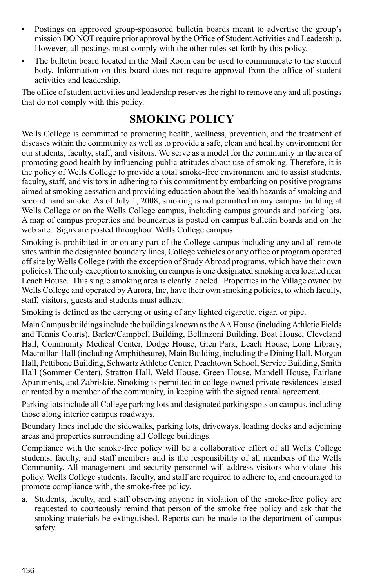- Postings on approved group-sponsored bulletin boards meant to advertise the group's mission DO NOT require prior approval by the Office of Student Activities and Leadership. However, all postings must comply with the other rules set forth by this policy.
- The bulletin board located in the Mail Room can be used to communicate to the student body. Information on this board does not require approval from the office of student activities and leadership.

The office of student activities and leadership reserves the right to remove any and all postings that do not comply with this policy.

## **SMOKING POLICY**

Wells College is committed to promoting health, wellness, prevention, and the treatment of diseases within the community as well as to provide a safe, clean and healthy environment for our students, faculty, staff, and visitors. We serve as a model for the community in the area of promoting good health by influencing public attitudes about use of smoking. Therefore, it is the policy of Wells College to provide a total smoke-free environment and to assist students, faculty, staff, and visitors in adhering to this commitment by embarking on positive programs aimed at smoking cessation and providing education about the health hazards of smoking and second hand smoke. As of July 1, 2008, smoking is not permitted in any campus building at Wells College or on the Wells College campus, including campus grounds and parking lots. A map of campus properties and boundaries is posted on campus bulletin boards and on the web site. Signs are posted throughout Wells College campus

Smoking is prohibited in or on any part of the College campus including any and all remote sites within the designated boundary lines, College vehicles or any office or program operated off site by Wells College (with the exception of Study Abroad programs, which have their own policies). The only exception to smoking on campus is one designated smoking area located near Leach House. This single smoking area is clearly labeled. Properties in the Village owned by Wells College and operated by Aurora, Inc, have their own smoking policies, to which faculty, staff, visitors, guests and students must adhere.

Smoking is defined as the carrying or using of any lighted cigarette, cigar, or pipe.

Main Campus buildings include the buildings known as the AA House (including Athletic Fields and Tennis Courts), Barler/Campbell Building, Bellinzoni Building, Boat House, Cleveland Hall, Community Medical Center, Dodge House, Glen Park, Leach House, Long Library, Macmillan Hall (including Amphitheatre), Main Building, including the Dining Hall, Morgan Hall, Pettibone Building, Schwartz Athletic Center, Peachtown School, Service Building, Smith Hall (Sommer Center), Stratton Hall, Weld House, Green House, Mandell House, Fairlane Apartments, and Zabriskie. Smoking is permitted in college-owned private residences leased or rented by a member of the community, in keeping with the signed rental agreement.

Parking lots include all College parking lots and designated parking spots on campus, including those along interior campus roadways.

Boundary lines include the sidewalks, parking lots, driveways, loading docks and adjoining areas and properties surrounding all College buildings.

Compliance with the smoke-free policy will be a collaborative effort of all Wells College students, faculty, and staff members and is the responsibility of all members of the Wells Community. All management and security personnel will address visitors who violate this policy. Wells College students, faculty, and staff are required to adhere to, and encouraged to promote compliance with, the smoke-free policy.

a. Students, faculty, and staff observing anyone in violation of the smoke-free policy are requested to courteously remind that person of the smoke free policy and ask that the smoking materials be extinguished. Reports can be made to the department of campus safety.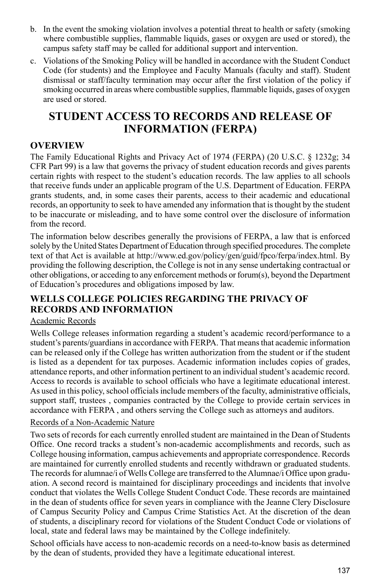- b. In the event the smoking violation involves a potential threat to health or safety (smoking where combustible supplies, flammable liquids, gases or oxygen are used or stored), the campus safety staff may be called for additional support and intervention.
- c. Violations of the Smoking Policy will be handled in accordance with the Student Conduct Code (for students) and the Employee and Faculty Manuals (faculty and staff). Student dismissal or staff/faculty termination may occur after the first violation of the policy if smoking occurred in areas where combustible supplies, flammable liquids, gases of oxygen are used or stored.

## **STUDENT ACCESS TO RECORDS AND RELEASE OF INFORMATION (FERPA)**

#### **Overview**

The Family Educational Rights and Privacy Act of 1974 (FERPA) (20 U.S.C. § 1232g; 34 CFR Part 99) is a law that governs the privacy of student education records and gives parents certain rights with respect to the student's education records. The law applies to all schools that receive funds under an applicable program of the U.S. Department of Education. FERPA grants students, and, in some cases their parents, access to their academic and educational records, an opportunity to seek to have amended any information that is thought by the student to be inaccurate or misleading, and to have some control over the disclosure of information from the record.

The information below describes generally the provisions of FERPA, a law that is enforced solely by the United States Department of Education through specified procedures. The complete text of that Act is available at http://www.ed.gov/policy/gen/guid/fpco/ferpa/index.html. By providing the following description, the College is not in any sense undertaking contractual or other obligations, or acceding to any enforcement methods or forum(s), beyond the Department of Education's procedures and obligations imposed by law.

#### **Wells College Policies Regarding the Privacy of Records and Information**

#### Academic Records

Wells College releases information regarding a student's academic record/performance to a student's parents/guardians in accordance with FERPA. That means that academic information can be released only if the College has written authorization from the student or if the student is listed as a dependent for tax purposes. Academic information includes copies of grades, attendance reports, and other information pertinent to an individual student's academic record. Access to records is available to school officials who have a legitimate educational interest. As used in this policy, school officials include members of the faculty, administrative officials, support staff, trustees , companies contracted by the College to provide certain services in accordance with FERPA , and others serving the College such as attorneys and auditors.

#### Records of a Non-Academic Nature

Two sets of records for each currently enrolled student are maintained in the Dean of Students Office. One record tracks a student's non-academic accomplishments and records, such as College housing information, campus achievements and appropriate correspondence. Records are maintained for currently enrolled students and recently withdrawn or graduated students. The records for alumnae/i of Wells College are transferred to the Alumnae/i Office upon graduation. A second record is maintained for disciplinary proceedings and incidents that involve conduct that violates the Wells College Student Conduct Code. These records are maintained in the dean of students office for seven years in compliance with the Jeanne Clery Disclosure of Campus Security Policy and Campus Crime Statistics Act. At the discretion of the dean of students, a disciplinary record for violations of the Student Conduct Code or violations of local, state and federal laws may be maintained by the College indefinitely.

School officials have access to non-academic records on a need-to-know basis as determined by the dean of students, provided they have a legitimate educational interest.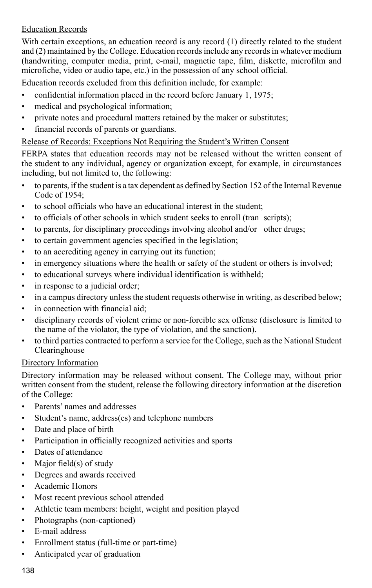#### Education Records

With certain exceptions, an education record is any record (1) directly related to the student and (2) maintained by the College. Education records include any records in whatever medium (handwriting, computer media, print, e-mail, magnetic tape, film, diskette, microfilm and microfiche, video or audio tape, etc.) in the possession of any school official.

Education records excluded from this definition include, for example:

- confidential information placed in the record before January 1, 1975;
- medical and psychological information;
- private notes and procedural matters retained by the maker or substitutes;
- financial records of parents or guardians.

#### Release of Records: Exceptions Not Requiring the Student's Written Consent

FERPA states that education records may not be released without the written consent of the student to any individual, agency or organization except, for example, in circumstances including, but not limited to, the following:

- to parents, if the student is a tax dependent as defined by Section 152 of the Internal Revenue Code of 1954;
- to school officials who have an educational interest in the student;
- to officials of other schools in which student seeks to enroll (tran scripts);
- to parents, for disciplinary proceedings involving alcohol and/or other drugs;
- to certain government agencies specified in the legislation;
- to an accrediting agency in carrying out its function;
- in emergency situations where the health or safety of the student or others is involved;
- to educational surveys where individual identification is withheld;
- in response to a judicial order;
- in a campus directory unless the student requests otherwise in writing, as described below;
- in connection with financial aid;
- disciplinary records of violent crime or non-forcible sex offense (disclosure is limited to the name of the violator, the type of violation, and the sanction).
- to third parties contracted to perform a service for the College, such as the National Student **Clearinghouse**

#### Directory Information

Directory information may be released without consent. The College may, without prior written consent from the student, release the following directory information at the discretion of the College:

- Parents' names and addresses
- Student's name, address(es) and telephone numbers
- Date and place of birth
- Participation in officially recognized activities and sports
- Dates of attendance
- Major field(s) of study
- Degrees and awards received
- Academic Honors
- Most recent previous school attended
- Athletic team members: height, weight and position played
- Photographs (non-captioned)
- E-mail address
- Enrollment status (full-time or part-time)
- Anticipated year of graduation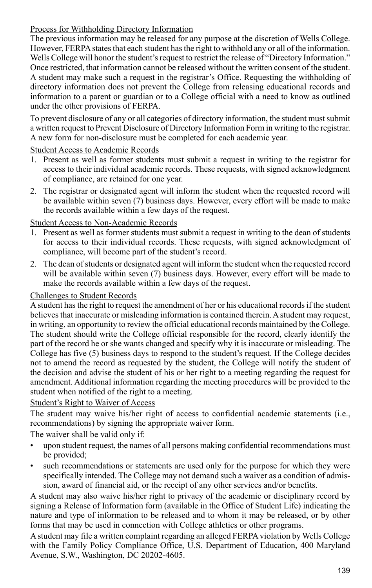#### Process for Withholding Directory Information

The previous information may be released for any purpose at the discretion of Wells College. However, FERPA states that each student has the right to withhold any or all of the information. Wells College will honor the student's request to restrict the release of "Directory Information." Once restricted, that information cannot be released without the written consent of the student. A student may make such a request in the registrar's Office. Requesting the withholding of directory information does not prevent the College from releasing educational records and information to a parent or guardian or to a College official with a need to know as outlined under the other provisions of FERPA.

To prevent disclosure of any or all categories of directory information, the student must submit a written request to Prevent Disclosure of Directory Information Form in writing to the registrar. A new form for non-disclosure must be completed for each academic year.

#### Student Access to Academic Records

- 1. Present as well as former students must submit a request in writing to the registrar for access to their individual academic records. These requests, with signed acknowledgment of compliance, are retained for one year.
- 2. The registrar or designated agent will inform the student when the requested record will be available within seven (7) business days. However, every effort will be made to make the records available within a few days of the request.

#### Student Access to Non-Academic Records

- 1. Present as well as former students must submit a request in writing to the dean of students for access to their individual records. These requests, with signed acknowledgment of compliance, will become part of the student's record.
- 2. The dean of students or designated agent will inform the student when the requested record will be available within seven (7) business days. However, every effort will be made to make the records available within a few days of the request.

#### Challenges to Student Records

A student has the right to request the amendment of her or his educational records if the student believes that inaccurate or misleading information is contained therein. A student may request, in writing, an opportunity to review the official educational records maintained by the College. The student should write the College official responsible for the record, clearly identify the part of the record he or she wants changed and specify why it is inaccurate or misleading. The College has five (5) business days to respond to the student's request. If the College decides not to amend the record as requested by the student, the College will notify the student of the decision and advise the student of his or her right to a meeting regarding the request for amendment. Additional information regarding the meeting procedures will be provided to the student when notified of the right to a meeting.

#### Student's Right to Waiver of Access

The student may waive his/her right of access to confidential academic statements (i.e., recommendations) by signing the appropriate waiver form.

The waiver shall be valid only if:

- upon student request, the names of all persons making confidential recommendations must be provided;
- such recommendations or statements are used only for the purpose for which they were specifically intended. The College may not demand such a waiver as a condition of admission, award of financial aid, or the receipt of any other services and/or benefits.

A student may also waive his/her right to privacy of the academic or disciplinary record by signing a Release of Information form (available in the Office of Student Life) indicating the nature and type of information to be released and to whom it may be released, or by other forms that may be used in connection with College athletics or other programs.

A student may file a written complaint regarding an alleged FERPA violation by Wells College with the Family Policy Compliance Office, U.S. Department of Education, 400 Maryland Avenue, S.W., Washington, DC 20202-4605.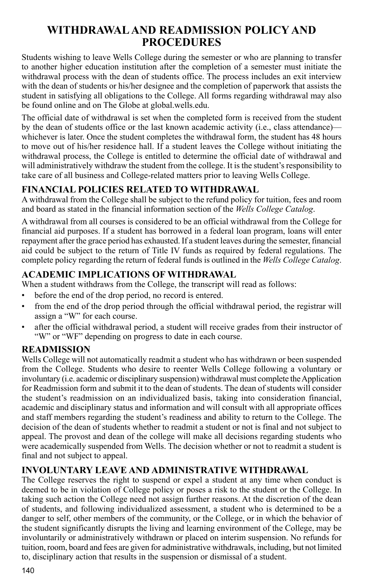## **WITHDRAWAL AND READMISSION POLICY AND PROCEDURES**

Students wishing to leave Wells College during the semester or who are planning to transfer to another higher education institution after the completion of a semester must initiate the withdrawal process with the dean of students office. The process includes an exit interview with the dean of students or his/her designee and the completion of paperwork that assists the student in satisfying all obligations to the College. All forms regarding withdrawal may also be found online and on The Globe at global.wells.edu.

The official date of withdrawal is set when the completed form is received from the student by the dean of students office or the last known academic activity (i.e., class attendance) whichever is later. Once the student completes the withdrawal form, the student has 48 hours to move out of his/her residence hall. If a student leaves the College without initiating the withdrawal process, the College is entitled to determine the official date of withdrawal and will administratively withdraw the student from the college. It is the student's responsibility to take care of all business and College-related matters prior to leaving Wells College.

### **Financial Policies Related to Withdrawal**

A withdrawal from the College shall be subject to the refund policy for tuition, fees and room and board as stated in the financial information section of the *Wells College Catalog*.

A withdrawal from all courses is considered to be an official withdrawal from the College for financial aid purposes. If a student has borrowed in a federal loan program, loans will enter repayment after the grace period has exhausted. If a student leaves during the semester, financial aid could be subject to the return of Title IV funds as required by federal regulations. The complete policy regarding the return of federal funds is outlined in the *Wells College Catalog*.

### **Academic Implications of Withdrawal**

When a student withdraws from the College, the transcript will read as follows:

- before the end of the drop period, no record is entered.
- from the end of the drop period through the official withdrawal period, the registrar will assign a "W" for each course.
- after the official withdrawal period, a student will receive grades from their instructor of "W" or "WF" depending on progress to date in each course.

#### **Readmission**

Wells College will not automatically readmit a student who has withdrawn or been suspended from the College. Students who desire to reenter Wells College following a voluntary or involuntary (i.e. academic or disciplinary suspension) withdrawal must complete the Application for Readmission form and submit it to the dean of students. The dean of students will consider the student's readmission on an individualized basis, taking into consideration financial, academic and disciplinary status and information and will consult with all appropriate offices and staff members regarding the student's readiness and ability to return to the College. The decision of the dean of students whether to readmit a student or not is final and not subject to appeal. The provost and dean of the college will make all decisions regarding students who were academically suspended from Wells. The decision whether or not to readmit a student is final and not subject to appeal.

#### **Involuntary Leave and Administrative Withdrawal**

The College reserves the right to suspend or expel a student at any time when conduct is deemed to be in violation of College policy or poses a risk to the student or the College. In taking such action the College need not assign further reasons. At the discretion of the dean of students, and following individualized assessment, a student who is determined to be a danger to self, other members of the community, or the College, or in which the behavior of the student significantly disrupts the living and learning environment of the College, may be involuntarily or administratively withdrawn or placed on interim suspension. No refunds for tuition, room, board and fees are given for administrative withdrawals, including, but not limited to, disciplinary action that results in the suspension or dismissal of a student.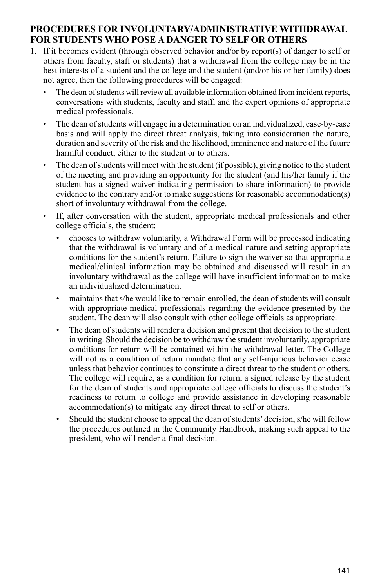#### **procedures for involuntary/administrative withdrawal for students Who Pose a Danger to Self or Others**

- 1. If it becomes evident (through observed behavior and/or by report(s) of danger to self or others from faculty, staff or students) that a withdrawal from the college may be in the best interests of a student and the college and the student (and/or his or her family) does not agree, then the following procedures will be engaged:
	- The dean of students will review all available information obtained from incident reports, conversations with students, faculty and staff, and the expert opinions of appropriate medical professionals.
	- The dean of students will engage in a determination on an individualized, case-by-case basis and will apply the direct threat analysis, taking into consideration the nature, duration and severity of the risk and the likelihood, imminence and nature of the future harmful conduct, either to the student or to others.
	- The dean of students will meet with the student (if possible), giving notice to the student of the meeting and providing an opportunity for the student (and his/her family if the student has a signed waiver indicating permission to share information) to provide evidence to the contrary and/or to make suggestions for reasonable accommodation(s) short of involuntary withdrawal from the college.
	- If, after conversation with the student, appropriate medical professionals and other college officials, the student:
		- chooses to withdraw voluntarily, a Withdrawal Form will be processed indicating that the withdrawal is voluntary and of a medical nature and setting appropriate conditions for the student's return. Failure to sign the waiver so that appropriate medical/clinical information may be obtained and discussed will result in an involuntary withdrawal as the college will have insufficient information to make an individualized determination.
		- maintains that s/he would like to remain enrolled, the dean of students will consult with appropriate medical professionals regarding the evidence presented by the student. The dean will also consult with other college officials as appropriate.
		- The dean of students will render a decision and present that decision to the student in writing. Should the decision be to withdraw the student involuntarily, appropriate conditions for return will be contained within the withdrawal letter. The College will not as a condition of return mandate that any self-injurious behavior cease unless that behavior continues to constitute a direct threat to the student or others. The college will require, as a condition for return, a signed release by the student for the dean of students and appropriate college officials to discuss the student's readiness to return to college and provide assistance in developing reasonable accommodation(s) to mitigate any direct threat to self or others.
		- Should the student choose to appeal the dean of students' decision, s/he will follow the procedures outlined in the Community Handbook, making such appeal to the president, who will render a final decision.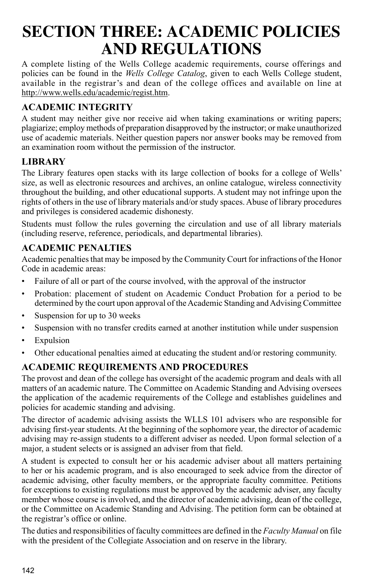# **SECTION THREE: ACADEMIC POLICIES AND REGULATIONS**

A complete listing of the Wells College academic requirements, course offerings and policies can be found in the *Wells College Catalog*, given to each Wells College student, available in the registrar's and dean of the college offices and available on line at http://www.wells.edu/academic/regist.htm.

## **ACADEMIC integrity**

A student may neither give nor receive aid when taking examinations or writing papers; plagiarize; employ methods of preparation disapproved by the instructor; or make unauthorized use of academic materials. Neither question papers nor answer books may be removed from an examination room without the permission of the instructor.

## **LIBRARY**

The Library features open stacks with its large collection of books for a college of Wells' size, as well as electronic resources and archives, an online catalogue, wireless connectivity throughout the building, and other educational supports. A student may not infringe upon the rights of others in the use of library materials and/or study spaces. Abuse of library procedures and privileges is considered academic dishonesty.

Students must follow the rules governing the circulation and use of all library materials (including reserve, reference, periodicals, and departmental libraries).

### **ACADEMIC PENALTIES**

Academic penalties that may be imposed by the Community Court for infractions of the Honor Code in academic areas:

- Failure of all or part of the course involved, with the approval of the instructor
- Probation: placement of student on Academic Conduct Probation for a period to be determined by the court upon approval of the Academic Standing and Advising Committee
- Suspension for up to 30 weeks
- Suspension with no transfer credits earned at another institution while under suspension
- Expulsion
- Other educational penalties aimed at educating the student and/or restoring community.

## **ACADEMIC REQUIREMENTS AND PROCEDURES**

The provost and dean of the college has oversight of the academic program and deals with all matters of an academic nature. The Committee on Academic Standing and Advising oversees the application of the academic requirements of the College and establishes guidelines and policies for academic standing and advising.

The director of academic advising assists the WLLS 101 advisers who are responsible for advising first-year students. At the beginning of the sophomore year, the director of academic advising may re-assign students to a different adviser as needed. Upon formal selection of a major, a student selects or is assigned an adviser from that field.

A student is expected to consult her or his academic adviser about all matters pertaining to her or his academic program, and is also encouraged to seek advice from the director of academic advising, other faculty members, or the appropriate faculty committee. Petitions for exceptions to existing regulations must be approved by the academic adviser, any faculty member whose course is involved, and the director of academic advising, dean of the college, or the Committee on Academic Standing and Advising. The petition form can be obtained at the registrar's office or online.

The duties and responsibilities of faculty committees are defined in the *Faculty Manual* on file with the president of the Collegiate Association and on reserve in the library.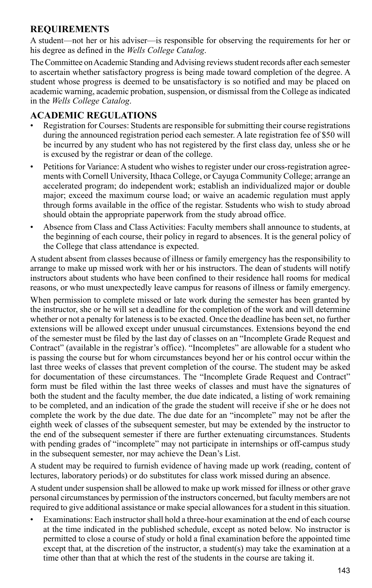#### **REQUIREMENTS**

A student—not her or his adviser—is responsible for observing the requirements for her or his degree as defined in the *Wells College Catalog*.

The Committee on Academic Standing and Advising reviews student records after each semester to ascertain whether satisfactory progress is being made toward completion of the degree. A student whose progress is deemed to be unsatisfactory is so notified and may be placed on academic warning, academic probation, suspension, or dismissal from the College as indicated in the *Wells College Catalog*.

#### **ACADEMIC REGULATIONS**

- Registration for Courses: Students are responsible for submitting their course registrations during the announced registration period each semester. A late registration fee of \$50 will be incurred by any student who has not registered by the first class day, unless she or he is excused by the registrar or dean of the college.
- Petitions for Variance: A student who wishes to register under our cross-registration agreements with Cornell University, Ithaca College, or Cayuga Community College; arrange an accelerated program; do independent work; establish an individualized major or double major; exceed the maximum course load; or waive an academic regulation must apply through forms available in the office of the registar. Sstudents who wish to study abroad should obtain the appropriate paperwork from the study abroad office.
- Absence from Class and Class Activities: Faculty members shall announce to students, at the beginning of each course, their policy in regard to absences. It is the general policy of the College that class attendance is expected.

A student absent from classes because of illness or family emergency has the responsibility to arrange to make up missed work with her or his instructors. The dean of students will notify instructors about students who have been confined to their residence hall rooms for medical reasons, or who must unexpectedly leave campus for reasons of illness or family emergency.

When permission to complete missed or late work during the semester has been granted by the instructor, she or he will set a deadline for the completion of the work and will determine whether or not a penalty for lateness is to be exacted. Once the deadline has been set, no further extensions will be allowed except under unusual circumstances. Extensions beyond the end of the semester must be filed by the last day of classes on an "Incomplete Grade Request and Contract" (available in the registrar's office). "Incompletes" are allowable for a student who is passing the course but for whom circumstances beyond her or his control occur within the last three weeks of classes that prevent completion of the course. The student may be asked for documentation of these circumstances. The "Incomplete Grade Request and Contract" form must be filed within the last three weeks of classes and must have the signatures of both the student and the faculty member, the due date indicated, a listing of work remaining to be completed, and an indication of the grade the student will receive if she or he does not complete the work by the due date. The due date for an "incomplete" may not be after the eighth week of classes of the subsequent semester, but may be extended by the instructor to the end of the subsequent semester if there are further extenuating circumstances. Students with pending grades of "incomplete" may not participate in internships or off-campus study in the subsequent semester, nor may achieve the Dean's List.

A student may be required to furnish evidence of having made up work (reading, content of lectures, laboratory periods) or do substitutes for class work missed during an absence.

A student under suspension shall be allowed to make up work missed for illness or other grave personal circumstances by permission of the instructors concerned, but faculty members are not required to give additional assistance or make special allowances for a student in this situation.

• Examinations: Each instructor shall hold a three-hour examination at the end of each course at the time indicated in the published schedule, except as noted below. No instructor is permitted to close a course of study or hold a final examination before the appointed time except that, at the discretion of the instructor, a student(s) may take the examination at a time other than that at which the rest of the students in the course are taking it.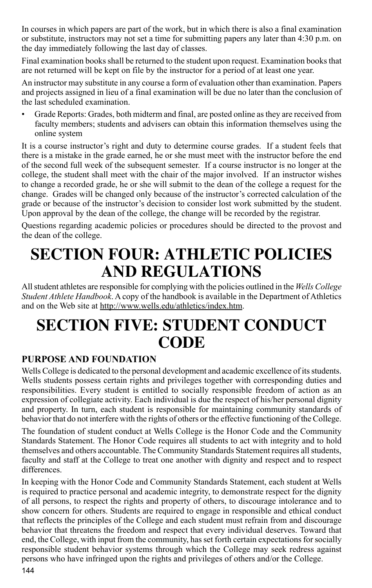In courses in which papers are part of the work, but in which there is also a final examination or substitute, instructors may not set a time for submitting papers any later than 4:30 p.m. on the day immediately following the last day of classes.

Final examination books shall be returned to the student upon request. Examination books that are not returned will be kept on file by the instructor for a period of at least one year.

An instructor may substitute in any course a form of evaluation other than examination. Papers and projects assigned in lieu of a final examination will be due no later than the conclusion of the last scheduled examination.

• Grade Reports: Grades, both midterm and final, are posted online as they are received from faculty members; students and advisers can obtain this information themselves using the online system

It is a course instructor's right and duty to determine course grades. If a student feels that there is a mistake in the grade earned, he or she must meet with the instructor before the end of the second full week of the subsequent semester. If a course instructor is no longer at the college, the student shall meet with the chair of the major involved. If an instructor wishes to change a recorded grade, he or she will submit to the dean of the college a request for the change. Grades will be changed only because of the instructor's corrected calculation of the grade or because of the instructor's decision to consider lost work submitted by the student. Upon approval by the dean of the college, the change will be recorded by the registrar.

Questions regarding academic policies or procedures should be directed to the provost and the dean of the college.

# **SECTION FOUR: ATHLETIC POLICIES AND REGULATIONS**

All student athletes are responsible for complying with the policies outlined in the *Wells College Student Athlete Handbook*. A copy of the handbook is available in the Department of Athletics and on the Web site at http://www.wells.edu/athletics/index.htm.

# **SECTION FIVE: STUDENT CONDUCT CODE**

### **PURPOSE AND FOUNDATION**

Wells College is dedicated to the personal development and academic excellence of its students. Wells students possess certain rights and privileges together with corresponding duties and responsibilities. Every student is entitled to socially responsible freedom of action as an expression of collegiate activity. Each individual is due the respect of his/her personal dignity and property. In turn, each student is responsible for maintaining community standards of behavior that do not interfere with the rights of others or the effective functioning of the College.

The foundation of student conduct at Wells College is the Honor Code and the Community Standards Statement. The Honor Code requires all students to act with integrity and to hold themselves and others accountable. The Community Standards Statement requires all students, faculty and staff at the College to treat one another with dignity and respect and to respect differences.

In keeping with the Honor Code and Community Standards Statement, each student at Wells is required to practice personal and academic integrity, to demonstrate respect for the dignity of all persons, to respect the rights and property of others, to discourage intolerance and to show concern for others. Students are required to engage in responsible and ethical conduct that reflects the principles of the College and each student must refrain from and discourage behavior that threatens the freedom and respect that every individual deserves. Toward that end, the College, with input from the community, has set forth certain expectations for socially responsible student behavior systems through which the College may seek redress against persons who have infringed upon the rights and privileges of others and/or the College.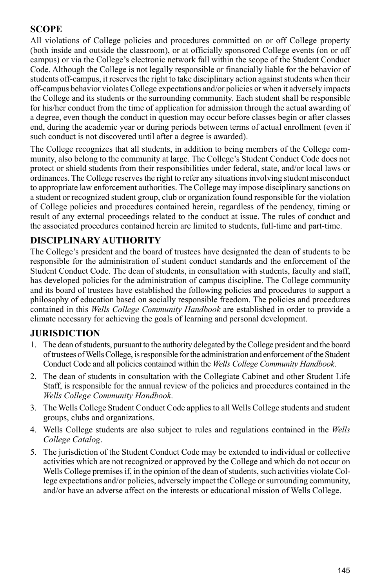#### **SCOPE**

All violations of College policies and procedures committed on or off College property (both inside and outside the classroom), or at officially sponsored College events (on or off campus) or via the College's electronic network fall within the scope of the Student Conduct Code. Although the College is not legally responsible or financially liable for the behavior of students off-campus, it reserves the right to take disciplinary action against students when their off-campus behavior violates College expectations and/or policies or when it adversely impacts the College and its students or the surrounding community. Each student shall be responsible for his/her conduct from the time of application for admission through the actual awarding of a degree, even though the conduct in question may occur before classes begin or after classes end, during the academic year or during periods between terms of actual enrollment (even if such conduct is not discovered until after a degree is awarded).

The College recognizes that all students, in addition to being members of the College community, also belong to the community at large. The College's Student Conduct Code does not protect or shield students from their responsibilities under federal, state, and/or local laws or ordinances. The College reserves the right to refer any situations involving student misconduct to appropriate law enforcement authorities. The College may impose disciplinary sanctions on a student or recognized student group, club or organization found responsible for the violation of College policies and procedures contained herein, regardless of the pendency, timing or result of any external proceedings related to the conduct at issue. The rules of conduct and the associated procedures contained herein are limited to students, full-time and part-time.

#### **DISCIPLINARY AUTHORITY**

The College's president and the board of trustees have designated the dean of students to be responsible for the administration of student conduct standards and the enforcement of the Student Conduct Code. The dean of students, in consultation with students, faculty and staff, has developed policies for the administration of campus discipline. The College community and its board of trustees have established the following policies and procedures to support a philosophy of education based on socially responsible freedom. The policies and procedures contained in this *Wells College Community Handbook* are established in order to provide a climate necessary for achieving the goals of learning and personal development.

#### **JURISDICTION**

- 1. The dean of students, pursuant to the authority delegated by the College president and the board of trustees of Wells College, is responsible for the administration and enforcement of the Student Conduct Code and all policies contained within the *Wells College Community Handbook*.
- 2. The dean of students in consultation with the Collegiate Cabinet and other Student Life Staff, is responsible for the annual review of the policies and procedures contained in the *Wells College Community Handbook*.
- 3. The Wells College Student Conduct Code applies to all Wells College students and student groups, clubs and organizations.
- 4. Wells College students are also subject to rules and regulations contained in the *Wells College Catalog*.
- 5. The jurisdiction of the Student Conduct Code may be extended to individual or collective activities which are not recognized or approved by the College and which do not occur on Wells College premises if, in the opinion of the dean of students, such activities violate College expectations and/or policies, adversely impact the College or surrounding community, and/or have an adverse affect on the interests or educational mission of Wells College.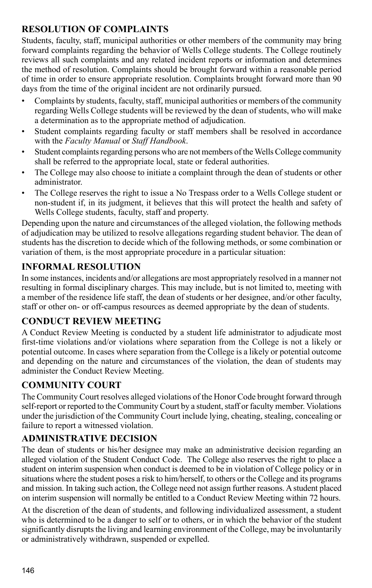## **RESOLUTION OF COMPLAINTS**

Students, faculty, staff, municipal authorities or other members of the community may bring forward complaints regarding the behavior of Wells College students. The College routinely reviews all such complaints and any related incident reports or information and determines the method of resolution. Complaints should be brought forward within a reasonable period of time in order to ensure appropriate resolution. Complaints brought forward more than 90 days from the time of the original incident are not ordinarily pursued.

- Complaints by students, faculty, staff, municipal authorities or members of the community regarding Wells College students will be reviewed by the dean of students, who will make a determination as to the appropriate method of adjudication.
- Student complaints regarding faculty or staff members shall be resolved in accordance with the *Faculty Manual* or *Staff Handbook*.
- Student complaints regarding persons who are not members of the Wells College community shall be referred to the appropriate local, state or federal authorities.
- The College may also choose to initiate a complaint through the dean of students or other administrator.
- The College reserves the right to issue a No Trespass order to a Wells College student or non-student if, in its judgment, it believes that this will protect the health and safety of Wells College students, faculty, staff and property.

Depending upon the nature and circumstances of the alleged violation, the following methods of adjudication may be utilized to resolve allegations regarding student behavior. The dean of students has the discretion to decide which of the following methods, or some combination or variation of them, is the most appropriate procedure in a particular situation:

## **Informal Resolution**

In some instances, incidents and/or allegations are most appropriately resolved in a manner not resulting in formal disciplinary charges. This may include, but is not limited to, meeting with a member of the residence life staff, the dean of students or her designee, and/or other faculty, staff or other on- or off-campus resources as deemed appropriate by the dean of students.

### **Conduct Review Meeting**

A Conduct Review Meeting is conducted by a student life administrator to adjudicate most first-time violations and/or violations where separation from the College is not a likely or potential outcome. In cases where separation from the College is a likely or potential outcome and depending on the nature and circumstances of the violation, the dean of students may administer the Conduct Review Meeting.

## **Community Court**

The Community Court resolves alleged violations of the Honor Code brought forward through self-report or reported to the Community Court by a student, staff or faculty member. Violations under the jurisdiction of the Community Court include lying, cheating, stealing, concealing or failure to report a witnessed violation.

## **Administrative Decision**

The dean of students or his/her designee may make an administrative decision regarding an alleged violation of the Student Conduct Code. The College also reserves the right to place a student on interim suspension when conduct is deemed to be in violation of College policy or in situations where the student poses a risk to him/herself, to others or the College and its programs and mission. In taking such action, the College need not assign further reasons. A student placed on interim suspension will normally be entitled to a Conduct Review Meeting within 72 hours.

At the discretion of the dean of students, and following individualized assessment, a student who is determined to be a danger to self or to others, or in which the behavior of the student significantly disrupts the living and learning environment of the College, may be involuntarily or administratively withdrawn, suspended or expelled.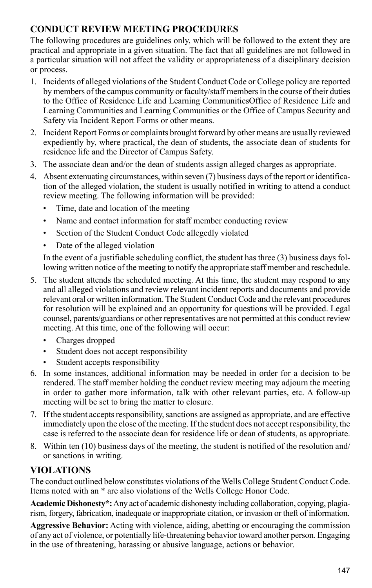## **CONDUCT REVIEW MEETING PROCEDURES**

The following procedures are guidelines only, which will be followed to the extent they are practical and appropriate in a given situation. The fact that all guidelines are not followed in a particular situation will not affect the validity or appropriateness of a disciplinary decision or process.

- 1. Incidents of alleged violations of the Student Conduct Code or College policy are reported by members of the campus community or faculty/staff members in the course of their duties to the Office of Residence Life and Learning CommunitiesOffice of Residence Life and Learning Communities and Learning Communities or the Office of Campus Security and Safety via Incident Report Forms or other means.
- 2. Incident Report Forms or complaints brought forward by other means are usually reviewed expediently by, where practical, the dean of students, the associate dean of students for residence life and the Director of Campus Safety.
- 3. The associate dean and/or the dean of students assign alleged charges as appropriate.
- 4. Absent extenuating circumstances, within seven (7) business days of the report or identification of the alleged violation, the student is usually notified in writing to attend a conduct review meeting. The following information will be provided:
	- Time, date and location of the meeting
	- Name and contact information for staff member conducting review
	- Section of the Student Conduct Code allegedly violated
	- Date of the alleged violation

In the event of a justifiable scheduling conflict, the student has three (3) business days following written notice of the meeting to notify the appropriate staff member and reschedule.

- 5. The student attends the scheduled meeting. At this time, the student may respond to any and all alleged violations and review relevant incident reports and documents and provide relevant oral or written information. The Student Conduct Code and the relevant procedures for resolution will be explained and an opportunity for questions will be provided. Legal counsel, parents/guardians or other representatives are not permitted at this conduct review meeting. At this time, one of the following will occur:
	- Charges dropped
	- Student does not accept responsibility
	- Student accepts responsibility
- 6. In some instances, additional information may be needed in order for a decision to be rendered. The staff member holding the conduct review meeting may adjourn the meeting in order to gather more information, talk with other relevant parties, etc. A follow-up meeting will be set to bring the matter to closure.
- 7. If the student accepts responsibility, sanctions are assigned as appropriate, and are effective immediately upon the close of the meeting. If the student does not accept responsibility, the case is referred to the associate dean for residence life or dean of students, as appropriate.
- 8. Within ten (10) business days of the meeting, the student is notified of the resolution and/ or sanctions in writing.

## **VIOLATIONS**

The conduct outlined below constitutes violations of the Wells College Student Conduct Code. Items noted with an \* are also violations of the Wells College Honor Code.

**Academic Dishonesty\*:** Any act of academic dishonesty including collaboration, copying, plagiarism, forgery, fabrication, inadequate or inappropriate citation, or invasion or theft of information.

**Aggressive Behavior:** Acting with violence, aiding, abetting or encouraging the commission of any act of violence, or potentially life-threatening behavior toward another person. Engaging in the use of threatening, harassing or abusive language, actions or behavior.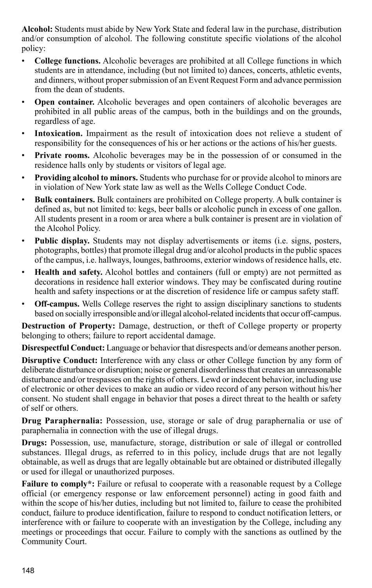**Alcohol:** Students must abide by New York State and federal law in the purchase, distribution and/or consumption of alcohol. The following constitute specific violations of the alcohol policy:

- **College functions.** Alcoholic beverages are prohibited at all College functions in which students are in attendance, including (but not limited to) dances, concerts, athletic events, and dinners, without proper submission of an Event Request Form and advance permission from the dean of students.
- **Open container.** Alcoholic beverages and open containers of alcoholic beverages are prohibited in all public areas of the campus, both in the buildings and on the grounds, regardless of age.
- Intoxication. Impairment as the result of intoxication does not relieve a student of responsibility for the consequences of his or her actions or the actions of his/her guests.
- **Private rooms.** Alcoholic beverages may be in the possession of or consumed in the residence halls only by students or visitors of legal age.
- **Providing alcohol to minors.** Students who purchase for or provide alcohol to minors are in violation of New York state law as well as the Wells College Conduct Code.
- **Bulk containers.** Bulk containers are prohibited on College property. A bulk container is defined as, but not limited to: kegs, beer balls or alcoholic punch in excess of one gallon. All students present in a room or area where a bulk container is present are in violation of the Alcohol Policy.
- **Public display.** Students may not display advertisements or items (i.e. signs, posters, photographs, bottles) that promote illegal drug and/or alcohol products in the public spaces of the campus, i.e. hallways, lounges, bathrooms, exterior windows of residence halls, etc.
- **Health and safety.** Alcohol bottles and containers (full or empty) are not permitted as decorations in residence hall exterior windows. They may be confiscated during routine health and safety inspections or at the discretion of residence life or campus safety staff.
- **Off-campus.** Wells College reserves the right to assign disciplinary sanctions to students based on socially irresponsible and/or illegal alcohol-related incidents that occur off-campus.

**Destruction of Property:** Damage, destruction, or theft of College property or property belonging to others; failure to report accidental damage.

**Disrespectful Conduct:** Language or behavior that disrespects and/or demeans another person.

**Disruptive Conduct:** Interference with any class or other College function by any form of deliberate disturbance or disruption; noise or general disorderliness that creates an unreasonable disturbance and/or trespasses on the rights of others. Lewd or indecent behavior, including use of electronic or other devices to make an audio or video record of any person without his/her consent. No student shall engage in behavior that poses a direct threat to the health or safety of self or others.

**Drug Paraphernalia:** Possession, use, storage or sale of drug paraphernalia or use of paraphernalia in connection with the use of illegal drugs.

**Drugs:** Possession, use, manufacture, storage, distribution or sale of illegal or controlled substances. Illegal drugs, as referred to in this policy, include drugs that are not legally obtainable, as well as drugs that are legally obtainable but are obtained or distributed illegally or used for illegal or unauthorized purposes.

**Failure to comply\*:** Failure or refusal to cooperate with a reasonable request by a College official (or emergency response or law enforcement personnel) acting in good faith and within the scope of his/her duties, including but not limited to, failure to cease the prohibited conduct, failure to produce identification, failure to respond to conduct notification letters, or interference with or failure to cooperate with an investigation by the College, including any meetings or proceedings that occur. Failure to comply with the sanctions as outlined by the Community Court.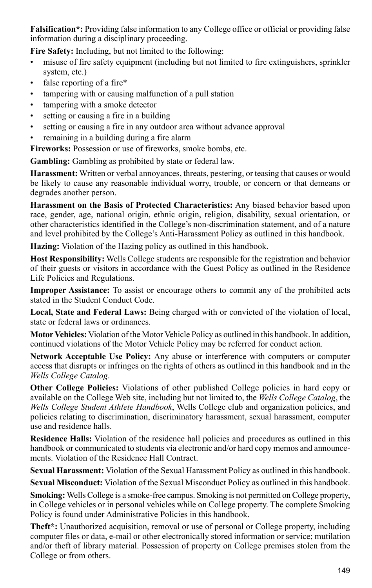**Falsification\*:** Providing false information to any College office or official or providing false information during a disciplinary proceeding.

**Fire Safety:** Including, but not limited to the following:

- misuse of fire safety equipment (including but not limited to fire extinguishers, sprinkler system, etc.)
- false reporting of a fire\*
- tampering with or causing malfunction of a pull station
- tampering with a smoke detector
- setting or causing a fire in a building
- setting or causing a fire in any outdoor area without advance approval
- remaining in a building during a fire alarm

**Fireworks:** Possession or use of fireworks, smoke bombs, etc.

**Gambling:** Gambling as prohibited by state or federal law.

**Harassment:** Written or verbal annoyances, threats, pestering, or teasing that causes or would be likely to cause any reasonable individual worry, trouble, or concern or that demeans or degrades another person.

**Harassment on the Basis of Protected Characteristics:** Any biased behavior based upon race, gender, age, national origin, ethnic origin, religion, disability, sexual orientation, or other characteristics identified in the College's non-discrimination statement, and of a nature and level prohibited by the College's Anti-Harassment Policy as outlined in this handbook.

**Hazing:** Violation of the Hazing policy as outlined in this handbook.

**Host Responsibility:** Wells College students are responsible for the registration and behavior of their guests or visitors in accordance with the Guest Policy as outlined in the Residence Life Policies and Regulations.

**Improper Assistance:** To assist or encourage others to commit any of the prohibited acts stated in the Student Conduct Code.

**Local, State and Federal Laws:** Being charged with or convicted of the violation of local, state or federal laws or ordinances.

**Motor Vehicles:** Violation of the Motor Vehicle Policy as outlined in this handbook. In addition, continued violations of the Motor Vehicle Policy may be referred for conduct action.

**Network Acceptable Use Policy:** Any abuse or interference with computers or computer access that disrupts or infringes on the rights of others as outlined in this handbook and in the *Wells College Catalog*.

**Other College Policies:** Violations of other published College policies in hard copy or available on the College Web site, including but not limited to, the *Wells College Catalog*, the *Wells College Student Athlete Handbook*, Wells College club and organization policies, and policies relating to discrimination, discriminatory harassment, sexual harassment, computer use and residence halls.

**Residence Halls:** Violation of the residence hall policies and procedures as outlined in this handbook or communicated to students via electronic and/or hard copy memos and announcements. Violation of the Residence Hall Contract.

**Sexual Harassment:** Violation of the Sexual Harassment Policy as outlined in this handbook.

**Sexual Misconduct:** Violation of the Sexual Misconduct Policy as outlined in this handbook.

**Smoking:** Wells College is a smoke-free campus. Smoking is not permitted on College property, in College vehicles or in personal vehicles while on College property. The complete Smoking Policy is found under Administrative Policies in this handbook.

**Theft\*:** Unauthorized acquisition, removal or use of personal or College property, including computer files or data, e-mail or other electronically stored information or service; mutilation and/or theft of library material. Possession of property on College premises stolen from the College or from others.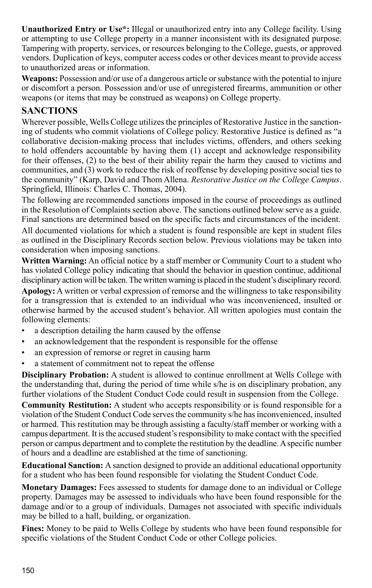**Unauthorized Entry or Use\*:** Illegal or unauthorized entry into any College facility. Using or attempting to use College property in a manner inconsistent with its designated purpose. Tampering with property, services, or resources belonging to the College, guests, or approved vendors. Duplication of keys, computer access codes or other devices meant to provide access to unauthorized areas or information.

**Weapons:** Possession and/or use of a dangerous article or substance with the potential to injure or discomfort a person. Possession and/or use of unregistered firearms, ammunition or other weapons (or items that may be construed as weapons) on College property.

#### **SANCTIONS**

Wherever possible, Wells College utilizes the principles of Restorative Justice in the sanctioning of students who commit violations of College policy. Restorative Justice is defined as "a collaborative decision-making process that includes victims, offenders, and others seeking to hold offenders accountable by having them (1) accept and acknowledge responsibility for their offenses, (2) to the best of their ability repair the harm they caused to victims and communities, and (3) work to reduce the risk of reoffense by developing positive social ties to the community" (Karp, David and Thom Allena. *Restorative Justice on the College Campus*. Springfield, Illinois: Charles C. Thomas, 2004).

The following are recommended sanctions imposed in the course of proceedings as outlined in the Resolution of Complaints section above. The sanctions outlined below serve as a guide. Final sanctions are determined based on the specific facts and circumstances of the incident.

All documented violations for which a student is found responsible are kept in student files as outlined in the Disciplinary Records section below. Previous violations may be taken into consideration when imposing sanctions.

**Written Warning:** An official notice by a staff member or Community Court to a student who has violated College policy indicating that should the behavior in question continue, additional disciplinary action will be taken. The written warning is placed in the student's disciplinary record.

**Apology:** A written or verbal expression of remorse and the willingness to take responsibility for a transgression that is extended to an individual who was inconvenienced, insulted or otherwise harmed by the accused student's behavior. All written apologies must contain the following elements:

- a description detailing the harm caused by the offense
- an acknowledgement that the respondent is responsible for the offense
- an expression of remorse or regret in causing harm
- a statement of commitment not to repeat the offense

**Disciplinary Probation:** A student is allowed to continue enrollment at Wells College with the understanding that, during the period of time while s/he is on disciplinary probation, any further violations of the Student Conduct Code could result in suspension from the College.

**Community Restitution:** A student who accepts responsibility or is found responsible for a violation of the Student Conduct Code serves the community s/he has inconvenienced, insulted or harmed. This restitution may be through assisting a faculty/staff member or working with a campus department. It is the accused student's responsibility to make contact with the specified person or campus department and to complete the restitution by the deadline. A specific number of hours and a deadline are established at the time of sanctioning.

**Educational Sanction:** A sanction designed to provide an additional educational opportunity for a student who has been found responsible for violating the Student Conduct Code.

**Monetary Damages:** Fees assessed to students for damage done to an individual or College property. Damages may be assessed to individuals who have been found responsible for the damage and/or to a group of individuals. Damages not associated with specific individuals may be billed to a hall, building, or organization.

**Fines:** Money to be paid to Wells College by students who have been found responsible for specific violations of the Student Conduct Code or other College policies.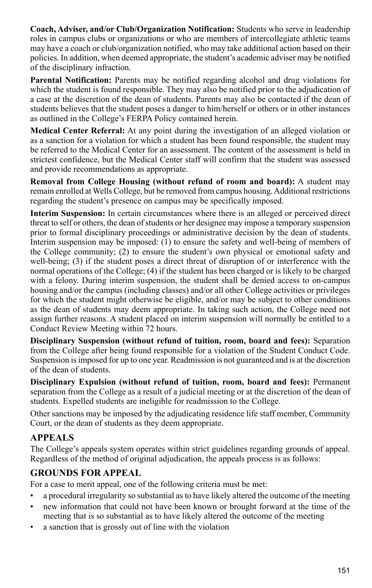**Coach, Adviser, and/or Club/Organization Notification:** Students who serve in leadership roles in campus clubs or organizations or who are members of intercollegiate athletic teams may have a coach or club/organization notified, who may take additional action based on their policies. In addition, when deemed appropriate, the student's academic adviser may be notified of the disciplinary infraction.

**Parental Notification:** Parents may be notified regarding alcohol and drug violations for which the student is found responsible. They may also be notified prior to the adjudication of a case at the discretion of the dean of students. Parents may also be contacted if the dean of students believes that the student poses a danger to him/herself or others or in other instances as outlined in the College's FERPA Policy contained herein.

**Medical Center Referral:** At any point during the investigation of an alleged violation or as a sanction for a violation for which a student has been found responsible, the student may be referred to the Medical Center for an assessment. The content of the assessment is held in strictest confidence, but the Medical Center staff will confirm that the student was assessed and provide recommendations as appropriate.

**Removal from College Housing (without refund of room and board):** A student may remain enrolled at Wells College, but be removed from campus housing. Additional restrictions regarding the student's presence on campus may be specifically imposed.

**Interim Suspension:** In certain circumstances where there is an alleged or perceived direct threat to self or others, the dean of students or her designee may impose a temporary suspension prior to formal disciplinary proceedings or administrative decision by the dean of students. Interim suspension may be imposed: (1) to ensure the safety and well-being of members of the College community; (2) to ensure the student's own physical or emotional safety and well-being; (3) if the student poses a direct threat of disruption of or interference with the normal operations of the College; (4) if the student has been charged or is likely to be charged with a felony. During interim suspension, the student shall be denied access to on-campus housing and/or the campus (including classes) and/or all other College activities or privileges for which the student might otherwise be eligible, and/or may be subject to other conditions as the dean of students may deem appropriate. In taking such action, the College need not assign further reasons. A student placed on interim suspension will normally be entitled to a Conduct Review Meeting within 72 hours.

**Disciplinary Suspension (without refund of tuition, room, board and fees):** Separation from the College after being found responsible for a violation of the Student Conduct Code. Suspension is imposed for up to one year. Readmission is not guaranteed and is at the discretion of the dean of students.

**Disciplinary Expulsion (without refund of tuition, room, board and fees):** Permanent separation from the College as a result of a judicial meeting or at the discretion of the dean of students. Expelled students are ineligible for readmission to the College.

Other sanctions may be imposed by the adjudicating residence life staff member, Community Court, or the dean of students as they deem appropriate.

## **APPEALS**

The College's appeals system operates within strict guidelines regarding grounds of appeal. Regardless of the method of original adjudication, the appeals process is as follows:

### **Grounds for Appeal**

For a case to merit appeal, one of the following criteria must be met:

- a procedural irregularity so substantial as to have likely altered the outcome of the meeting
- new information that could not have been known or brought forward at the time of the meeting that is so substantial as to have likely altered the outcome of the meeting
- a sanction that is grossly out of line with the violation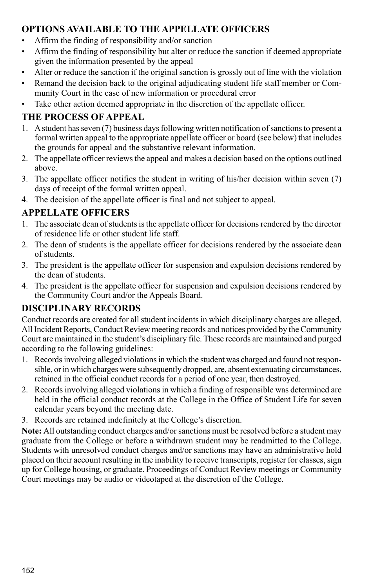## **Options Available to the Appellate Officers**

- Affirm the finding of responsibility and/or sanction
- Affirm the finding of responsibility but alter or reduce the sanction if deemed appropriate given the information presented by the appeal
- Alter or reduce the sanction if the original sanction is grossly out of line with the violation
- Remand the decision back to the original adjudicating student life staff member or Community Court in the case of new information or procedural error
- Take other action deemed appropriate in the discretion of the appellate officer.

## **The Process of Appeal**

- 1. A student has seven (7) business days following written notification of sanctions to present a formal written appeal to the appropriate appellate officer or board (see below) that includes the grounds for appeal and the substantive relevant information.
- 2. The appellate officer reviews the appeal and makes a decision based on the options outlined above.
- 3. The appellate officer notifies the student in writing of his/her decision within seven (7) days of receipt of the formal written appeal.
- 4. The decision of the appellate officer is final and not subject to appeal.

## **Appellate Officers**

- 1. The associate dean of students is the appellate officer for decisions rendered by the director of residence life or other student life staff.
- 2. The dean of students is the appellate officer for decisions rendered by the associate dean of students.
- 3. The president is the appellate officer for suspension and expulsion decisions rendered by the dean of students.
- 4. The president is the appellate officer for suspension and expulsion decisions rendered by the Community Court and/or the Appeals Board.

## **DISCIPLINARY RECORDS**

Conduct records are created for all student incidents in which disciplinary charges are alleged. All Incident Reports, Conduct Review meeting records and notices provided by the Community Court are maintained in the student's disciplinary file. These records are maintained and purged according to the following guidelines:

- 1. Records involving alleged violations in which the student was charged and found not responsible, or in which charges were subsequently dropped, are, absent extenuating circumstances, retained in the official conduct records for a period of one year, then destroyed.
- 2. Records involving alleged violations in which a finding of responsible was determined are held in the official conduct records at the College in the Office of Student Life for seven calendar years beyond the meeting date.
- 3. Records are retained indefinitely at the College's discretion.

**Note:** All outstanding conduct charges and/or sanctions must be resolved before a student may graduate from the College or before a withdrawn student may be readmitted to the College. Students with unresolved conduct charges and/or sanctions may have an administrative hold placed on their account resulting in the inability to receive transcripts, register for classes, sign up for College housing, or graduate. Proceedings of Conduct Review meetings or Community Court meetings may be audio or videotaped at the discretion of the College.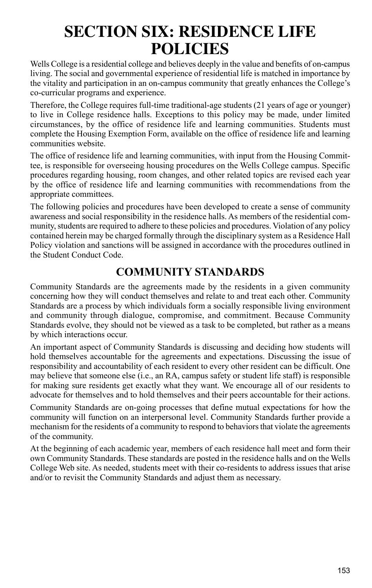# **SECTION SIX: RESIDENCE LIFE POLICIES**

Wells College is a residential college and believes deeply in the value and benefits of on-campus living. The social and governmental experience of residential life is matched in importance by the vitality and participation in an on-campus community that greatly enhances the College's co-curricular programs and experience.

Therefore, the College requires full-time traditional-age students (21 years of age or younger) to live in College residence halls. Exceptions to this policy may be made, under limited circumstances, by the office of residence life and learning communities. Students must complete the Housing Exemption Form, available on the office of residence life and learning communities website.

The office of residence life and learning communities, with input from the Housing Committee, is responsible for overseeing housing procedures on the Wells College campus. Specific procedures regarding housing, room changes, and other related topics are revised each year by the office of residence life and learning communities with recommendations from the appropriate committees.

The following policies and procedures have been developed to create a sense of community awareness and social responsibility in the residence halls. As members of the residential community, students are required to adhere to these policies and procedures. Violation of any policy contained herein may be charged formally through the disciplinary system as a Residence Hall Policy violation and sanctions will be assigned in accordance with the procedures outlined in the Student Conduct Code.

## **COMMUNITY STANDARDS**

Community Standards are the agreements made by the residents in a given community concerning how they will conduct themselves and relate to and treat each other. Community Standards are a process by which individuals form a socially responsible living environment and community through dialogue, compromise, and commitment. Because Community Standards evolve, they should not be viewed as a task to be completed, but rather as a means by which interactions occur.

An important aspect of Community Standards is discussing and deciding how students will hold themselves accountable for the agreements and expectations. Discussing the issue of responsibility and accountability of each resident to every other resident can be difficult. One may believe that someone else (i.e., an RA, campus safety or student life staff) is responsible for making sure residents get exactly what they want. We encourage all of our residents to advocate for themselves and to hold themselves and their peers accountable for their actions.

Community Standards are on-going processes that define mutual expectations for how the community will function on an interpersonal level. Community Standards further provide a mechanism for the residents of a community to respond to behaviors that violate the agreements of the community.

At the beginning of each academic year, members of each residence hall meet and form their own Community Standards. These standards are posted in the residence halls and on the Wells College Web site. As needed, students meet with their co-residents to address issues that arise and/or to revisit the Community Standards and adjust them as necessary.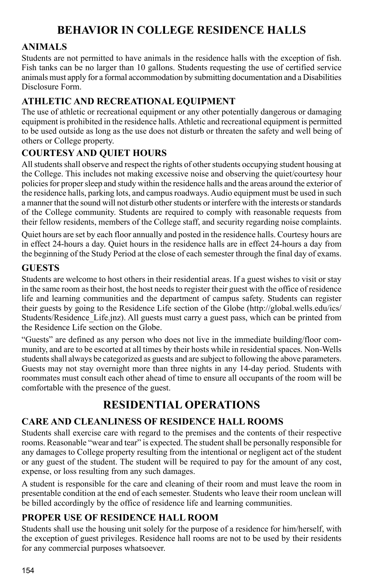## **BEHAVIOR IN COLLEGE RESIDENCE HALLS**

## **Animals**

Students are not permitted to have animals in the residence halls with the exception of fish. Fish tanks can be no larger than 10 gallons. Students requesting the use of certified service animals must apply for a formal accommodation by submitting documentation and a Disabilities Disclosure Form.

## **Athletic and Recreational Equipment**

The use of athletic or recreational equipment or any other potentially dangerous or damaging equipment is prohibited in the residence halls. Athletic and recreational equipment is permitted to be used outside as long as the use does not disturb or threaten the safety and well being of others or College property.

## **Courtesy and Quiet Hours**

All students shall observe and respect the rights of other students occupying student housing at the College. This includes not making excessive noise and observing the quiet/courtesy hour policies for proper sleep and study within the residence halls and the areas around the exterior of the residence halls, parking lots, and campus roadways. Audio equipment must be used in such a manner that the sound will not disturb other students or interfere with the interests or standards of the College community. Students are required to comply with reasonable requests from their fellow residents, members of the College staff, and security regarding noise complaints.

Quiet hours are set by each floor annually and posted in the residence halls. Courtesy hours are in effect 24-hours a day. Quiet hours in the residence halls are in effect 24-hours a day from the beginning of the Study Period at the close of each semester through the final day of exams.

#### **Guests**

Students are welcome to host others in their residential areas. If a guest wishes to visit or stay in the same room as their host, the host needs to register their guest with the office of residence life and learning communities and the department of campus safety. Students can register their guests by going to the Residence Life section of the Globe (http://global.wells.edu/ics/ Students/Residence\_Life.jnz). All guests must carry a guest pass, which can be printed from the Residence Life section on the Globe.

"Guests" are defined as any person who does not live in the immediate building/floor community, and are to be escorted at all times by their hosts while in residential spaces. Non-Wells students shall always be categorized as guests and are subject to following the above parameters. Guests may not stay overnight more than three nights in any 14-day period. Students with roommates must consult each other ahead of time to ensure all occupants of the room will be comfortable with the presence of the guest.

# **RESIDENTIAL OPERATIONS**

### **Care and Cleanliness of Residence Hall Rooms**

Students shall exercise care with regard to the premises and the contents of their respective rooms. Reasonable "wear and tear" is expected. The student shall be personally responsible for any damages to College property resulting from the intentional or negligent act of the student or any guest of the student. The student will be required to pay for the amount of any cost, expense, or loss resulting from any such damages.

A student is responsible for the care and cleaning of their room and must leave the room in presentable condition at the end of each semester. Students who leave their room unclean will be billed accordingly by the office of residence life and learning communities.

### **Proper Use of Residence Hall Room**

Students shall use the housing unit solely for the purpose of a residence for him/herself, with the exception of guest privileges. Residence hall rooms are not to be used by their residents for any commercial purposes whatsoever.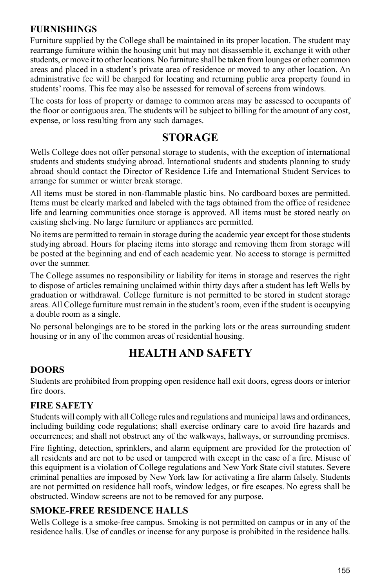#### **Furnishings**

Furniture supplied by the College shall be maintained in its proper location. The student may rearrange furniture within the housing unit but may not disassemble it, exchange it with other students, or move it to other locations. No furniture shall be taken from lounges or other common areas and placed in a student's private area of residence or moved to any other location. An administrative fee will be charged for locating and returning public area property found in students' rooms. This fee may also be assessed for removal of screens from windows.

The costs for loss of property or damage to common areas may be assessed to occupants of the floor or contiguous area. The students will be subject to billing for the amount of any cost, expense, or loss resulting from any such damages.

## **STORAGE**

Wells College does not offer personal storage to students, with the exception of international students and students studying abroad. International students and students planning to study abroad should contact the Director of Residence Life and International Student Services to arrange for summer or winter break storage.

All items must be stored in non-flammable plastic bins. No cardboard boxes are permitted. Items must be clearly marked and labeled with the tags obtained from the office of residence life and learning communities once storage is approved. All items must be stored neatly on existing shelving. No large furniture or appliances are permitted.

No items are permitted to remain in storage during the academic year except for those students studying abroad. Hours for placing items into storage and removing them from storage will be posted at the beginning and end of each academic year. No access to storage is permitted over the summer.

The College assumes no responsibility or liability for items in storage and reserves the right to dispose of articles remaining unclaimed within thirty days after a student has left Wells by graduation or withdrawal. College furniture is not permitted to be stored in student storage areas. All College furniture must remain in the student's room, even if the student is occupying a double room as a single.

No personal belongings are to be stored in the parking lots or the areas surrounding student housing or in any of the common areas of residential housing.

## **HEALTH AND SAFETY**

#### **Doors**

Students are prohibited from propping open residence hall exit doors, egress doors or interior fire doors.

### **Fire Safety**

Students will comply with all College rules and regulations and municipal laws and ordinances, including building code regulations; shall exercise ordinary care to avoid fire hazards and occurrences; and shall not obstruct any of the walkways, hallways, or surrounding premises.

Fire fighting, detection, sprinklers, and alarm equipment are provided for the protection of all residents and are not to be used or tampered with except in the case of a fire. Misuse of this equipment is a violation of College regulations and New York State civil statutes. Severe criminal penalties are imposed by New York law for activating a fire alarm falsely. Students are not permitted on residence hall roofs, window ledges, or fire escapes. No egress shall be obstructed. Window screens are not to be removed for any purpose.

### **Smoke-Free Residence Halls**

Wells College is a smoke-free campus. Smoking is not permitted on campus or in any of the residence halls. Use of candles or incense for any purpose is prohibited in the residence halls.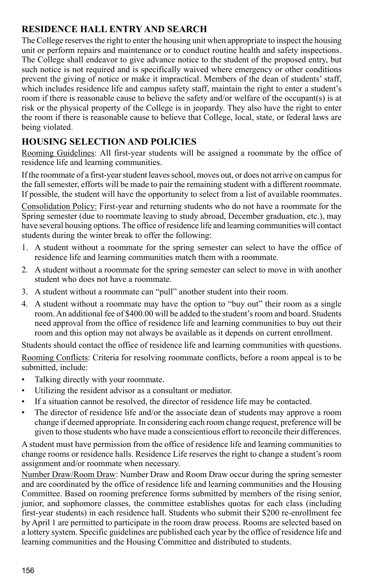## **Residence Hall Entry and Search**

The College reserves the right to enter the housing unit when appropriate to inspect the housing unit or perform repairs and maintenance or to conduct routine health and safety inspections. The College shall endeavor to give advance notice to the student of the proposed entry, but such notice is not required and is specifically waived where emergency or other conditions prevent the giving of notice or make it impractical. Members of the dean of students' staff, which includes residence life and campus safety staff, maintain the right to enter a student's room if there is reasonable cause to believe the safety and/or welfare of the occupant(s) is at risk or the physical property of the College is in jeopardy. They also have the right to enter the room if there is reasonable cause to believe that College, local, state, or federal laws are being violated.

## **HOUSING SELECTION AND POLICIES**

Rooming Guidelines: All first-year students will be assigned a roommate by the office of residence life and learning communities.

If the roommate of a first-year student leaves school, moves out, or does not arrive on campus for the fall semester, efforts will be made to pair the remaining student with a different roommate. If possible, the student will have the opportunity to select from a list of available roommates.

Consolidation Policy: First-year and returning students who do not have a roommate for the Spring semester (due to roommate leaving to study abroad, December graduation, etc.), may have several housing options. The office of residence life and learning communities will contact students during the winter break to offer the following:

- 1. A student without a roommate for the spring semester can select to have the office of residence life and learning communities match them with a roommate.
- 2. A student without a roommate for the spring semester can select to move in with another student who does not have a roommate.
- 3. A student without a roommate can "pull" another student into their room.
- 4. A student without a roommate may have the option to "buy out" their room as a single room. An additional fee of \$400.00 will be added to the student's room and board. Students need approval from the office of residence life and learning communities to buy out their room and this option may not always be available as it depends on current enrollment.

Students should contact the office of residence life and learning communities with questions.

Rooming Conflicts: Criteria for resolving roommate conflicts, before a room appeal is to be submitted, include:

- Talking directly with your roommate.
- Utilizing the resident advisor as a consultant or mediator.
- If a situation cannot be resolved, the director of residence life may be contacted.
- The director of residence life and/or the associate dean of students may approve a room change if deemed appropriate. In considering each room change request, preference will be given to those students who have made a conscientious effort to reconcile their differences.

A student must have permission from the office of residence life and learning communities to change rooms or residence halls. Residence Life reserves the right to change a student's room assignment and/or roommate when necessary.

Number Draw/Room Draw: Number Draw and Room Draw occur during the spring semester and are coordinated by the office of residence life and learning communities and the Housing Committee. Based on rooming preference forms submitted by members of the rising senior, junior, and sophomore classes, the committee establishes quotas for each class (including first-year students) in each residence hall. Students who submit their \$200 re-enrollment fee by April 1 are permitted to participate in the room draw process. Rooms are selected based on a lottery system. Specific guidelines are published each year by the office of residence life and learning communities and the Housing Committee and distributed to students.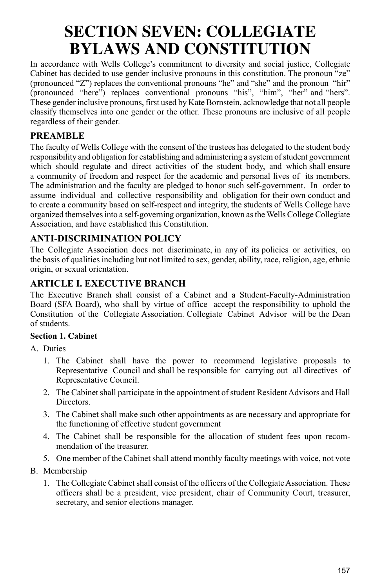# **SECTION SEVEN: COLLEGIATE BYLAWS AND CONSTITUTION**

In accordance with Wells College's commitment to diversity and social justice, Collegiate Cabinet has decided to use gender inclusive pronouns in this constitution. The pronoun "ze" (pronounced "Z") replaces the conventional pronouns "he" and "she" and the pronoun "hir" (pronounced "here") replaces conventional pronouns "his", "him", "her" and "hers". These gender inclusive pronouns, first used by Kate Bornstein, acknowledge that not all people classify themselves into one gender or the other. These pronouns are inclusive of all people regardless of their gender.

### **PREAMBLE**

The faculty of Wells College with the consent of the trustees has delegated to the student body responsibility and obligation for establishing and administering a system of student government which should regulate and direct activities of the student body, and which shall ensure a community of freedom and respect for the academic and personal lives of its members. The administration and the faculty are pledged to honor such self-government. In order to assume individual and collective responsibility and obligation for their own conduct and to create a community based on self-respect and integrity, the students of Wells College have organized themselves into a self-governing organization, known as the Wells College Collegiate Association, and have established this Constitution.

#### **ANTI-DISCRIMINATION POLICY**

The Collegiate Association does not discriminate, in any of its policies or activities, on the basis of qualities including but not limited to sex, gender, ability, race, religion, age, ethnic origin, or sexual orientation.

#### **ARTICLE I. EXECUTIVE BRANCH**

The Executive Branch shall consist of a Cabinet and a Student-Faculty-Administration Board (SFA Board), who shall by virtue of office accept the responsibility to uphold the Constitution of the Collegiate Association. Collegiate Cabinet Advisor will be the Dean of students.

#### **Section 1. Cabinet**

A. Duties

- 1. The Cabinet shall have the power to recommend legislative proposals to Representative Council and shall be responsible for carrying out all directives of Representative Council.
- 2. The Cabinet shall participate in the appointment of student Resident Advisors and Hall Directors.
- 3. The Cabinet shall make such other appointments as are necessary and appropriate for the functioning of effective student government
- 4. The Cabinet shall be responsible for the allocation of student fees upon recommendation of the treasurer.
- 5. One member of the Cabinet shall attend monthly faculty meetings with voice, not vote
- B. Membership
	- 1. The Collegiate Cabinet shall consist of the officers of the Collegiate Association. These officers shall be a president, vice president, chair of Community Court, treasurer, secretary, and senior elections manager.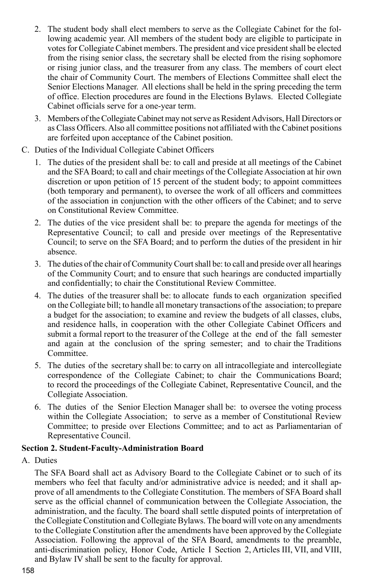- 2. The student body shall elect members to serve as the Collegiate Cabinet for the following academic year. All members of the student body are eligible to participate in votes for Collegiate Cabinet members. The president and vice president shall be elected from the rising senior class, the secretary shall be elected from the rising sophomore or rising junior class, and the treasurer from any class. The members of court elect the chair of Community Court. The members of Elections Committee shall elect the Senior Elections Manager. All elections shall be held in the spring preceding the term of office. Election procedures are found in the Elections Bylaws. Elected Collegiate Cabinet officials serve for a one-year term.
- 3. Members of the Collegiate Cabinet may not serve as Resident Advisors, Hall Directors or as Class Officers. Also all committee positions not affiliated with the Cabinet positions are forfeited upon acceptance of the Cabinet position.
- C. Duties of the Individual Collegiate Cabinet Officers
	- 1. The duties of the president shall be: to call and preside at all meetings of the Cabinet and the SFA Board; to call and chair meetings of the Collegiate Association at hir own discretion or upon petition of 15 percent of the student body; to appoint committees (both temporary and permanent), to oversee the work of all officers and committees of the association in conjunction with the other officers of the Cabinet; and to serve on Constitutional Review Committee.
	- 2. The duties of the vice president shall be: to prepare the agenda for meetings of the Representative Council; to call and preside over meetings of the Representative Council; to serve on the SFA Board; and to perform the duties of the president in hir absence.
	- 3. The duties of the chair of Community Court shall be: to call and preside over all hearings of the Community Court; and to ensure that such hearings are conducted impartially and confidentially; to chair the Constitutional Review Committee.
	- 4. The duties of the treasurer shall be: to allocate funds to each organization specified on the Collegiate bill; to handle all monetary transactions of the association; to prepare a budget for the association; to examine and review the budgets of all classes, clubs, and residence halls, in cooperation with the other Collegiate Cabinet Officers and submit a formal report to the treasurer of the College at the end of the fall semester and again at the conclusion of the spring semester; and to chair the Traditions Committee.
	- 5. The duties of the secretary shall be: to carry on all intracollegiate and intercollegiate correspondence of the Collegiate Cabinet; to chair the Communications Board; to record the proceedings of the Collegiate Cabinet, Representative Council, and the Collegiate Association.
	- 6. The duties of the Senior Election Manager shall be: to oversee the voting process within the Collegiate Association; to serve as a member of Constitutional Review Committee; to preside over Elections Committee; and to act as Parliamentarian of Representative Council.

#### **Section 2. Student-Faculty-Administration Board**

A. Duties

The SFA Board shall act as Advisory Board to the Collegiate Cabinet or to such of its members who feel that faculty and/or administrative advice is needed; and it shall approve of all amendments to the Collegiate Constitution. The members of SFA Board shall serve as the official channel of communication between the Collegiate Association, the administration, and the faculty. The board shall settle disputed points of interpretation of the Collegiate Constitution and Collegiate Bylaws. The board will vote on any amendments to the Collegiate Constitution after the amendments have been approved by the Collegiate Association. Following the approval of the SFA Board, amendments to the preamble, anti-discrimination policy, Honor Code, Article I Section 2, Articles III, VII, and VIII, and Bylaw IV shall be sent to the faculty for approval.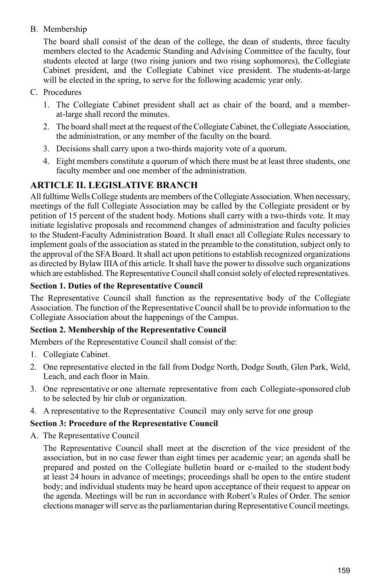#### B. Membership

The board shall consist of the dean of the college, the dean of students, three faculty members elected to the Academic Standing and Advising Committee of the faculty, four students elected at large (two rising juniors and two rising sophomores), the Collegiate Cabinet president, and the Collegiate Cabinet vice president. The students-at-large will be elected in the spring, to serve for the following academic year only.

- C. Procedures
	- 1. The Collegiate Cabinet president shall act as chair of the board, and a memberat-large shall record the minutes.
	- 2. The board shall meet at the request of the Collegiate Cabinet, the Collegiate Association, the administration, or any member of the faculty on the board.
	- 3. Decisions shall carry upon a two-thirds majority vote of a quorum.
	- 4. Eight members constitute a quorum of which there must be at least three students, one faculty member and one member of the administration.

### **ARTICLE II. LEGISLATIVE BRANCH**

All fulltime Wells College students are members of the Collegiate Association. When necessary, meetings of the full Collegiate Association may be called by the Collegiate president or by petition of 15 percent of the student body. Motions shall carry with a two-thirds vote. It may initiate legislative proposals and recommend changes of administration and faculty policies to the Student-Faculty Administration Board. It shall enact all Collegiate Rules necessary to implement goals of the association as stated in the preamble to the constitution, subject only to the approval of the SFA Board. It shall act upon petitions to establish recognized organizations as directed by Bylaw IIIA of this article. It shall have the power to dissolve such organizations which are established. The Representative Council shall consist solely of elected representatives.

#### **Section 1. Duties of the Representative Council**

The Representative Council shall function as the representative body of the Collegiate Association. The function of the Representative Council shall be to provide information to the Collegiate Association about the happenings of the Campus.

#### **Section 2. Membership of the Representative Council**

Members of the Representative Council shall consist of the:

- 1. Collegiate Cabinet.
- 2. One representative elected in the fall from Dodge North, Dodge South, Glen Park, Weld, Leach, and each floor in Main.
- 3. One representative or one alternate representative from each Collegiate-sponsored club to be selected by hir club or organization.
- 4. A representative to the Representative Council may only serve for one group

#### **Section 3: Procedure of the Representative Council**

A. The Representative Council

The Representative Council shall meet at the discretion of the vice president of the association, but in no case fewer than eight times per academic year; an agenda shall be prepared and posted on the Collegiate bulletin board or e-mailed to the student body at least 24 hours in advance of meetings; proceedings shall be open to the entire student body; and individual students may be heard upon acceptance of their request to appear on the agenda. Meetings will be run in accordance with Robert's Rules of Order. The senior elections manager will serve as the parliamentarian during Representative Council meetings.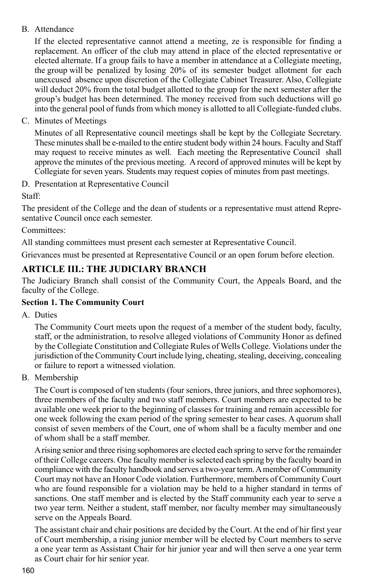#### B. Attendance

If the elected representative cannot attend a meeting, ze is responsible for finding a replacement. An officer of the club may attend in place of the elected representative or elected alternate. If a group fails to have a member in attendance at a Collegiate meeting, the group will be penalized by losing 20% of its semester budget allotment for each unexcused absence upon discretion of the Collegiate Cabinet Treasurer. Also, Collegiate will deduct 20% from the total budget allotted to the group for the next semester after the group's budget has been determined. The money received from such deductions will go into the general pool of funds from which money is allotted to all Collegiate-funded clubs.

C. Minutes of Meetings

Minutes of all Representative council meetings shall be kept by the Collegiate Secretary. These minutes shall be e-mailed to the entire student body within 24 hours. Faculty and Staff may request to receive minutes as well. Each meeting the Representative Council shall approve the minutes of the previous meeting. A record of approved minutes will be kept by Collegiate for seven years. Students may request copies of minutes from past meetings.

D. Presentation at Representative Council

Staff:

The president of the College and the dean of students or a representative must attend Representative Council once each semester.

Committees:

All standing committees must present each semester at Representative Council.

Grievances must be presented at Representative Council or an open forum before election.

## **ARTICLE III.: THE JUDICIARY BRANCH**

The Judiciary Branch shall consist of the Community Court, the Appeals Board, and the faculty of the College.

#### **Section 1. The Community Court**

A. Duties

The Community Court meets upon the request of a member of the student body, faculty, staff, or the administration, to resolve alleged violations of Community Honor as defined by the Collegiate Constitution and Collegiate Rules of Wells College. Violations under the jurisdiction of the Community Court include lying, cheating, stealing, deceiving, concealing or failure to report a witnessed violation.

B. Membership

The Court is composed of ten students (four seniors, three juniors, and three sophomores), three members of the faculty and two staff members. Court members are expected to be available one week prior to the beginning of classes for training and remain accessible for one week following the exam period of the spring semester to hear cases. A quorum shall consist of seven members of the Court, one of whom shall be a faculty member and one of whom shall be a staff member.

A rising senior and three rising sophomores are elected each spring to serve for the remainder of their College careers. One faculty member is selected each spring by the faculty board in compliance with the faculty handbook and serves a two-year term. A member of Community Court may not have an Honor Code violation. Furthermore, members of Community Court who are found responsible for a violation may be held to a higher standard in terms of sanctions. One staff member and is elected by the Staff community each year to serve a two year term. Neither a student, staff member, nor faculty member may simultaneously serve on the Appeals Board.

The assistant chair and chair positions are decided by the Court. At the end of hir first year of Court membership, a rising junior member will be elected by Court members to serve a one year term as Assistant Chair for hir junior year and will then serve a one year term as Court chair for hir senior year.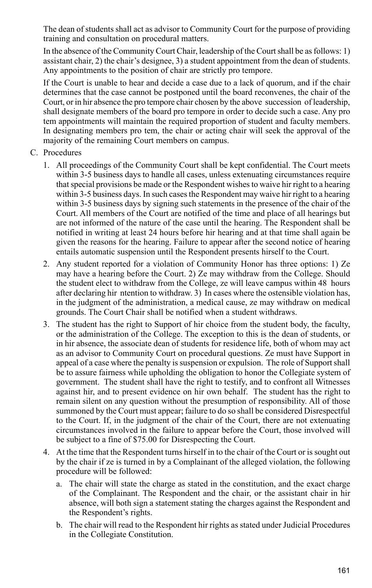The dean of students shall act as advisor to Community Court for the purpose of providing training and consultation on procedural matters.

In the absence of the Community Court Chair, leadership of the Court shall be as follows: 1) assistant chair, 2) the chair's designee, 3) a student appointment from the dean of students. Any appointments to the position of chair are strictly pro tempore.

If the Court is unable to hear and decide a case due to a lack of quorum, and if the chair determines that the case cannot be postponed until the board reconvenes, the chair of the Court, or in hir absence the pro tempore chair chosen by the above succession of leadership, shall designate members of the board pro tempore in order to decide such a case. Any pro tem appointments will maintain the required proportion of student and faculty members. In designating members pro tem, the chair or acting chair will seek the approval of the majority of the remaining Court members on campus.

- C. Procedures
	- 1. All proceedings of the Community Court shall be kept confidential. The Court meets within 3-5 business days to handle all cases, unless extenuating circumstances require that special provisions be made or the Respondent wishes to waive hir right to a hearing within 3-5 business days. In such cases the Respondent may waive hir right to a hearing within 3-5 business days by signing such statements in the presence of the chair of the Court. All members of the Court are notified of the time and place of all hearings but are not informed of the nature of the case until the hearing. The Respondent shall be notified in writing at least 24 hours before hir hearing and at that time shall again be given the reasons for the hearing. Failure to appear after the second notice of hearing entails automatic suspension until the Respondent presents hirself to the Court.
	- 2. Any student reported for a violation of Community Honor has three options: 1) Ze may have a hearing before the Court. 2) Ze may withdraw from the College. Should the student elect to withdraw from the College, ze will leave campus within 48 hours after declaring hir ntention to withdraw. 3) In cases where the ostensible violation has, in the judgment of the administration, a medical cause, ze may withdraw on medical grounds. The Court Chair shall be notified when a student withdraws.
	- 3. The student has the right to Support of hir choice from the student body, the faculty, or the administration of the College. The exception to this is the dean of students, or in hir absence, the associate dean of students for residence life, both of whom may act as an advisor to Community Court on procedural questions. Ze must have Support in appeal of a case where the penalty is suspension or expulsion. The role of Support shall be to assure fairness while upholding the obligation to honor the Collegiate system of government. The student shall have the right to testify, and to confront all Witnesses against hir, and to present evidence on hir own behalf. The student has the right to remain silent on any question without the presumption of responsibility. All of those summoned by the Court must appear; failure to do so shall be considered Disrespectful to the Court. If, in the judgment of the chair of the Court, there are not extenuating circumstances involved in the failure to appear before the Court, those involved will be subject to a fine of \$75.00 for Disrespecting the Court.
	- 4. At the time that the Respondent turns hirself in to the chair of the Court or is sought out by the chair if ze is turned in by a Complainant of the alleged violation, the following procedure will be followed:
		- a. The chair will state the charge as stated in the constitution, and the exact charge of the Complainant. The Respondent and the chair, or the assistant chair in hir absence, will both sign a statement stating the charges against the Respondent and the Respondent's rights.
		- b. The chair will read to the Respondent hir rights as stated under Judicial Procedures in the Collegiate Constitution.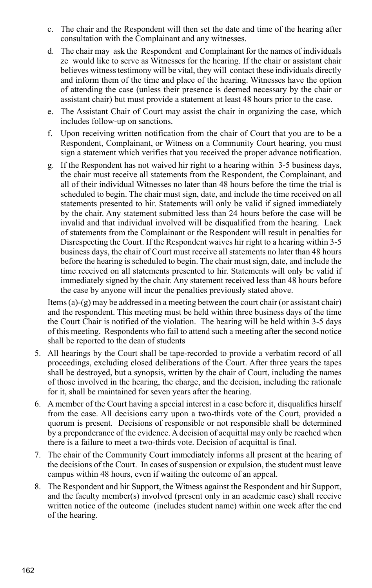- c. The chair and the Respondent will then set the date and time of the hearing after consultation with the Complainant and any witnesses.
- d. The chair may ask the Respondent and Complainant for the names of individuals ze would like to serve as Witnesses for the hearing. If the chair or assistant chair believes witness testimony will be vital, they will contact these individuals directly and inform them of the time and place of the hearing. Witnesses have the option of attending the case (unless their presence is deemed necessary by the chair or assistant chair) but must provide a statement at least 48 hours prior to the case.
- e. The Assistant Chair of Court may assist the chair in organizing the case, which includes follow-up on sanctions.
- f. Upon receiving written notification from the chair of Court that you are to be a Respondent, Complainant, or Witness on a Community Court hearing, you must sign a statement which verifies that you received the proper advance notification.
- g. If the Respondent has not waived hir right to a hearing within 3-5 business days, the chair must receive all statements from the Respondent, the Complainant, and all of their individual Witnesses no later than 48 hours before the time the trial is scheduled to begin. The chair must sign, date, and include the time received on all statements presented to hir. Statements will only be valid if signed immediately by the chair. Any statement submitted less than 24 hours before the case will be invalid and that individual involved will be disqualified from the hearing. Lack of statements from the Complainant or the Respondent will result in penalties for Disrespecting the Court. If the Respondent waives hir right to a hearing within 3-5 business days, the chair of Court must receive all statements no later than 48 hours before the hearing is scheduled to begin. The chair must sign, date, and include the time received on all statements presented to hir. Statements will only be valid if immediately signed by the chair. Any statement received less than 48 hours before the case by anyone will incur the penalties previously stated above.

Items (a)-(g) may be addressed in a meeting between the court chair (or assistant chair) and the respondent. This meeting must be held within three business days of the time the Court Chair is notified of the violation. The hearing will be held within 3-5 days of this meeting. Respondents who fail to attend such a meeting after the second notice shall be reported to the dean of students

- 5. All hearings by the Court shall be tape-recorded to provide a verbatim record of all proceedings, excluding closed deliberations of the Court. After three years the tapes shall be destroyed, but a synopsis, written by the chair of Court, including the names of those involved in the hearing, the charge, and the decision, including the rationale for it, shall be maintained for seven years after the hearing.
- 6. A member of the Court having a special interest in a case before it, disqualifies hirself from the case. All decisions carry upon a two-thirds vote of the Court, provided a quorum is present. Decisions of responsible or not responsible shall be determined by a preponderance of the evidence. A decision of acquittal may only be reached when there is a failure to meet a two-thirds vote. Decision of acquittal is final.
- 7. The chair of the Community Court immediately informs all present at the hearing of the decisions of the Court. In cases of suspension or expulsion, the student must leave campus within 48 hours, even if waiting the outcome of an appeal.
- 8. The Respondent and hir Support, the Witness against the Respondent and hir Support, and the faculty member(s) involved (present only in an academic case) shall receive written notice of the outcome (includes student name) within one week after the end of the hearing.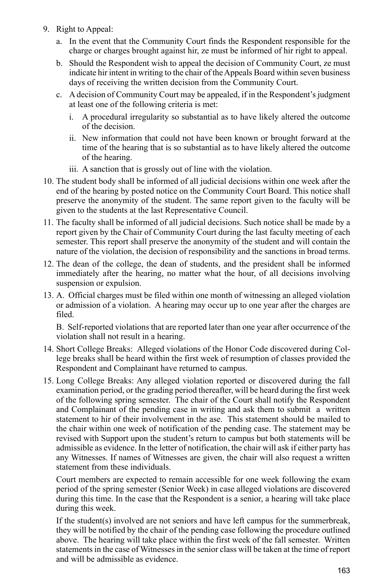- 9. Right to Appeal:
	- a. In the event that the Community Court finds the Respondent responsible for the charge or charges brought against hir, ze must be informed of hir right to appeal.
	- b. Should the Respondent wish to appeal the decision of Community Court, ze must indicate hir intent in writing to the chair of the Appeals Board within seven business days of receiving the written decision from the Community Court.
	- c. A decision of Community Court may be appealed, if in the Respondent's judgment at least one of the following criteria is met:
		- i. A procedural irregularity so substantial as to have likely altered the outcome of the decision.
		- ii. New information that could not have been known or brought forward at the time of the hearing that is so substantial as to have likely altered the outcome of the hearing.
		- iii. A sanction that is grossly out of line with the violation.
- 10. The student body shall be informed of all judicial decisions within one week after the end of the hearing by posted notice on the Community Court Board. This notice shall preserve the anonymity of the student. The same report given to the faculty will be given to the students at the last Representative Council.
- 11. The faculty shall be informed of all judicial decisions. Such notice shall be made by a report given by the Chair of Community Court during the last faculty meeting of each semester. This report shall preserve the anonymity of the student and will contain the nature of the violation, the decision of responsibility and the sanctions in broad terms.
- 12. The dean of the college, the dean of students, and the president shall be informed immediately after the hearing, no matter what the hour, of all decisions involving suspension or expulsion.
- 13. A. Official charges must be filed within one month of witnessing an alleged violation or admission of a violation. A hearing may occur up to one year after the charges are filed.

B. Self-reported violations that are reported later than one year after occurrence of the violation shall not result in a hearing.

- 14. Short College Breaks: Alleged violations of the Honor Code discovered during College breaks shall be heard within the first week of resumption of classes provided the Respondent and Complainant have returned to campus.
- 15. Long College Breaks: Any alleged violation reported or discovered during the fall examination period, or the grading period thereafter, will be heard during the first week of the following spring semester. The chair of the Court shall notify the Respondent and Complainant of the pending case in writing and ask them to submit a written statement to hir of their involvement in the ase. This statement should be mailed to the chair within one week of notification of the pending case. The statement may be revised with Support upon the student's return to campus but both statements will be admissible as evidence. In the letter of notification, the chair will ask if either party has any Witnesses. If names of Witnesses are given, the chair will also request a written statement from these individuals.

Court members are expected to remain accessible for one week following the exam period of the spring semester (Senior Week) in case alleged violations are discovered during this time. In the case that the Respondent is a senior, a hearing will take place during this week.

If the student(s) involved are not seniors and have left campus for the summerbreak, they will be notified by the chair of the pending case following the procedure outlined above. The hearing will take place within the first week of the fall semester. Written statements in the case of Witnesses in the senior class will be taken at the time of report and will be admissible as evidence.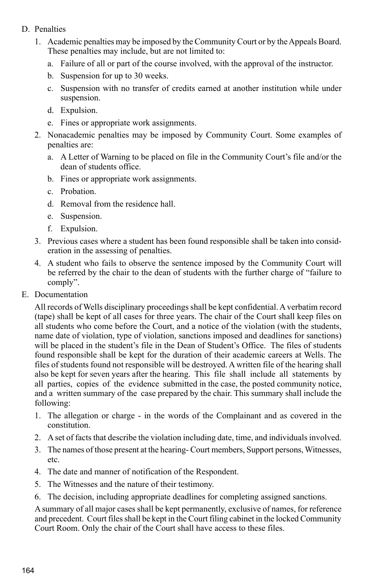- D. Penalties
	- 1. Academic penalties may be imposed by the Community Court or by the Appeals Board. These penalties may include, but are not limited to:
		- a. Failure of all or part of the course involved, with the approval of the instructor.
		- b. Suspension for up to 30 weeks.
		- c. Suspension with no transfer of credits earned at another institution while under suspension.
		- d. Expulsion.
		- e. Fines or appropriate work assignments.
	- 2. Nonacademic penalties may be imposed by Community Court. Some examples of penalties are:
		- a. A Letter of Warning to be placed on file in the Community Court's file and/or the dean of students office.
		- b. Fines or appropriate work assignments.
		- c. Probation.
		- d. Removal from the residence hall.
		- e. Suspension.
		- f. Expulsion.
	- 3. Previous cases where a student has been found responsible shall be taken into consideration in the assessing of penalties.
	- 4. A student who fails to observe the sentence imposed by the Community Court will be referred by the chair to the dean of students with the further charge of "failure to comply".
- E. Documentation

All records of Wells disciplinary proceedings shall be kept confidential. A verbatim record (tape) shall be kept of all cases for three years. The chair of the Court shall keep files on all students who come before the Court, and a notice of the violation (with the students, name date of violation, type of violation, sanctions imposed and deadlines for sanctions) will be placed in the student's file in the Dean of Student's Office. The files of students found responsible shall be kept for the duration of their academic careers at Wells. The files of students found not responsible will be destroyed. A written file of the hearing shall also be kept for seven years after the hearing. This file shall include all statements by all parties, copies of the evidence submitted in the case, the posted community notice, and a written summary of the case prepared by the chair. This summary shall include the following:

- 1. The allegation or charge in the words of the Complainant and as covered in the constitution.
- 2. A set of facts that describe the violation including date, time, and individuals involved.
- 3. The names of those present at the hearing- Court members, Support persons, Witnesses, etc.
- 4. The date and manner of notification of the Respondent.
- 5. The Witnesses and the nature of their testimony.
- 6. The decision, including appropriate deadlines for completing assigned sanctions.

A summary of all major cases shall be kept permanently, exclusive of names, for reference and precedent. Court files shall be kept in the Court filing cabinet in the locked Community Court Room. Only the chair of the Court shall have access to these files.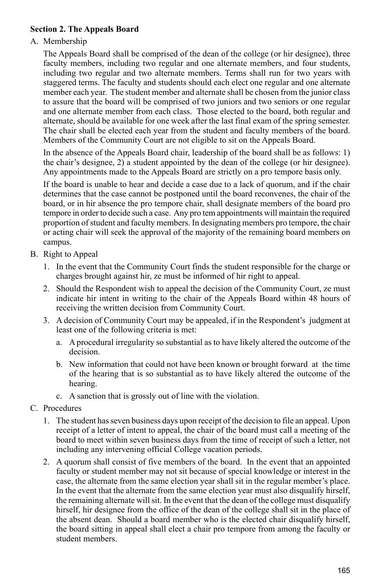#### **Section 2. The Appeals Board**

#### A. Membership

The Appeals Board shall be comprised of the dean of the college (or hir designee), three faculty members, including two regular and one alternate members, and four students, including two regular and two alternate members. Terms shall run for two years with staggered terms. The faculty and students should each elect one regular and one alternate member each year. The student member and alternate shall be chosen from the junior class to assure that the board will be comprised of two juniors and two seniors or one regular and one alternate member from each class. Those elected to the board, both regular and alternate, should be available for one week after the last final exam of the spring semester. The chair shall be elected each year from the student and faculty members of the board. Members of the Community Court are not eligible to sit on the Appeals Board.

In the absence of the Appeals Board chair, leadership of the board shall be as follows: 1) the chair's designee, 2) a student appointed by the dean of the college (or hir designee). Any appointments made to the Appeals Board are strictly on a pro tempore basis only.

If the board is unable to hear and decide a case due to a lack of quorum, and if the chair determines that the case cannot be postponed until the board reconvenes, the chair of the board, or in hir absence the pro tempore chair, shall designate members of the board pro tempore in order to decide such a case. Any pro tem appointments will maintain the required proportion of student and faculty members. In designating members pro tempore, the chair or acting chair will seek the approval of the majority of the remaining board members on campus.

- B. Right to Appeal
	- 1. In the event that the Community Court finds the student responsible for the charge or charges brought against hir, ze must be informed of hir right to appeal.
	- 2. Should the Respondent wish to appeal the decision of the Community Court, ze must indicate hir intent in writing to the chair of the Appeals Board within 48 hours of receiving the written decision from Community Court.
	- 3. A decision of Community Court may be appealed, if in the Respondent's judgment at least one of the following criteria is met:
		- a. A procedural irregularity so substantial as to have likely altered the outcome of the decision.
		- b. New information that could not have been known or brought forward at the time of the hearing that is so substantial as to have likely altered the outcome of the hearing.
		- c. A sanction that is grossly out of line with the violation.
- C. Procedures
	- 1. The student has seven business days upon receipt of the decision to file an appeal. Upon receipt of a letter of intent to appeal, the chair of the board must call a meeting of the board to meet within seven business days from the time of receipt of such a letter, not including any intervening official College vacation periods.
	- 2. A quorum shall consist of five members of the board. In the event that an appointed faculty or student member may not sit because of special knowledge or interest in the case, the alternate from the same election year shall sit in the regular member's place. In the event that the alternate from the same election year must also disqualify hirself, the remaining alternate will sit. In the event that the dean of the college must disqualify hirself, hir designee from the office of the dean of the college shall sit in the place of the absent dean. Should a board member who is the elected chair disqualify hirself, the board sitting in appeal shall elect a chair pro tempore from among the faculty or student members.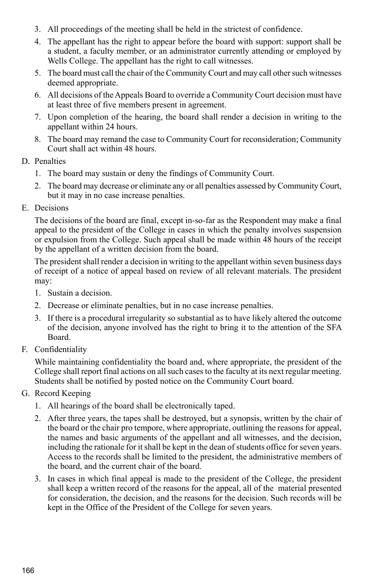- 3. All proceedings of the meeting shall be held in the strictest of confidence.
- 4. The appellant has the right to appear before the board with support: support shall be a student, a faculty member, or an administrator currently attending or employed by Wells College. The appellant has the right to call witnesses.
- 5. The board must call the chair of the Community Court and may call other such witnesses deemed appropriate.
- 6. All decisions of the Appeals Board to override a Community Court decision must have at least three of five members present in agreement.
- 7. Upon completion of the hearing, the board shall render a decision in writing to the appellant within 24 hours.
- 8. The board may remand the case to Community Court for reconsideration; Community Court shall act within 48 hours.
- D. Penalties
	- 1. The board may sustain or deny the findings of Community Court.
	- 2. The board may decrease or eliminate any or all penalties assessed by Community Court, but it may in no case increase penalties.
- E. Decisions

The decisions of the board are final, except in-so-far as the Respondent may make a final appeal to the president of the College in cases in which the penalty involves suspension or expulsion from the College. Such appeal shall be made within 48 hours of the receipt by the appellant of a written decision from the board.

The president shall render a decision in writing to the appellant within seven business days of receipt of a notice of appeal based on review of all relevant materials. The president may:

- 1. Sustain a decision.
- 2. Decrease or eliminate penalties, but in no case increase penalties.
- 3. If there is a procedural irregularity so substantial as to have likely altered the outcome of the decision, anyone involved has the right to bring it to the attention of the SFA Board.
- F. Confidentiality

While maintaining confidentiality the board and, where appropriate, the president of the College shall report final actions on all such cases to the faculty at its next regular meeting. Students shall be notified by posted notice on the Community Court board.

- G. Record Keeping
	- 1. All hearings of the board shall be electronically taped.
	- 2. After three years, the tapes shall be destroyed, but a synopsis, written by the chair of the board or the chair pro tempore, where appropriate, outlining the reasons for appeal, the names and basic arguments of the appellant and all witnesses, and the decision, including the rationale for it shall be kept in the dean of students office for seven years. Access to the records shall be limited to the president, the administrative members of the board, and the current chair of the board.
	- 3. In cases in which final appeal is made to the president of the College, the president shall keep a written record of the reasons for the appeal, all of the material presented for consideration, the decision, and the reasons for the decision. Such records will be kept in the Office of the President of the College for seven years.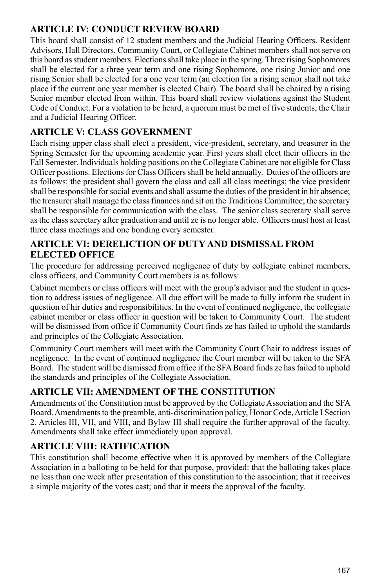#### **ARTICLE IV: CONDUCT REVIEW BOARD**

This board shall consist of 12 student members and the Judicial Hearing Officers. Resident Advisors, Hall Directors, Community Court, or Collegiate Cabinet members shall not serve on this board as student members. Elections shall take place in the spring. Three rising Sophomores shall be elected for a three year term and one rising Sophomore, one rising Junior and one rising Senior shall be elected for a one year term (an election for a rising senior shall not take place if the current one year member is elected Chair). The board shall be chaired by a rising Senior member elected from within. This board shall review violations against the Student Code of Conduct. For a violation to be heard, a quorum must be met of five students, the Chair and a Judicial Hearing Officer.

## **ARTICLE V: CLASS GOVERNMENT**

Each rising upper class shall elect a president, vice-president, secretary, and treasurer in the Spring Semester for the upcoming academic year. First years shall elect their officers in the Fall Semester. Individuals holding positions on the Collegiate Cabinet are not eligible for Class Officer positions. Elections for Class Officers shall be held annually. Duties of the officers are as follows: the president shall govern the class and call all class meetings; the vice president shall be responsible for social events and shall assume the duties of the president in hir absence; the treasurer shall manage the class finances and sit on the Traditions Committee; the secretary shall be responsible for communication with the class. The senior class secretary shall serve as the class secretary after graduation and until ze is no longer able. Officers must host at least three class meetings and one bonding every semester.

#### **ARTICLE VI: Dereliction of Duty and Dismissal from Elected Office**

The procedure for addressing perceived negligence of duty by collegiate cabinet members, class officers, and Community Court members is as follows:

Cabinet members or class officers will meet with the group's advisor and the student in question to address issues of negligence. All due effort will be made to fully inform the student in question of hir duties and responsibilities. In the event of continued negligence, the collegiate cabinet member or class officer in question will be taken to Community Court. The student will be dismissed from office if Community Court finds ze has failed to uphold the standards and principles of the Collegiate Association.

Community Court members will meet with the Community Court Chair to address issues of negligence. In the event of continued negligence the Court member will be taken to the SFA Board. The student will be dismissed from office if the SFA Board finds ze has failed to uphold the standards and principles of the Collegiate Association.

## **ARTICLE VII: AMENDMENT OF THE CONSTITUTION**

Amendments of the Constitution must be approved by the Collegiate Association and the SFA Board. Amendments to the preamble, anti-discrimination policy, Honor Code, Article I Section 2, Articles III, VII, and VIII, and Bylaw III shall require the further approval of the faculty. Amendments shall take effect immediately upon approval.

### **ARTICLE VIII: RATIFICATION**

This constitution shall become effective when it is approved by members of the Collegiate Association in a balloting to be held for that purpose, provided: that the balloting takes place no less than one week after presentation of this constitution to the association; that it receives a simple majority of the votes cast; and that it meets the approval of the faculty.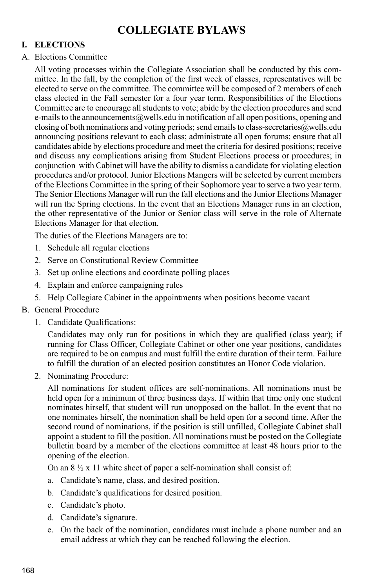## **COLLEGIATE BYLAWS**

#### **I. ELECTIONS**

#### A. Elections Committee

All voting processes within the Collegiate Association shall be conducted by this committee. In the fall, by the completion of the first week of classes, representatives will be elected to serve on the committee. The committee will be composed of 2 members of each class elected in the Fall semester for a four year term. Responsibilities of the Elections Committee are to encourage all students to vote; abide by the election procedures and send e-mails to the announcements  $\omega$  wells, edu in notification of all open positions, opening and closing of both nominations and voting periods; send emails to class-secretaries  $@$ wells.edu announcing positions relevant to each class; administrate all open forums; ensure that all candidates abide by elections procedure and meet the criteria for desired positions; receive and discuss any complications arising from Student Elections process or procedures; in conjunction with Cabinet will have the ability to dismiss a candidate for violating election procedures and/or protocol. Junior Elections Mangers will be selected by current members of the Elections Committee in the spring of their Sophomore year to serve a two year term. The Senior Elections Manager will run the fall elections and the Junior Elections Manager will run the Spring elections. In the event that an Elections Manager runs in an election, the other representative of the Junior or Senior class will serve in the role of Alternate Elections Manager for that election.

The duties of the Elections Managers are to:

- 1. Schedule all regular elections
- 2. Serve on Constitutional Review Committee
- 3. Set up online elections and coordinate polling places
- 4. Explain and enforce campaigning rules
- 5. Help Collegiate Cabinet in the appointments when positions become vacant

#### B. General Procedure

1. Candidate Qualifications:

Candidates may only run for positions in which they are qualified (class year); if running for Class Officer, Collegiate Cabinet or other one year positions, candidates are required to be on campus and must fulfill the entire duration of their term. Failure to fulfill the duration of an elected position constitutes an Honor Code violation.

2. Nominating Procedure:

All nominations for student offices are self-nominations. All nominations must be held open for a minimum of three business days. If within that time only one student nominates hirself, that student will run unopposed on the ballot. In the event that no one nominates hirself, the nomination shall be held open for a second time. After the second round of nominations, if the position is still unfilled, Collegiate Cabinet shall appoint a student to fill the position. All nominations must be posted on the Collegiate bulletin board by a member of the elections committee at least 48 hours prior to the opening of the election.

On an  $8\frac{1}{2}$  x 11 white sheet of paper a self-nomination shall consist of:

- a. Candidate's name, class, and desired position.
- b. Candidate's qualifications for desired position.
- c. Candidate's photo.
- d. Candidate's signature.
- e. On the back of the nomination, candidates must include a phone number and an email address at which they can be reached following the election.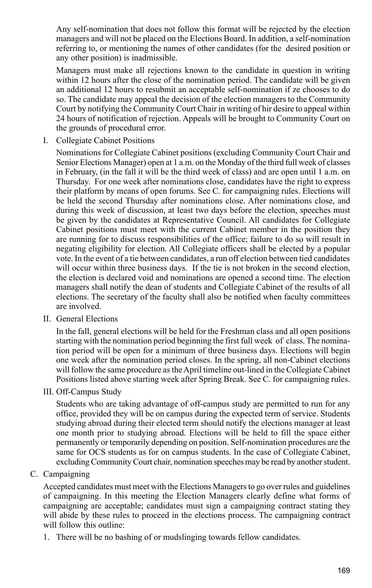Any self-nomination that does not follow this format will be rejected by the election managers and will not be placed on the Elections Board. In addition, a self-nomination referring to, or mentioning the names of other candidates (for the desired position or any other position) is inadmissible.

Managers must make all rejections known to the candidate in question in writing within 12 hours after the close of the nomination period. The candidate will be given an additional 12 hours to resubmit an acceptable self-nomination if ze chooses to do so. The candidate may appeal the decision of the election managers to the Community Court by notifying the Community Court Chair in writing of hir desire to appeal within 24 hours of notification of rejection. Appeals will be brought to Community Court on the grounds of procedural error.

I. Collegiate Cabinet Positions

Nominations for Collegiate Cabinet positions (excluding Community Court Chair and Senior Elections Manager) open at 1 a.m. on the Monday of the third full week of classes in February, (in the fall it will be the third week of class) and are open until 1 a.m. on Thursday. For one week after nominations close, candidates have the right to express their platform by means of open forums. See C. for campaigning rules. Elections will be held the second Thursday after nominations close. After nominations close, and during this week of discussion, at least two days before the election, speeches must be given by the candidates at Representative Council. All candidates for Collegiate Cabinet positions must meet with the current Cabinet member in the position they are running for to discuss responsibilities of the office; failure to do so will result in negating eligibility for election. All Collegiate officers shall be elected by a popular vote. In the event of a tie between candidates, a run off election between tied candidates will occur within three business days. If the tie is not broken in the second election, the election is declared void and nominations are opened a second time. The election managers shall notify the dean of students and Collegiate Cabinet of the results of all elections. The secretary of the faculty shall also be notified when faculty committees are involved.

II. General Elections

In the fall, general elections will be held for the Freshman class and all open positions starting with the nomination period beginning the first full week of class. The nomination period will be open for a minimum of three business days. Elections will begin one week after the nomination period closes. In the spring, all non-Cabinet elections will follow the same procedure as the April timeline out-lined in the Collegiate Cabinet Positions listed above starting week after Spring Break. See C. for campaigning rules.

III. Off-Campus Study

Students who are taking advantage of off-campus study are permitted to run for any office, provided they will be on campus during the expected term of service. Students studying abroad during their elected term should notify the elections manager at least one month prior to studying abroad. Elections will be held to fill the space either permanently or temporarily depending on position. Self-nomination procedures are the same for OCS students as for on campus students. In the case of Collegiate Cabinet, excluding Community Court chair, nomination speeches may be read by another student.

C. Campaigning

Accepted candidates must meet with the Elections Managers to go over rules and guidelines of campaigning. In this meeting the Election Managers clearly define what forms of campaigning are acceptable; candidates must sign a campaigning contract stating they will abide by these rules to proceed in the elections process. The campaigning contract will follow this outline:

1. There will be no bashing of or mudslinging towards fellow candidates.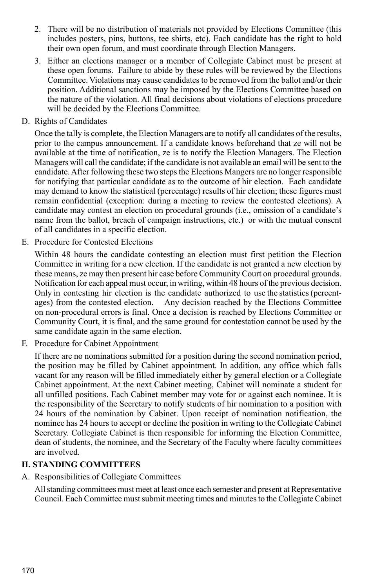- 2. There will be no distribution of materials not provided by Elections Committee (this includes posters, pins, buttons, tee shirts, etc). Each candidate has the right to hold their own open forum, and must coordinate through Election Managers.
- 3. Either an elections manager or a member of Collegiate Cabinet must be present at these open forums. Failure to abide by these rules will be reviewed by the Elections Committee. Violations may cause candidates to be removed from the ballot and/or their position. Additional sanctions may be imposed by the Elections Committee based on the nature of the violation. All final decisions about violations of elections procedure will be decided by the Elections Committee.
- D. Rights of Candidates

Once the tally is complete, the Election Managers are to notify all candidates of the results, prior to the campus announcement. If a candidate knows beforehand that ze will not be available at the time of notification, ze is to notify the Election Managers. The Election Managers will call the candidate; if the candidate is not available an email will be sent to the candidate. After following these two steps the Elections Mangers are no longer responsible for notifying that particular candidate as to the outcome of hir election. Each candidate may demand to know the statistical (percentage) results of hir election; these figures must remain confidential (exception: during a meeting to review the contested elections). A candidate may contest an election on procedural grounds (i.e., omission of a candidate's name from the ballot, breach of campaign instructions, etc.) or with the mutual consent of all candidates in a specific election.

E. Procedure for Contested Elections

Within 48 hours the candidate contesting an election must first petition the Election Committee in writing for a new election. If the candidate is not granted a new election by these means, ze may then present hir case before Community Court on procedural grounds. Notification for each appeal must occur, in writing, within 48 hours of the previous decision. Only in contesting hir election is the candidate authorized to use the statistics (percent-<br>ages) from the contested election. Any decision reached by the Elections Committee Any decision reached by the Elections Committee on non-procedural errors is final. Once a decision is reached by Elections Committee or Community Court, it is final, and the same ground for contestation cannot be used by the same candidate again in the same election.

F. Procedure for Cabinet Appointment

If there are no nominations submitted for a position during the second nomination period, the position may be filled by Cabinet appointment. In addition, any office which falls vacant for any reason will be filled immediately either by general election or a Collegiate Cabinet appointment. At the next Cabinet meeting, Cabinet will nominate a student for all unfilled positions. Each Cabinet member may vote for or against each nominee. It is the responsibility of the Secretary to notify students of hir nomination to a position with 24 hours of the nomination by Cabinet. Upon receipt of nomination notification, the nominee has 24 hours to accept or decline the position in writing to the Collegiate Cabinet Secretary. Collegiate Cabinet is then responsible for informing the Election Committee, dean of students, the nominee, and the Secretary of the Faculty where faculty committees are involved.

#### **II. STANDING COMMITTEES**

A. Responsibilities of Collegiate Committees

All standing committees must meet at least once each semester and present at Representative Council. Each Committee must submit meeting times and minutes to the Collegiate Cabinet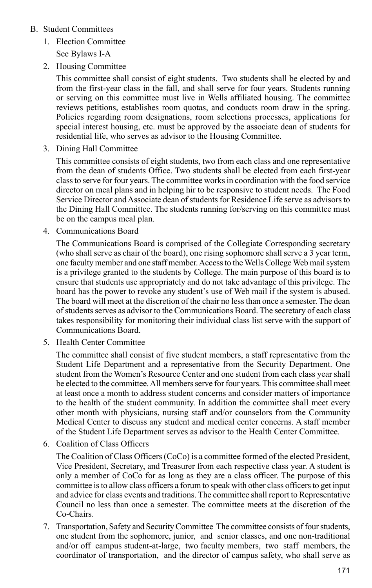#### B. Student Committees

1. Election Committee

See Bylaws I-A

2. Housing Committee

This committee shall consist of eight students. Two students shall be elected by and from the first-year class in the fall, and shall serve for four years. Students running or serving on this committee must live in Wells affiliated housing. The committee reviews petitions, establishes room quotas, and conducts room draw in the spring. Policies regarding room designations, room selections processes, applications for special interest housing, etc. must be approved by the associate dean of students for residential life, who serves as advisor to the Housing Committee.

3. Dining Hall Committee

This committee consists of eight students, two from each class and one representative from the dean of students Office. Two students shall be elected from each first-year class to serve for four years. The committee works in coordination with the food service director on meal plans and in helping hir to be responsive to student needs. The Food Service Director and Associate dean of students for Residence Life serve as advisors to the Dining Hall Committee. The students running for/serving on this committee must be on the campus meal plan.

4. Communications Board

The Communications Board is comprised of the Collegiate Corresponding secretary (who shall serve as chair of the board), one rising sophomore shall serve a 3 year term, one faculty member and one staff member. Access to the Wells College Web mail system is a privilege granted to the students by College. The main purpose of this board is to ensure that students use appropriately and do not take advantage of this privilege. The board has the power to revoke any student's use of Web mail if the system is abused. The board will meet at the discretion of the chair no less than once a semester. The dean of students serves as advisor to the Communications Board. The secretary of each class takes responsibility for monitoring their individual class list serve with the support of Communications Board.

5. Health Center Committee

The committee shall consist of five student members, a staff representative from the Student Life Department and a representative from the Security Department. One student from the Women's Resource Center and one student from each class year shall be elected to the committee. All members serve for four years. This committee shall meet at least once a month to address student concerns and consider matters of importance to the health of the student community. In addition the committee shall meet every other month with physicians, nursing staff and/or counselors from the Community Medical Center to discuss any student and medical center concerns. A staff member of the Student Life Department serves as advisor to the Health Center Committee.

6. Coalition of Class Officers

The Coalition of Class Officers (CoCo) is a committee formed of the elected President, Vice President, Secretary, and Treasurer from each respective class year. A student is only a member of CoCo for as long as they are a class officer. The purpose of this committee is to allow class officers a forum to speak with other class officers to get input and advice for class events and traditions. The committee shall report to Representative Council no less than once a semester. The committee meets at the discretion of the Co-Chairs.

7. Transportation, Safety and Security Committee The committee consists of four students, one student from the sophomore, junior, and senior classes, and one non-traditional and/or off campus student-at-large, two faculty members, two staff members, the coordinator of transportation, and the director of campus safety, who shall serve as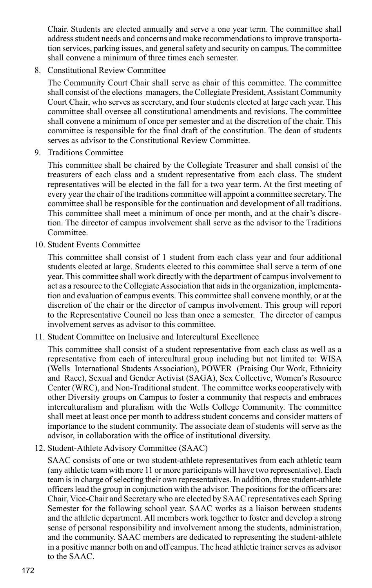Chair. Students are elected annually and serve a one year term. The committee shall address student needs and concerns and make recommendations to improve transportation services, parking issues, and general safety and security on campus. The committee shall convene a minimum of three times each semester.

8. Constitutional Review Committee

The Community Court Chair shall serve as chair of this committee. The committee shall consist of the elections managers, the Collegiate President, Assistant Community Court Chair, who serves as secretary, and four students elected at large each year. This committee shall oversee all constitutional amendments and revisions. The committee shall convene a minimum of once per semester and at the discretion of the chair. This committee is responsible for the final draft of the constitution. The dean of students serves as advisor to the Constitutional Review Committee.

9. Traditions Committee

This committee shall be chaired by the Collegiate Treasurer and shall consist of the treasurers of each class and a student representative from each class. The student representatives will be elected in the fall for a two year term. At the first meeting of every year the chair of the traditions committee will appoint a committee secretary. The committee shall be responsible for the continuation and development of all traditions. This committee shall meet a minimum of once per month, and at the chair's discretion. The director of campus involvement shall serve as the advisor to the Traditions Committee.

10. Student Events Committee

This committee shall consist of 1 student from each class year and four additional students elected at large. Students elected to this committee shall serve a term of one year. This committee shall work directly with the department of campus involvement to act as a resource to the Collegiate Association that aids in the organization, implementation and evaluation of campus events. This committee shall convene monthly, or at the discretion of the chair or the director of campus involvement. This group will report to the Representative Council no less than once a semester. The director of campus involvement serves as advisor to this committee.

11. Student Committee on Inclusive and Intercultural Excellence

This committee shall consist of a student representative from each class as well as a representative from each of intercultural group including but not limited to: WISA (Wells International Students Association), POWER (Praising Our Work, Ethnicity and Race), Sexual and Gender Activist (SAGA), Sex Collective, Women's Resource Center (WRC), and Non-Traditional student. The committee works cooperatively with other Diversity groups on Campus to foster a community that respects and embraces interculturalism and pluralism with the Wells College Community. The committee shall meet at least once per month to address student concerns and consider matters of importance to the student community. The associate dean of students will serve as the advisor, in collaboration with the office of institutional diversity.

12. Student-Athlete Advisory Committee (SAAC)

SAAC consists of one or two student-athlete representatives from each athletic team (any athletic team with more 11 or more participants will have two representative). Each team is in charge of selecting their own representatives. In addition, three student-athlete officers lead the group in conjunction with the advisor. The positions for the officers are: Chair, Vice-Chair and Secretary who are elected by SAAC representatives each Spring Semester for the following school year. SAAC works as a liaison between students and the athletic department. All members work together to foster and develop a strong sense of personal responsibility and involvement among the students, administration, and the community. SAAC members are dedicated to representing the student-athlete in a positive manner both on and off campus. The head athletic trainer serves as advisor to the SAAC.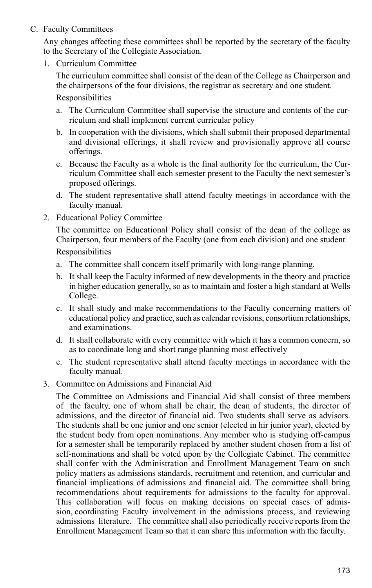C. Faculty Committees

Any changes affecting these committees shall be reported by the secretary of the faculty to the Secretary of the Collegiate Association.

1. Curriculum Committee

The curriculum committee shall consist of the dean of the College as Chairperson and the chairpersons of the four divisions, the registrar as secretary and one student.

**Responsibilities** 

- a. The Curriculum Committee shall supervise the structure and contents of the curriculum and shall implement current curricular policy
- b. In cooperation with the divisions, which shall submit their proposed departmental and divisional offerings, it shall review and provisionally approve all course offerings.
- c. Because the Faculty as a whole is the final authority for the curriculum, the Curriculum Committee shall each semester present to the Faculty the next semester's proposed offerings.
- d. The student representative shall attend faculty meetings in accordance with the faculty manual.
- 2. Educational Policy Committee

The committee on Educational Policy shall consist of the dean of the college as Chairperson, four members of the Faculty (one from each division) and one student

Responsibilities

- a. The committee shall concern itself primarily with long-range planning.
- b. It shall keep the Faculty informed of new developments in the theory and practice in higher education generally, so as to maintain and foster a high standard at Wells College.
- c. It shall study and make recommendations to the Faculty concerning matters of educational policy and practice, such as calendar revisions, consortium relationships, and examinations.
- d. It shall collaborate with every committee with which it has a common concern, so as to coordinate long and short range planning most effectively
- e. The student representative shall attend faculty meetings in accordance with the faculty manual.
- 3. Committee on Admissions and Financial Aid

The Committee on Admissions and Financial Aid shall consist of three members of the faculty, one of whom shall be chair, the dean of students, the director of admissions, and the director of financial aid. Two students shall serve as advisors. The students shall be one junior and one senior (elected in hir junior year), elected by the student body from open nominations. Any member who is studying off-campus for a semester shall be temporarily replaced by another student chosen from a list of self-nominations and shall be voted upon by the Collegiate Cabinet. The committee shall confer with the Administration and Enrollment Management Team on such policy matters as admissions standards, recruitment and retention, and curricular and financial implications of admissions and financial aid. The committee shall bring recommendations about requirements for admissions to the faculty for approval. This collaboration will focus on making decisions on special cases of admission, coordinating Faculty involvement in the admissions process, and reviewing admissions literature. The committee shall also periodically receive reports from the Enrollment Management Team so that it can share this information with the faculty.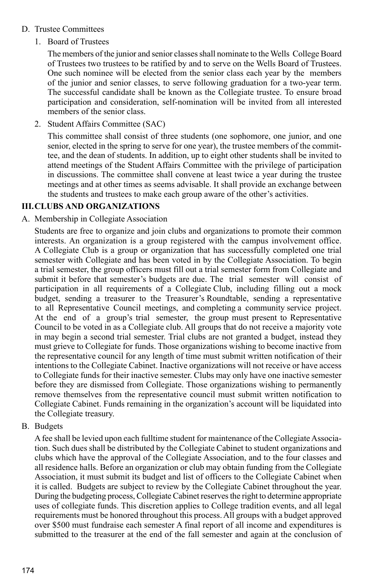#### D. Trustee Committees

1. Board of Trustees

The members of the junior and senior classes shall nominate to the Wells College Board of Trustees two trustees to be ratified by and to serve on the Wells Board of Trustees. One such nominee will be elected from the senior class each year by the members of the junior and senior classes, to serve following graduation for a two-year term. The successful candidate shall be known as the Collegiate trustee. To ensure broad participation and consideration, self-nomination will be invited from all interested members of the senior class.

2. Student Affairs Committee (SAC)

This committee shall consist of three students (one sophomore, one junior, and one senior, elected in the spring to serve for one year), the trustee members of the committee, and the dean of students. In addition, up to eight other students shall be invited to attend meetings of the Student Affairs Committee with the privilege of participation in discussions. The committee shall convene at least twice a year during the trustee meetings and at other times as seems advisable. It shall provide an exchange between the students and trustees to make each group aware of the other's activities.

#### **III.CLUBS AND ORGANIZATIONS**

A. Membership in Collegiate Association

Students are free to organize and join clubs and organizations to promote their common interests. An organization is a group registered with the campus involvement office. A Collegiate Club is a group or organization that has successfully completed one trial semester with Collegiate and has been voted in by the Collegiate Association. To begin a trial semester, the group officers must fill out a trial semester form from Collegiate and submit it before that semester's budgets are due. The trial semester will consist of participation in all requirements of a Collegiate Club, including filling out a mock budget, sending a treasurer to the Treasurer's Roundtable, sending a representative to all Representative Council meetings, and completing a community service project. At the end of a group's trial semester, the group must present to Representative Council to be voted in as a Collegiate club. All groups that do not receive a majority vote in may begin a second trial semester. Trial clubs are not granted a budget, instead they must grieve to Collegiate for funds. Those organizations wishing to become inactive from the representative council for any length of time must submit written notification of their intentions to the Collegiate Cabinet. Inactive organizations will not receive or have access to Collegiate funds for their inactive semester. Clubs may only have one inactive semester before they are dismissed from Collegiate. Those organizations wishing to permanently remove themselves from the representative council must submit written notification to Collegiate Cabinet. Funds remaining in the organization's account will be liquidated into the Collegiate treasury.

B. Budgets

A fee shall be levied upon each fulltime student for maintenance of the Collegiate Association. Such dues shall be distributed by the Collegiate Cabinet to student organizations and clubs which have the approval of the Collegiate Association, and to the four classes and all residence halls. Before an organization or club may obtain funding from the Collegiate Association, it must submit its budget and list of officers to the Collegiate Cabinet when it is called. Budgets are subject to review by the Collegiate Cabinet throughout the year. During the budgeting process, Collegiate Cabinet reserves the right to determine appropriate uses of collegiate funds. This discretion applies to College tradition events, and all legal requirements must be honored throughout this process. All groups with a budget approved over \$500 must fundraise each semester A final report of all income and expenditures is submitted to the treasurer at the end of the fall semester and again at the conclusion of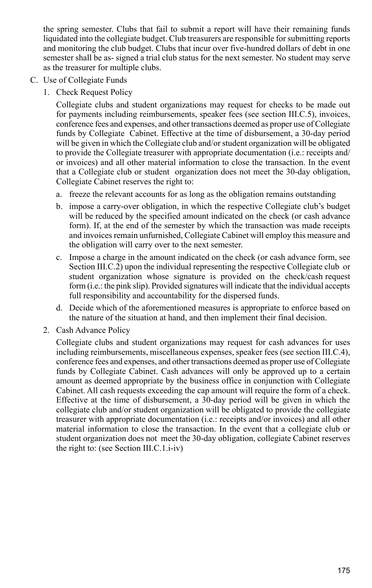the spring semester. Clubs that fail to submit a report will have their remaining funds liquidated into the collegiate budget. Club treasurers are responsible for submitting reports and monitoring the club budget. Clubs that incur over five-hundred dollars of debt in one semester shall be as- signed a trial club status for the next semester. No student may serve as the treasurer for multiple clubs.

- C. Use of Collegiate Funds
	- 1. Check Request Policy

Collegiate clubs and student organizations may request for checks to be made out for payments including reimbursements, speaker fees (see section III.C.5), invoices, conference fees and expenses, and other transactions deemed as proper use of Collegiate funds by Collegiate Cabinet. Effective at the time of disbursement, a 30-day period will be given in which the Collegiate club and/or student organization will be obligated to provide the Collegiate treasurer with appropriate documentation (i.e.: receipts and/ or invoices) and all other material information to close the transaction. In the event that a Collegiate club or student organization does not meet the 30-day obligation, Collegiate Cabinet reserves the right to:

- a. freeze the relevant accounts for as long as the obligation remains outstanding
- b. impose a carry-over obligation, in which the respective Collegiate club's budget will be reduced by the specified amount indicated on the check (or cash advance form). If, at the end of the semester by which the transaction was made receipts and invoices remain unfurnished, Collegiate Cabinet will employ this measure and the obligation will carry over to the next semester.
- c. Impose a charge in the amount indicated on the check (or cash advance form, see Section III.C.2) upon the individual representing the respective Collegiate club or student organization whose signature is provided on the check/cash request form (*i.e.*: the pink slip). Provided signatures will indicate that the individual accepts full responsibility and accountability for the dispersed funds.
- d. Decide which of the aforementioned measures is appropriate to enforce based on the nature of the situation at hand, and then implement their final decision.
- 2. Cash Advance Policy

Collegiate clubs and student organizations may request for cash advances for uses including reimbursements, miscellaneous expenses, speaker fees (see section III.C.4), conference fees and expenses, and other transactions deemed as proper use of Collegiate funds by Collegiate Cabinet. Cash advances will only be approved up to a certain amount as deemed appropriate by the business office in conjunction with Collegiate Cabinet. All cash requests exceeding the cap amount will require the form of a check. Effective at the time of disbursement, a 30-day period will be given in which the collegiate club and/or student organization will be obligated to provide the collegiate treasurer with appropriate documentation (i.e.: receipts and/or invoices) and all other material information to close the transaction. In the event that a collegiate club or student organization does not meet the 30-day obligation, collegiate Cabinet reserves the right to: (see Section III.C.1.i-iv)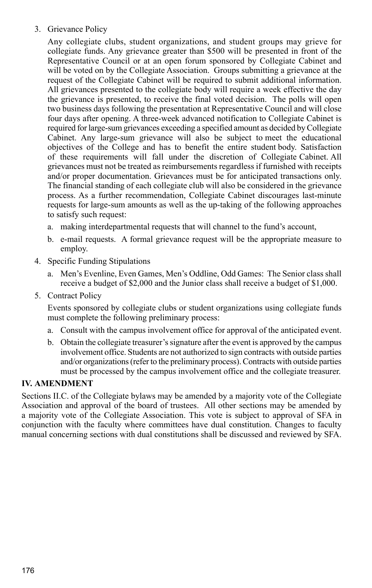#### 3. Grievance Policy

Any collegiate clubs, student organizations, and student groups may grieve for collegiate funds. Any grievance greater than \$500 will be presented in front of the Representative Council or at an open forum sponsored by Collegiate Cabinet and will be voted on by the Collegiate Association. Groups submitting a grievance at the request of the Collegiate Cabinet will be required to submit additional information. All grievances presented to the collegiate body will require a week effective the day the grievance is presented, to receive the final voted decision. The polls will open two business days following the presentation at Representative Council and will close four days after opening. A three-week advanced notification to Collegiate Cabinet is required for large-sum grievances exceeding a specified amount as decided by Collegiate Cabinet. Any large-sum grievance will also be subject to meet the educational objectives of the College and has to benefit the entire student body. Satisfaction of these requirements will fall under the discretion of Collegiate Cabinet. All grievances must not be treated as reimbursements regardless if furnished with receipts and/or proper documentation. Grievances must be for anticipated transactions only. The financial standing of each collegiate club will also be considered in the grievance process. As a further recommendation, Collegiate Cabinet discourages last-minute requests for large-sum amounts as well as the up-taking of the following approaches to satisfy such request:

- a. making interdepartmental requests that will channel to the fund's account,
- b. e-mail requests. A formal grievance request will be the appropriate measure to employ.
- 4. Specific Funding Stipulations
	- a. Men's Evenline, Even Games, Men's Oddline, Odd Games: The Senior class shall receive a budget of \$2,000 and the Junior class shall receive a budget of \$1,000.
- 5. Contract Policy

Events sponsored by collegiate clubs or student organizations using collegiate funds must complete the following preliminary process:

- a. Consult with the campus involvement office for approval of the anticipated event.
- b. Obtain the collegiate treasurer's signature after the event is approved by the campus involvement office. Students are not authorized to sign contracts with outside parties and/or organizations (refer to the preliminary process). Contracts with outside parties must be processed by the campus involvement office and the collegiate treasurer.

#### **IV. AMENDMENT**

Sections II.C. of the Collegiate bylaws may be amended by a majority vote of the Collegiate Association and approval of the board of trustees. All other sections may be amended by a majority vote of the Collegiate Association. This vote is subject to approval of SFA in conjunction with the faculty where committees have dual constitution. Changes to faculty manual concerning sections with dual constitutions shall be discussed and reviewed by SFA.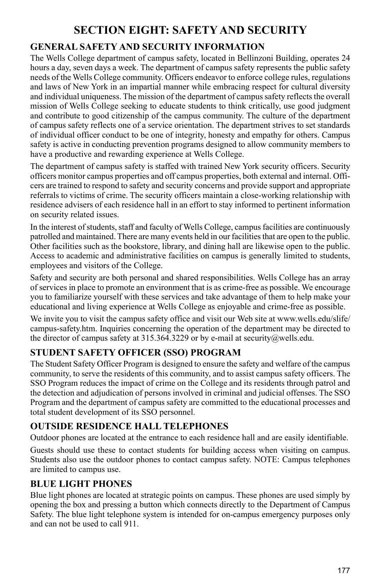### **SECTION EIGHT: SAFETY AND SECURITY**

### **GENERAL SAFETY AND SECURITY INFORMATION**

The Wells College department of campus safety, located in Bellinzoni Building, operates 24 hours a day, seven days a week. The department of campus safety represents the public safety needs of the Wells College community. Officers endeavor to enforce college rules, regulations and laws of New York in an impartial manner while embracing respect for cultural diversity and individual uniqueness. The mission of the department of campus safety reflects the overall mission of Wells College seeking to educate students to think critically, use good judgment and contribute to good citizenship of the campus community. The culture of the department of campus safety reflects one of a service orientation. The department strives to set standards of individual officer conduct to be one of integrity, honesty and empathy for others. Campus safety is active in conducting prevention programs designed to allow community members to have a productive and rewarding experience at Wells College.

The department of campus safety is staffed with trained New York security officers. Security officers monitor campus properties and off campus properties, both external and internal. Officers are trained to respond to safety and security concerns and provide support and appropriate referrals to victims of crime. The security officers maintain a close-working relationship with residence advisers of each residence hall in an effort to stay informed to pertinent information on security related issues.

In the interest of students, staff and faculty of Wells College, campus facilities are continuously patrolled and maintained. There are many events held in our facilities that are open to the public. Other facilities such as the bookstore, library, and dining hall are likewise open to the public. Access to academic and administrative facilities on campus is generally limited to students, employees and visitors of the College.

Safety and security are both personal and shared responsibilities. Wells College has an array of services in place to promote an environment that is as crime-free as possible. We encourage you to familiarize yourself with these services and take advantage of them to help make your educational and living experience at Wells College as enjoyable and crime-free as possible.

We invite you to visit the campus safety office and visit our Web site at www.wells.edu/slife/ campus-safety.htm. Inquiries concerning the operation of the department may be directed to the director of campus safety at  $315.364.3229$  or by e-mail at security@wells.edu.

### **Student Safety Officer (SSO) Program**

The Student Safety Officer Program is designed to ensure the safety and welfare of the campus community, to serve the residents of this community, and to assist campus safety officers. The SSO Program reduces the impact of crime on the College and its residents through patrol and the detection and adjudication of persons involved in criminal and judicial offenses. The SSO Program and the department of campus safety are committed to the educational processes and total student development of its SSO personnel.

### **Outside Residence Hall Telephones**

Outdoor phones are located at the entrance to each residence hall and are easily identifiable.

Guests should use these to contact students for building access when visiting on campus. Students also use the outdoor phones to contact campus safety. NOTE: Campus telephones are limited to campus use.

### **Blue Light Phones**

Blue light phones are located at strategic points on campus. These phones are used simply by opening the box and pressing a button which connects directly to the Department of Campus Safety. The blue light telephone system is intended for on-campus emergency purposes only and can not be used to call 911.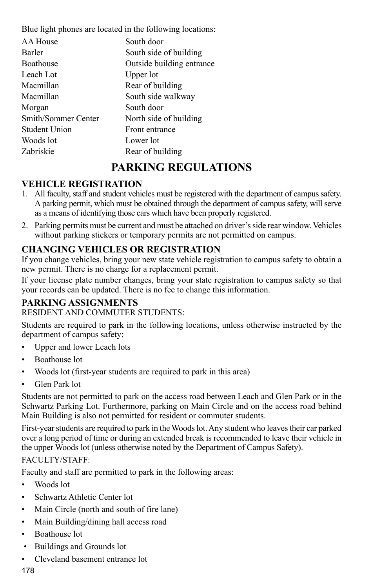Blue light phones are located in the following locations:

| AA House             | South door                |
|----------------------|---------------------------|
| Barler               | South side of building    |
| <b>Boathouse</b>     | Outside building entrance |
| Leach Lot            | Upper lot                 |
| Macmillan            | Rear of building          |
| Macmillan            | South side walkway        |
| Morgan               | South door                |
| Smith/Sommer Center  | North side of building    |
| <b>Student Union</b> | Front entrance            |
| Woods lot            | Lower lot                 |
| Zabriskie            | Rear of building          |
|                      |                           |

### **PARKING REGULATIONS**

### **Vehicle Registration**

- 1. All faculty, staff and student vehicles must be registered with the department of campus safety. A parking permit, which must be obtained through the department of campus safety, will serve as a means of identifying those cars which have been properly registered.
- 2. Parking permits must be current and must be attached on driver's side rear window. Vehicles without parking stickers or temporary permits are not permitted on campus.

### **Changing Vehicles or Registration**

If you change vehicles, bring your new state vehicle registration to campus safety to obtain a new permit. There is no charge for a replacement permit.

If your license plate number changes, bring your state registration to campus safety so that your records can be updated. There is no fee to change this information.

### **Parking Assignments**

RESIDENT AND COMMUTER STUDENTS:

Students are required to park in the following locations, unless otherwise instructed by the department of campus safety:

- Upper and lower Leach lots
- Boathouse lot
- Woods lot (first-year students are required to park in this area)
- Glen Park lot

Students are not permitted to park on the access road between Leach and Glen Park or in the Schwartz Parking Lot. Furthermore, parking on Main Circle and on the access road behind Main Building is also not permitted for resident or commuter students.

First-year students are required to park in the Woods lot. Any student who leaves their car parked over a long period of time or during an extended break is recommended to leave their vehicle in the upper Woods lot (unless otherwise noted by the Department of Campus Safety).

#### FACULTY/STAFF:

Faculty and staff are permitted to park in the following areas:

- Woods lot
- Schwartz Athletic Center lot
- Main Circle (north and south of fire lane)
- Main Building/dining hall access road
- Boathouse lot
- Buildings and Grounds lot
- Cleveland basement entrance lot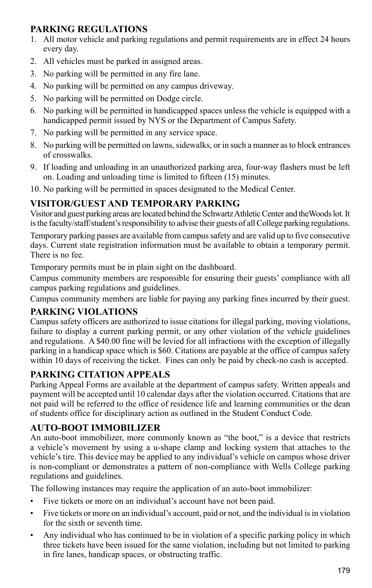### **Parking Regulations**

- 1. All motor vehicle and parking regulations and permit requirements are in effect 24 hours every day.
- 2. All vehicles must be parked in assigned areas.
- 3. No parking will be permitted in any fire lane.
- 4. No parking will be permitted on any campus driveway.
- 5. No parking will be permitted on Dodge circle.
- 6. No parking will be permitted in handicapped spaces unless the vehicle is equipped with a handicapped permit issued by NYS or the Department of Campus Safety.
- 7. No parking will be permitted in any service space.
- 8. No parking will be permitted on lawns, sidewalks, or in such a manner as to block entrances of crosswalks.
- 9. If loading and unloading in an unauthorized parking area, four-way flashers must be left on. Loading and unloading time is limited to fifteen (15) minutes.
- 10. No parking will be permitted in spaces designated to the Medical Center.

### **Visitor/Guest and Temporary Parking**

Visitor and guest parking areas are located behind the Schwartz Athletic Center and theWoods lot. It is the faculty/staff/student's responsibility to advise their guests of all College parking regulations.

Temporary parking passes are available from campus safety and are valid up to five consecutive days. Current state registration information must be available to obtain a temporary permit. There is no fee.

Temporary permits must be in plain sight on the dashboard.

Campus community members are responsible for ensuring their guests' compliance with all campus parking regulations and guidelines.

Campus community members are liable for paying any parking fines incurred by their guest.

### **Parking Violations**

Campus safety officers are authorized to issue citations for illegal parking, moving violations, failure to display a current parking permit, or any other violation of the vehicle guidelines and regulations. A \$40.00 fine will be levied for all infractions with the exception of illegally parking in a handicap space which is \$60. Citations are payable at the office of campus safety within 10 days of receiving the ticket. Fines can only be paid by check-no cash is accepted.

### **Parking Citation Appeals**

Parking Appeal Forms are available at the department of campus safety. Written appeals and payment will be accepted until 10 calendar days after the violation occurred. Citations that are not paid will be referred to the office of residence life and learning communities or the dean of students office for disciplinary action as outlined in the Student Conduct Code.

### **Auto-Boot Immobilizer**

An auto-boot immobilizer, more commonly known as "the boot," is a device that restricts a vehicle's movement by using a u-shape clamp and locking system that attaches to the vehicle's tire. This device may be applied to any individual's vehicle on campus whose driver is non-compliant or demonstrates a pattern of non-compliance with Wells College parking regulations and guidelines.

The following instances may require the application of an auto-boot immobilizer:

- Five tickets or more on an individual's account have not been paid.
- Five tickets or more on an individual's account, paid or not, and the individual is in violation for the sixth or seventh time.
- Any individual who has continued to be in violation of a specific parking policy in which three tickets have been issued for the same violation, including but not limited to parking in fire lanes, handicap spaces, or obstructing traffic.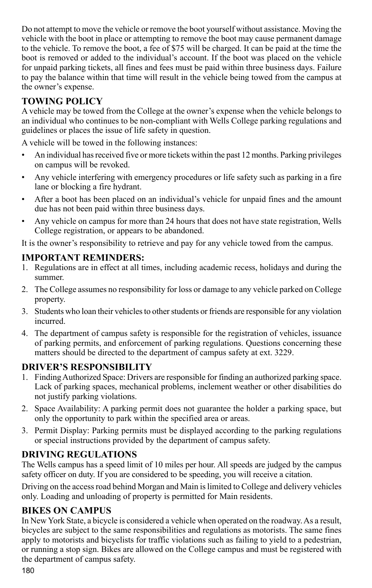Do not attempt to move the vehicle or remove the boot yourself without assistance. Moving the vehicle with the boot in place or attempting to remove the boot may cause permanent damage to the vehicle. To remove the boot, a fee of \$75 will be charged. It can be paid at the time the boot is removed or added to the individual's account. If the boot was placed on the vehicle for unpaid parking tickets, all fines and fees must be paid within three business days. Failure to pay the balance within that time will result in the vehicle being towed from the campus at the owner's expense.

### **Towing Policy**

A vehicle may be towed from the College at the owner's expense when the vehicle belongs to an individual who continues to be non-compliant with Wells College parking regulations and guidelines or places the issue of life safety in question.

A vehicle will be towed in the following instances:

- An individual has received five or more tickets within the past 12 months. Parking privileges on campus will be revoked.
- Any vehicle interfering with emergency procedures or life safety such as parking in a fire lane or blocking a fire hydrant.
- After a boot has been placed on an individual's vehicle for unpaid fines and the amount due has not been paid within three business days.
- Any vehicle on campus for more than 24 hours that does not have state registration, Wells College registration, or appears to be abandoned.

It is the owner's responsibility to retrieve and pay for any vehicle towed from the campus.

### **Important Reminders:**

- 1. Regulations are in effect at all times, including academic recess, holidays and during the summer.
- 2. The College assumes no responsibility for loss or damage to any vehicle parked on College property.
- 3. Students who loan their vehicles to other students or friends are responsible for any violation incurred.
- 4. The department of campus safety is responsible for the registration of vehicles, issuance of parking permits, and enforcement of parking regulations. Questions concerning these matters should be directed to the department of campus safety at ext. 3229.

### **Driver's Responsibility**

- 1. Finding Authorized Space: Drivers are responsible for finding an authorized parking space. Lack of parking spaces, mechanical problems, inclement weather or other disabilities do not justify parking violations.
- 2. Space Availability: A parking permit does not guarantee the holder a parking space, but only the opportunity to park within the specified area or areas.
- 3. Permit Display: Parking permits must be displayed according to the parking regulations or special instructions provided by the department of campus safety.

### **Driving Regulations**

The Wells campus has a speed limit of 10 miles per hour. All speeds are judged by the campus safety officer on duty. If you are considered to be speeding, you will receive a citation.

Driving on the access road behind Morgan and Main is limited to College and delivery vehicles only. Loading and unloading of property is permitted for Main residents.

#### **Bikes on Campus**

In New York State, a bicycle is considered a vehicle when operated on the roadway. As a result, bicycles are subject to the same responsibilities and regulations as motorists. The same fines apply to motorists and bicyclists for traffic violations such as failing to yield to a pedestrian, or running a stop sign. Bikes are allowed on the College campus and must be registered with the department of campus safety.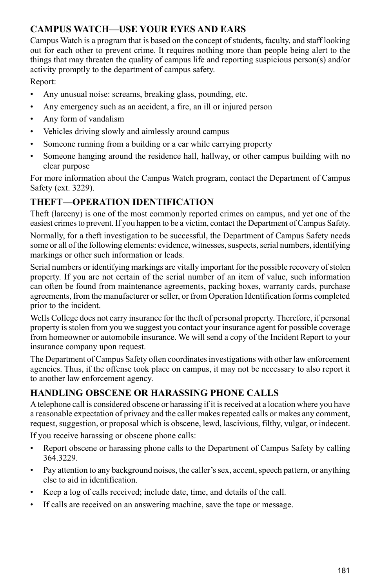### **Campus Watch—Use Your Eyes and Ears**

Campus Watch is a program that is based on the concept of students, faculty, and staff looking out for each other to prevent crime. It requires nothing more than people being alert to the things that may threaten the quality of campus life and reporting suspicious person(s) and/or activity promptly to the department of campus safety.

Report:

- Any unusual noise: screams, breaking glass, pounding, etc.
- Any emergency such as an accident, a fire, an ill or injured person
- Any form of vandalism
- Vehicles driving slowly and aimlessly around campus
- Someone running from a building or a car while carrying property
- Someone hanging around the residence hall, hallway, or other campus building with no clear purpose

For more information about the Campus Watch program, contact the Department of Campus Safety (ext. 3229).

### **Theft—Operation Identification**

Theft (larceny) is one of the most commonly reported crimes on campus, and yet one of the easiest crimes to prevent. If you happen to be a victim, contact the Department of Campus Safety.

Normally, for a theft investigation to be successful, the Department of Campus Safety needs some or all of the following elements: evidence, witnesses, suspects, serial numbers, identifying markings or other such information or leads.

Serial numbers or identifying markings are vitally important for the possible recovery of stolen property. If you are not certain of the serial number of an item of value, such information can often be found from maintenance agreements, packing boxes, warranty cards, purchase agreements, from the manufacturer or seller, or from Operation Identification forms completed prior to the incident.

Wells College does not carry insurance for the theft of personal property. Therefore, if personal property is stolen from you we suggest you contact your insurance agent for possible coverage from homeowner or automobile insurance. We will send a copy of the Incident Report to your insurance company upon request.

The Department of Campus Safety often coordinates investigations with other law enforcement agencies. Thus, if the offense took place on campus, it may not be necessary to also report it to another law enforcement agency.

### **Handling Obscene or Harassing Phone Calls**

A telephone call is considered obscene or harassing if it is received at a location where you have a reasonable expectation of privacy and the caller makes repeated calls or makes any comment, request, suggestion, or proposal which is obscene, lewd, lascivious, filthy, vulgar, or indecent.

If you receive harassing or obscene phone calls:

- Report obscene or harassing phone calls to the Department of Campus Safety by calling 364.3229.
- Pay attention to any background noises, the caller's sex, accent, speech pattern, or anything else to aid in identification.
- Keep a log of calls received; include date, time, and details of the call.
- If calls are received on an answering machine, save the tape or message.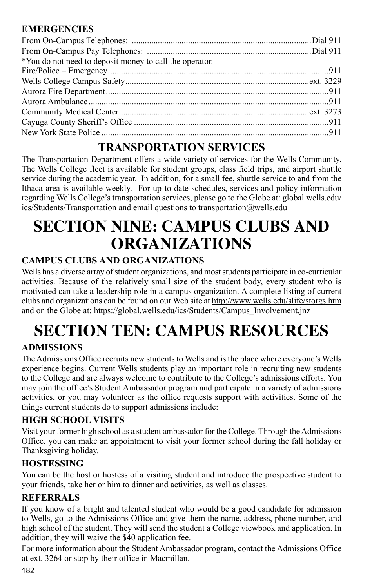### **Emergencies**

| *You do not need to deposit money to call the operator. |  |
|---------------------------------------------------------|--|
|                                                         |  |
|                                                         |  |
|                                                         |  |
|                                                         |  |
|                                                         |  |
|                                                         |  |
|                                                         |  |
|                                                         |  |

### **TRANSPORTATION SERVICES**

The Transportation Department offers a wide variety of services for the Wells Community. The Wells College fleet is available for student groups, class field trips, and airport shuttle service during the academic year. In addition, for a small fee, shuttle service to and from the Ithaca area is available weekly. For up to date schedules, services and policy information regarding Wells College's transportation services, please go to the Globe at: global.wells.edu/ ics/Students/Transportation and email questions to transportation@wells.edu

## **SECTION NINE: CAMPUS CLUBS AND ORGANIZATIONS**

### **CAMPUS CLUBS AND ORGANIZATIONS**

Wells has a diverse array of student organizations, and most students participate in co-curricular activities. Because of the relatively small size of the student body, every student who is motivated can take a leadership role in a campus organization. A complete listing of current clubs and organizations can be found on our Web site at http://www.wells.edu/slife/storgs.htm and on the Globe at: https://global.wells.edu/ics/Students/Campus\_Involvement.jnz

# **SECTION TEN: CAMPUS RESOURCES**

### **ADMISSIONS**

The Admissions Office recruits new students to Wells and is the place where everyone's Wells experience begins. Current Wells students play an important role in recruiting new students to the College and are always welcome to contribute to the College's admissions efforts. You may join the office's Student Ambassador program and participate in a variety of admissions activities, or you may volunteer as the office requests support with activities. Some of the things current students do to support admissions include:

### **High School Visits**

Visit your former high school as a student ambassador for the College. Through the Admissions Office, you can make an appointment to visit your former school during the fall holiday or Thanksgiving holiday.

### **Hostessing**

You can be the host or hostess of a visiting student and introduce the prospective student to your friends, take her or him to dinner and activities, as well as classes.

### **Referrals**

If you know of a bright and talented student who would be a good candidate for admission to Wells, go to the Admissions Office and give them the name, address, phone number, and high school of the student. They will send the student a College viewbook and application. In addition, they will waive the \$40 application fee.

For more information about the Student Ambassador program, contact the Admissions Office at ext. 3264 or stop by their office in Macmillan.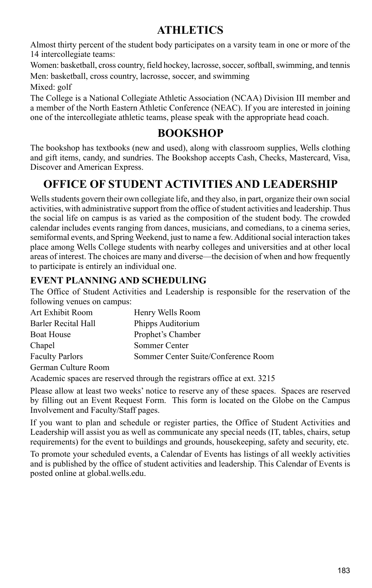### **ATHLETICS**

Almost thirty percent of the student body participates on a varsity team in one or more of the 14 intercollegiate teams:

Women: basketball, cross country, field hockey, lacrosse, soccer, softball, swimming, and tennis Men: basketball, cross country, lacrosse, soccer, and swimming

Mixed: golf

The College is a National Collegiate Athletic Association (NCAA) Division III member and a member of the North Eastern Athletic Conference (NEAC). If you are interested in joining one of the intercollegiate athletic teams, please speak with the appropriate head coach.

### **BOOKSHOP**

The bookshop has textbooks (new and used), along with classroom supplies, Wells clothing and gift items, candy, and sundries. The Bookshop accepts Cash, Checks, Mastercard, Visa, Discover and American Express.

### **Office of Student Activities and Leadership**

Wells students govern their own collegiate life, and they also, in part, organize their own social activities, with administrative support from the office of student activities and leadership. Thus the social life on campus is as varied as the composition of the student body. The crowded calendar includes events ranging from dances, musicians, and comedians, to a cinema series, semiformal events, and Spring Weekend, just to name a few. Additional social interaction takes place among Wells College students with nearby colleges and universities and at other local areas of interest. The choices are many and diverse—the decision of when and how frequently to participate is entirely an individual one.

### **EVENT PLANNING AND SCHEDULING**

The Office of Student Activities and Leadership is responsible for the reservation of the following venues on campus:

| Art Exhibit Room       | Henry Wells Room                    |
|------------------------|-------------------------------------|
| Barler Recital Hall    | Phipps Auditorium                   |
| Boat House             | Prophet's Chamber                   |
| Chapel                 | Sommer Center                       |
| <b>Faculty Parlors</b> | Sommer Center Suite/Conference Room |
| German Culture Room    |                                     |

Academic spaces are reserved through the registrars office at ext. 3215

Please allow at least two weeks' notice to reserve any of these spaces. Spaces are reserved by filling out an Event Request Form. This form is located on the Globe on the Campus Involvement and Faculty/Staff pages.

If you want to plan and schedule or register parties, the Office of Student Activities and Leadership will assist you as well as communicate any special needs (IT, tables, chairs, setup requirements) for the event to buildings and grounds, housekeeping, safety and security, etc.

To promote your scheduled events, a Calendar of Events has listings of all weekly activities and is published by the office of student activities and leadership. This Calendar of Events is posted online at global.wells.edu.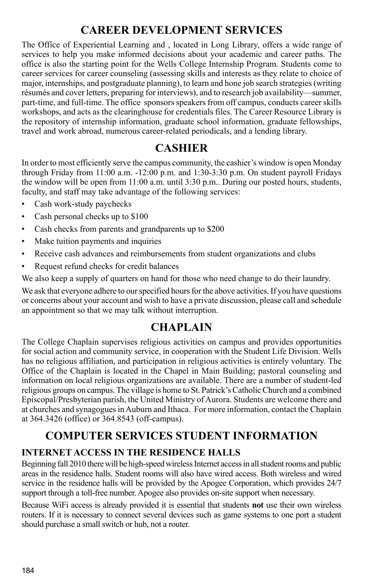### **CAREER DEVELOPMENT SERVICES**

The Office of Experiential Learning and , located in Long Library, offers a wide range of services to help you make informed decisions about your academic and career paths. The office is also the starting point for the Wells College Internship Program. Students come to career services for career counseling (assessing skills and interests as they relate to choice of major, internships, and postgraduate planning), to learn and hone job search strategies (writing résumés and cover letters, preparing for interviews), and to research job availability—summer, part-time, and full-time. The office sponsors speakers from off campus, conducts career skills workshops, and acts as the clearinghouse for credentials files. The Career Resource Library is the repository of internship information, graduate school information, graduate fellowships, travel and work abroad, numerous career-related periodicals, and a lending library.

### **CASHIER**

In order to most efficiently serve the campus community, the cashier's window is open Monday through Friday from  $11:00$  a.m.  $-12:00$  p.m. and  $1:30-3:30$  p.m. On student payroll Fridays the window will be open from 11:00 a.m. until 3:30 p.m.. During our posted hours, students, faculty, and staff may take advantage of the following services:

- Cash work-study paychecks
- Cash personal checks up to \$100
- Cash checks from parents and grandparents up to \$200
- Make tuition payments and inquiries
- Receive cash advances and reimbursements from student organizations and clubs
- Request refund checks for credit balances

We also keep a supply of quarters on hand for those who need change to do their laundry.

We ask that everyone adhere to our specified hours for the above activities. If you have questions or concerns about your account and wish to have a private discussion, please call and schedule an appointment so that we may talk without interruption.

### **CHAPLAIN**

The College Chaplain supervises religious activities on campus and provides opportunities for social action and community service, in cooperation with the Student Life Division. Wells has no religious affiliation, and participation in religious activities is entirely voluntary. The Office of the Chaplain is located in the Chapel in Main Building; pastoral counseling and information on local religious organizations are available. There are a number of student-led religious groups on campus. The village is home to St. Patrick's Catholic Church and a combined Episcopal/Presbyterian parish, the United Ministry of Aurora. Students are welcome there and at churches and synagogues in Auburn and Ithaca. For more information, contact the Chaplain at 364.3426 (office) or 364.8543 (off-campus).

## **COMPUTER SERVICES Student Information**

### **Internet Access IN THE Residence Halls**

Beginning fall 2010 there will be high-speed wireless Internet access in all student rooms and public areas in the residence halls. Student rooms will also have wired access. Both wireless and wired service in the residence halls will be provided by the Apogee Corporation, which provides 24/7 support through a toll-free number. Apogee also provides on-site support when necessary.

Because WiFi access is already provided it is essential that students **not** use their own wireless routers. If it is necessary to connect several devices such as game systems to one port a student should purchase a small switch or hub, not a router.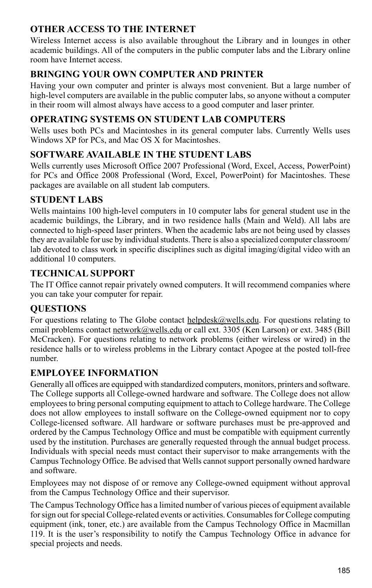### **OTHER Access to the Internet**

Wireless Internet access is also available throughout the Library and in lounges in other academic buildings. All of the computers in the public computer labs and the Library online room have Internet access.

### **Bringing Your Own Computer and Printer**

Having your own computer and printer is always most convenient. But a large number of high-level computers are available in the public computer labs, so anyone without a computer in their room will almost always have access to a good computer and laser printer.

### **Operating Systems on Student Lab Computers**

Wells uses both PCs and Macintoshes in its general computer labs. Currently Wells uses Windows XP for PCs, and Mac OS X for Macintoshes.

### **Software Available in the Student Labs**

Wells currently uses Microsoft Office 2007 Professional (Word, Excel, Access, PowerPoint) for PCs and Office 2008 Professional (Word, Excel, PowerPoint) for Macintoshes. These packages are available on all student lab computers.

### **Student Labs**

Wells maintains 100 high-level computers in 10 computer labs for general student use in the academic buildings, the Library, and in two residence halls (Main and Weld). All labs are connected to high-speed laser printers. When the academic labs are not being used by classes they are available for use by individual students. There is also a specialized computer classroom/ lab devoted to class work in specific disciplines such as digital imaging/digital video with an additional 10 computers.

### **Technical Support**

The IT Office cannot repair privately owned computers. It will recommend companies where you can take your computer for repair.

### **Questions**

For questions relating to The Globe contact helpdesk@wells.edu. For questions relating to email problems contact network@wells.edu or call ext. 3305 (Ken Larson) or ext. 3485 (Bill McCracken). For questions relating to network problems (either wireless or wired) in the residence halls or to wireless problems in the Library contact Apogee at the posted toll-free number.

### **Employee Information**

Generally all offices are equipped with standardized computers, monitors, printers and software. The College supports all College-owned hardware and software. The College does not allow employees to bring personal computing equipment to attach to College hardware. The College does not allow employees to install software on the College-owned equipment nor to copy College-licensed software. All hardware or software purchases must be pre-approved and ordered by the Campus Technology Office and must be compatible with equipment currently used by the institution. Purchases are generally requested through the annual budget process. Individuals with special needs must contact their supervisor to make arrangements with the Campus Technology Office. Be advised that Wells cannot support personally owned hardware and software.

Employees may not dispose of or remove any College-owned equipment without approval from the Campus Technology Office and their supervisor.

The Campus Technology Office has a limited number of various pieces of equipment available for sign out for special College-related events or activities. Consumables for College computing equipment (ink, toner, etc.) are available from the Campus Technology Office in Macmillan 119. It is the user's responsibility to notify the Campus Technology Office in advance for special projects and needs.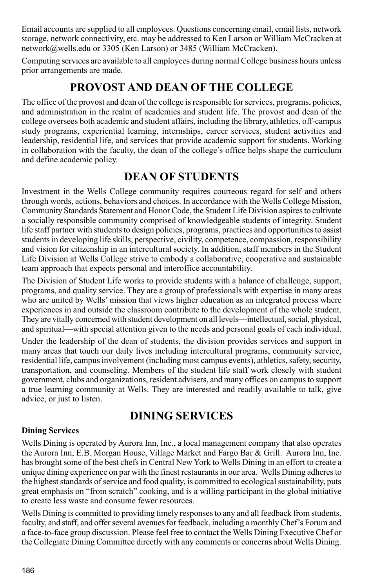Email accounts are supplied to all employees. Questions concerning email, email lists, network storage, network connectivity, etc. may be addressed to Ken Larson or William McCracken at network@wells.edu or 3305 (Ken Larson) or 3485 (William McCracken).

Computing services are available to all employees during normal College business hours unless prior arrangements are made.

### **PROVOST AND DEAN OF THE COLLEGE**

The office of the provost and dean of the college is responsible for services, programs, policies, and administration in the realm of academics and student life. The provost and dean of the college oversees both academic and student affairs, including the library, athletics, off-campus study programs, experiential learning, internships, career services, student activities and leadership, residential life, and services that provide academic support for students. Working in collaboration with the faculty, the dean of the college's office helps shape the curriculum and define academic policy.

### **DEAN OF STUDENTS**

Investment in the Wells College community requires courteous regard for self and others through words, actions, behaviors and choices. In accordance with the Wells College Mission, Community Standards Statement and Honor Code, the Student Life Division aspires to cultivate a socially responsible community comprised of knowledgeable students of integrity. Student life staff partner with students to design policies, programs, practices and opportunities to assist students in developing life skills, perspective, civility, competence, compassion, responsibility and vision for citizenship in an intercultural society. In addition, staff members in the Student Life Division at Wells College strive to embody a collaborative, cooperative and sustainable team approach that expects personal and interoffice accountability.

The Division of Student Life works to provide students with a balance of challenge, support, programs, and quality service. They are a group of professionals with expertise in many areas who are united by Wells' mission that views higher education as an integrated process where experiences in and outside the classroom contribute to the development of the whole student. They are vitally concerned with student development on all levels—intellectual, social, physical, and spiritual—with special attention given to the needs and personal goals of each individual.

Under the leadership of the dean of students, the division provides services and support in many areas that touch our daily lives including intercultural programs, community service, residential life, campus involvement (including most campus events), athletics, safety, security, transportation, and counseling. Members of the student life staff work closely with student government, clubs and organizations, resident advisers, and many offices on campus to support a true learning community at Wells. They are interested and readily available to talk, give advice, or just to listen.

### **DINING SERVICES**

#### **Dining Services**

Wells Dining is operated by Aurora Inn, Inc., a local management company that also operates the Aurora Inn, E.B. Morgan House, Village Market and Fargo Bar & Grill. Aurora Inn, Inc. has brought some of the best chefs in Central New York to Wells Dining in an effort to create a unique dining experience on par with the finest restaurants in our area. Wells Dining adheres to the highest standards of service and food quality, is committed to ecological sustainability, puts great emphasis on "from scratch" cooking, and is a willing participant in the global initiative to create less waste and consume fewer resources.

Wells Dining is committed to providing timely responses to any and all feedback from students, faculty, and staff, and offer several avenues for feedback, including a monthly Chef's Forum and a face-to-face group discussion. Please feel free to contact the Wells Dining Executive Chef or the Collegiate Dining Committee directly with any comments or concerns about Wells Dining.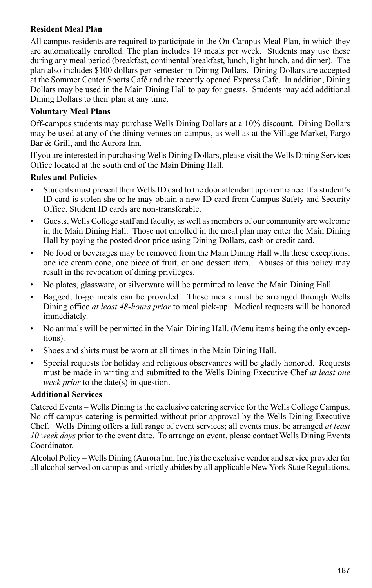#### **Resident Meal Plan**

All campus residents are required to participate in the On-Campus Meal Plan, in which they are automatically enrolled. The plan includes 19 meals per week. Students may use these during any meal period (breakfast, continental breakfast, lunch, light lunch, and dinner). The plan also includes \$100 dollars per semester in Dining Dollars. Dining Dollars are accepted at the Sommer Center Sports Café and the recently opened Express Cafe. In addition, Dining Dollars may be used in the Main Dining Hall to pay for guests. Students may add additional Dining Dollars to their plan at any time.

#### **Voluntary Meal Plans**

Off-campus students may purchase Wells Dining Dollars at a 10% discount. Dining Dollars may be used at any of the dining venues on campus, as well as at the Village Market, Fargo Bar & Grill, and the Aurora Inn.

If you are interested in purchasing Wells Dining Dollars, please visit the Wells Dining Services Office located at the south end of the Main Dining Hall.

#### **Rules and Policies**

- Students must present their Wells ID card to the door attendant upon entrance. If a student's ID card is stolen she or he may obtain a new ID card from Campus Safety and Security Office. Student ID cards are non-transferable.
- Guests, Wells College staff and faculty, as well as members of our community are welcome in the Main Dining Hall. Those not enrolled in the meal plan may enter the Main Dining Hall by paying the posted door price using Dining Dollars, cash or credit card.
- No food or beverages may be removed from the Main Dining Hall with these exceptions: one ice cream cone, one piece of fruit, or one dessert item. Abuses of this policy may result in the revocation of dining privileges.
- No plates, glassware, or silverware will be permitted to leave the Main Dining Hall.
- Bagged, to-go meals can be provided. These meals must be arranged through Wells Dining office *at least 48-hours prior* to meal pick-up. Medical requests will be honored immediately.
- No animals will be permitted in the Main Dining Hall. (Menu items being the only exceptions).
- Shoes and shirts must be worn at all times in the Main Dining Hall.
- Special requests for holiday and religious observances will be gladly honored. Requests must be made in writing and submitted to the Wells Dining Executive Chef *at least one week prior* to the date(s) in question.

#### **Additional Services**

Catered Events – Wells Dining is the exclusive catering service for the Wells College Campus. No off-campus catering is permitted without prior approval by the Wells Dining Executive Chef. Wells Dining offers a full range of event services; all events must be arranged *at least 10 week days* prior to the event date. To arrange an event, please contact Wells Dining Events Coordinator.

Alcohol Policy – Wells Dining (Aurora Inn, Inc.) is the exclusive vendor and service provider for all alcohol served on campus and strictly abides by all applicable New York State Regulations.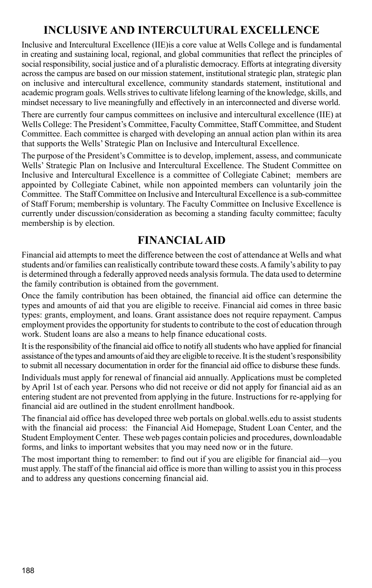### **Inclusive and Intercultural Excellence**

Inclusive and Intercultural Excellence (IIE)is a core value at Wells College and is fundamental in creating and sustaining local, regional, and global communities that reflect the principles of social responsibility, social justice and of a pluralistic democracy. Efforts at integrating diversity across the campus are based on our mission statement, institutional strategic plan, strategic plan on inclusive and intercultural excellence, community standards statement, institutional and academic program goals. Wells strives to cultivate lifelong learning of the knowledge, skills, and mindset necessary to live meaningfully and effectively in an interconnected and diverse world.

There are currently four campus committees on inclusive and intercultural excellence (IIE) at Wells College: The President's Committee, Faculty Committee, Staff Committee, and Student Committee. Each committee is charged with developing an annual action plan within its area that supports the Wells' Strategic Plan on Inclusive and Intercultural Excellence.

The purpose of the President's Committee is to develop, implement, assess, and communicate Wells' Strategic Plan on Inclusive and Intercultural Excellence. The Student Committee on Inclusive and Intercultural Excellence is a committee of Collegiate Cabinet; members are appointed by Collegiate Cabinet, while non appointed members can voluntarily join the Committee. The Staff Committee on Inclusive and Intercultural Excellence is a sub-committee of Staff Forum; membership is voluntary. The Faculty Committee on Inclusive Excellence is currently under discussion/consideration as becoming a standing faculty committee; faculty membership is by election.

### **FINANCIAL AID**

Financial aid attempts to meet the difference between the cost of attendance at Wells and what students and/or families can realistically contribute toward these costs. A family's ability to pay is determined through a federally approved needs analysis formula. The data used to determine the family contribution is obtained from the government.

Once the family contribution has been obtained, the financial aid office can determine the types and amounts of aid that you are eligible to receive. Financial aid comes in three basic types: grants, employment, and loans. Grant assistance does not require repayment. Campus employment provides the opportunity for students to contribute to the cost of education through work. Student loans are also a means to help finance educational costs.

It is the responsibility of the financial aid office to notify all students who have applied for financial assistance of the types and amounts of aid they are eligible to receive. It is the student's responsibility to submit all necessary documentation in order for the financial aid office to disburse these funds.

Individuals must apply for renewal of financial aid annually. Applications must be completed by April 1st of each year. Persons who did not receive or did not apply for financial aid as an entering student are not prevented from applying in the future. Instructions for re-applying for financial aid are outlined in the student enrollment handbook.

The financial aid office has developed three web portals on global.wells.edu to assist students with the financial aid process: the Financial Aid Homepage, Student Loan Center, and the Student Employment Center. These web pages contain policies and procedures, downloadable forms, and links to important websites that you may need now or in the future.

The most important thing to remember: to find out if you are eligible for financial aid—you must apply. The staff of the financial aid office is more than willing to assist you in this process and to address any questions concerning financial aid.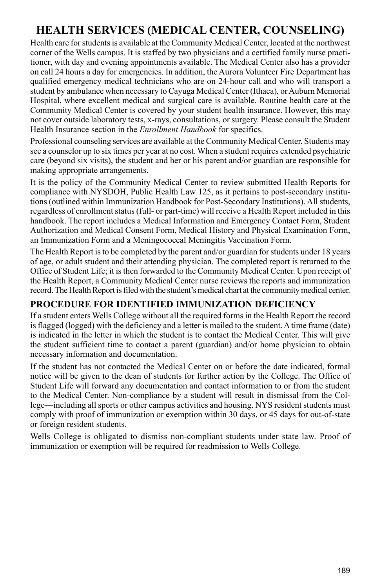## **HEALTH SERVICES (MEDICAL CENTER, COUNSELING)**

Health care for students is available at the Community Medical Center, located at the northwest corner of the Wells campus. It is staffed by two physicians and a certified family nurse practitioner, with day and evening appointments available. The Medical Center also has a provider on call 24 hours a day for emergencies. In addition, the Aurora Volunteer Fire Department has qualified emergency medical technicians who are on 24-hour call and who will transport a student by ambulance when necessary to Cayuga Medical Center (Ithaca), or Auburn Memorial Hospital, where excellent medical and surgical care is available. Routine health care at the Community Medical Center is covered by your student health insurance. However, this may not cover outside laboratory tests, x-rays, consultations, or surgery. Please consult the Student Health Insurance section in the *Enrollment Handbook* for specifics.

Professional counseling services are available at the Community Medical Center. Students may see a counselor up to six times per year at no cost. When a student requires extended psychiatric care (beyond six visits), the student and her or his parent and/or guardian are responsible for making appropriate arrangements.

It is the policy of the Community Medical Center to review submitted Health Reports for compliance with NYSDOH, Public Health Law 125, as it pertains to post-secondary institutions (outlined within Immunization Handbook for Post-Secondary Institutions). All students, regardless of enrollment status (full- or part-time) will receive a Health Report included in this handbook. The report includes a Medical Information and Emergency Contact Form, Student Authorization and Medical Consent Form, Medical History and Physical Examination Form, an Immunization Form and a Meningococcal Meningitis Vaccination Form.

The Health Report is to be completed by the parent and/or guardian for students under 18 years of age, or adult student and their attending physician. The completed report is returned to the Office of Student Life; it is then forwarded to the Community Medical Center. Upon receipt of the Health Report, a Community Medical Center nurse reviews the reports and immunization record. The Health Report is filed with the student's medical chart at the community medical center.

#### **Procedure for Identified Immunization Deficiency**

If a student enters Wells College without all the required forms in the Health Report the record is flagged (logged) with the deficiency and a letter is mailed to the student. A time frame (date) is indicated in the letter in which the student is to contact the Medical Center. This will give the student sufficient time to contact a parent (guardian) and/or home physician to obtain necessary information and documentation.

If the student has not contacted the Medical Center on or before the date indicated, formal notice will be given to the dean of students for further action by the College. The Office of Student Life will forward any documentation and contact information to or from the student to the Medical Center. Non-compliance by a student will result in dismissal from the College—including all sports or other campus activities and housing. NYS resident students must comply with proof of immunization or exemption within 30 days, or 45 days for out-of-state or foreign resident students.

Wells College is obligated to dismiss non-compliant students under state law. Proof of immunization or exemption will be required for readmission to Wells College.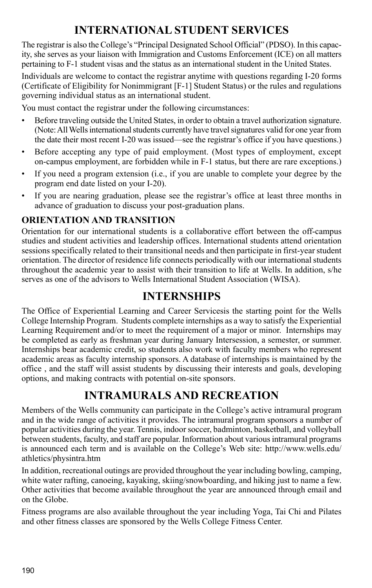### **INTERNATIONAL STUDENT SERVICES**

The registrar is also the College's "Principal Designated School Official" (PDSO). In this capacity, she serves as your liaison with Immigration and Customs Enforcement (ICE) on all matters pertaining to F-1 student visas and the status as an international student in the United States.

Individuals are welcome to contact the registrar anytime with questions regarding I-20 forms (Certificate of Eligibility for Nonimmigrant [F-1] Student Status) or the rules and regulations governing individual status as an international student.

You must contact the registrar under the following circumstances:

- Before traveling outside the United States, in order to obtain a travel authorization signature. (Note: All Wells international students currently have travel signatures valid for one year from the date their most recent I-20 was issued—see the registrar's office if you have questions.)
- Before accepting any type of paid employment. (Most types of employment, except on-campus employment, are forbidden while in F-1 status, but there are rare exceptions.)
- If you need a program extension (i.e., if you are unable to complete your degree by the program end date listed on your I-20).
- If you are nearing graduation, please see the registrar's office at least three months in advance of graduation to discuss your post-graduation plans.

### **Orientation and Transition**

Orientation for our international students is a collaborative effort between the off-campus studies and student activities and leadership offices. International students attend orientation sessions specifically related to their transitional needs and then participate in first-year student orientation. The director of residence life connects periodically with our international students throughout the academic year to assist with their transition to life at Wells. In addition, s/he serves as one of the advisors to Wells International Student Association (WISA).

### **INTERNSHIPS**

The Office of Experiential Learning and Career Servicesis the starting point for the Wells College Internship Program. Students complete internships as a way to satisfy the Experiential Learning Requirement and/or to meet the requirement of a major or minor. Internships may be completed as early as freshman year during January Intersession, a semester, or summer. Internships bear academic credit, so students also work with faculty members who represent academic areas as faculty internship sponsors. A database of internships is maintained by the office , and the staff will assist students by discussing their interests and goals, developing options, and making contracts with potential on-site sponsors.

### **INTRAMURALS AND RECREATION**

Members of the Wells community can participate in the College's active intramural program and in the wide range of activities it provides. The intramural program sponsors a number of popular activities during the year. Tennis, indoor soccer, badminton, basketball, and volleyball between students, faculty, and staff are popular. Information about various intramural programs is announced each term and is available on the College's Web site: http://www.wells.edu/ athletics/physintra.htm

In addition, recreational outings are provided throughout the year including bowling, camping, white water rafting, canoeing, kayaking, skiing/snowboarding, and hiking just to name a few. Other activities that become available throughout the year are announced through email and on the Globe.

Fitness programs are also available throughout the year including Yoga, Tai Chi and Pilates and other fitness classes are sponsored by the Wells College Fitness Center.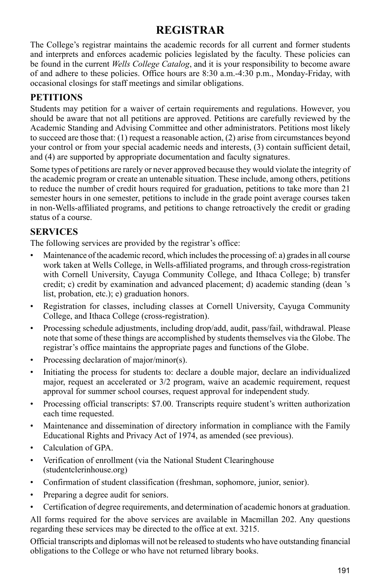### **REGISTRAR**

The College's registrar maintains the academic records for all current and former students and interprets and enforces academic policies legislated by the faculty. These policies can be found in the current *Wells College Catalog*, and it is your responsibility to become aware of and adhere to these policies. Office hours are 8:30 a.m.-4:30 p.m., Monday-Friday, with occasional closings for staff meetings and similar obligations.

### **Petitions**

Students may petition for a waiver of certain requirements and regulations. However, you should be aware that not all petitions are approved. Petitions are carefully reviewed by the Academic Standing and Advising Committee and other administrators. Petitions most likely to succeed are those that: (1) request a reasonable action, (2) arise from circumstances beyond your control or from your special academic needs and interests, (3) contain sufficient detail, and (4) are supported by appropriate documentation and faculty signatures.

Some types of petitions are rarely or never approved because they would violate the integrity of the academic program or create an untenable situation. These include, among others, petitions to reduce the number of credit hours required for graduation, petitions to take more than 21 semester hours in one semester, petitions to include in the grade point average courses taken in non-Wells-affiliated programs, and petitions to change retroactively the credit or grading status of a course.

### **Services**

The following services are provided by the registrar's office:

- Maintenance of the academic record, which includes the processing of: a) grades in all course work taken at Wells College, in Wells-affiliated programs, and through cross-registration with Cornell University, Cayuga Community College, and Ithaca College; b) transfer credit; c) credit by examination and advanced placement; d) academic standing (dean 's list, probation, etc.); e) graduation honors.
- Registration for classes, including classes at Cornell University, Cayuga Community College, and Ithaca College (cross-registration).
- Processing schedule adjustments, including drop/add, audit, pass/fail, withdrawal. Please note that some of these things are accomplished by students themselves via the Globe. The registrar's office maintains the appropriate pages and functions of the Globe.
- Processing declaration of major/minor(s).
- Initiating the process for students to: declare a double major, declare an individualized major, request an accelerated or 3/2 program, waive an academic requirement, request approval for summer school courses, request approval for independent study.
- Processing official transcripts: \$7.00. Transcripts require student's written authorization each time requested.
- Maintenance and dissemination of directory information in compliance with the Family Educational Rights and Privacy Act of 1974, as amended (see previous).
- Calculation of GPA.
- Verification of enrollment (via the National Student Clearinghouse (studentclerinhouse.org)
- Confirmation of student classification (freshman, sophomore, junior, senior).
- Preparing a degree audit for seniors.
- Certification of degree requirements, and determination of academic honors at graduation.

All forms required for the above services are available in Macmillan 202. Any questions regarding these services may be directed to the office at ext. 3215.

Official transcripts and diplomas will not be released to students who have outstanding financial obligations to the College or who have not returned library books.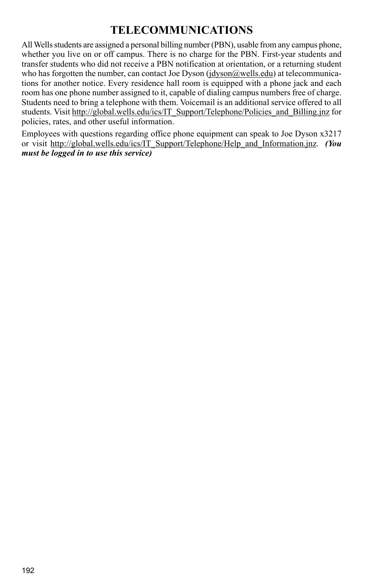### **TELECOMMUNICATIONS**

All Wells students are assigned a personal billing number (PBN), usable from any campus phone, whether you live on or off campus. There is no charge for the PBN. First-year students and transfer students who did not receive a PBN notification at orientation, or a returning student who has forgotten the number, can contact Joe Dyson (jdyson@wells.edu) at telecommunications for another notice. Every residence hall room is equipped with a phone jack and each room has one phone number assigned to it, capable of dialing campus numbers free of charge. Students need to bring a telephone with them. Voicemail is an additional service offered to all students. Visit http://global.wells.edu/ics/IT\_Support/Telephone/Policies\_and\_Billing.jnz for policies, rates, and other useful information.

Employees with questions regarding office phone equipment can speak to Joe Dyson x3217 or visit http://global.wells.edu/ics/IT\_Support/Telephone/Help\_and\_Information.jnz. *(You must be logged in to use this service)*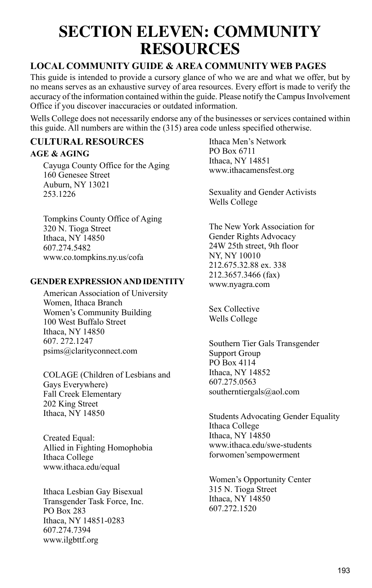## **SECTION ELEVEN: COMMUNITY RESOURCES**

#### **Local Community Guide & Area Community Web pages**

This guide is intended to provide a cursory glance of who we are and what we offer, but by no means serves as an exhaustive survey of area resources. Every effort is made to verify the accuracy of the information contained within the guide. Please notify the Campus Involvement Office if you discover inaccuracies or outdated information.

Wells College does not necessarily endorse any of the businesses or services contained within this guide. All numbers are within the (315) area code unless specified otherwise.

### **Cultural Resources**

#### **AGE & AGING**

Cayuga County Office for the Aging 160 Genesee Street Auburn, NY 13021 253.1226

Tompkins County Office of Aging 320 N. Tioga Street Ithaca, NY 14850 607.274.5482 www.co.tompkins.ny.us/cofa

#### **GENDER EXPRESSION AND IDENTITY**

American Association of University Women, Ithaca Branch Women's Community Building 100 West Buffalo Street Ithaca, NY 14850 607. 272.1247 psims@clarityconnect.com

COLAGE (Children of Lesbians and Gays Everywhere) Fall Creek Elementary 202 King Street Ithaca, NY 14850

Created Equal: Allied in Fighting Homophobia Ithaca College www.ithaca.edu/equal

Ithaca Lesbian Gay Bisexual Transgender Task Force, Inc. PO Box 283 Ithaca, NY 14851-0283 607.274.7394 www.ilgbttf.org

Ithaca Men's Network PO Box 6711 Ithaca, NY 14851 www.ithacamensfest.org

Sexuality and Gender Activists Wells College

The New York Association for Gender Rights Advocacy 24W 25th street, 9th floor NY, NY 10010 212.675.32.88 ex. 338 212.3657.3466 (fax) www.nyagra.com

Sex Collective Wells College

Southern Tier Gals Transgender Support Group PO Box 4114 Ithaca, NY 14852 607.275.0563 southerntiergals@aol.com

Students Advocating Gender Equality Ithaca College Ithaca, NY 14850 www.ithaca.edu/swe-students forwomen'sempowerment

Women's Opportunity Center 315 N. Tioga Street Ithaca, NY 14850 607.272.1520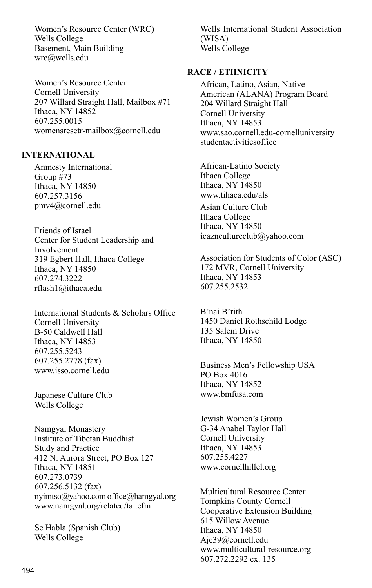Women's Resource Center (WRC) Wells College Basement, Main Building wrc@wells.edu

Women's Resource Center Cornell University 207 Willard Straight Hall, Mailbox #71 Ithaca, NY 14852 607.255.0015 womensresctr-mailbox@cornell.edu

#### **INTERNATIONAL**

Amnesty International Group #73 Ithaca, NY 14850 607.257.3156 pmv4@cornell.edu

Friends of Israel Center for Student Leadership and Involvement 319 Egbert Hall, Ithaca College Ithaca, NY 14850 607.274.3222 rflash1@ithaca.edu

International Students & Scholars Office Cornell University B-50 Caldwell Hall Ithaca, NY 14853 607.255.5243 607.255.2778 (fax) www.isso.cornell.edu

Japanese Culture Club Wells College

Namgyal Monastery Institute of Tibetan Buddhist Study and Practice 412 N. Aurora Street, PO Box 127 Ithaca, NY 14851 607.273.0739 607.256.5132 (fax) nyimtso@yahoo.com office@hamgyal.org www.namgyal.org/related/tai.cfm

Se Habla (Spanish Club) Wells College

Wells International Student Association (WISA) Wells College

#### **RACE / ETHNICITY**

African, Latino, Asian, Native American (ALANA) Program Board 204 Willard Straight Hall Cornell University Ithaca, NY 14853 www.sao.cornell.edu-cornelluniversity studentactivitiesoffice

African-Latino Society Ithaca College Ithaca, NY 14850 www.tihaca.edu/als Asian Culture Club Ithaca College Ithaca, NY 14850 icazncultureclub@yahoo.com

Association for Students of Color (ASC) 172 MVR, Cornell University Ithaca, NY 14853 607.255.2532

B'nai B'rith 1450 Daniel Rothschild Lodge 135 Salem Drive Ithaca, NY 14850

Business Men's Fellowship USA PO Box 4016 Ithaca, NY 14852 www.bmfusa.com

Jewish Women's Group G-34 Anabel Taylor Hall Cornell University Ithaca, NY 14853 607.255.4227 www.cornellhillel.org

Multicultural Resource Center Tompkins County Cornell Cooperative Extension Building 615 Willow Avenue Ithaca, NY 14850 Ajc39@cornell.edu www.multicultural-resource.org 607.272.2292 ex. 135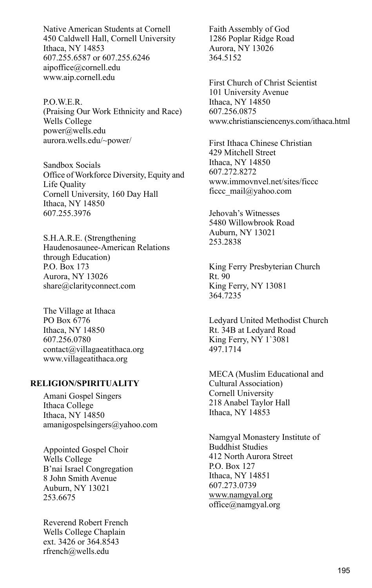Native American Students at Cornell 450 Caldwell Hall, Cornell University Ithaca, NY 14853 607.255.6587 or 607.255.6246 aipoffice@cornell.edu www.aip.cornell.edu

P.O.W.E.R. (Praising Our Work Ethnicity and Race) Wells College power@wells.edu aurora.wells.edu/~power/

Sandbox Socials Office of Workforce Diversity, Equity and Life Quality Cornell University, 160 Day Hall Ithaca, NY 14850 607.255.3976

S.H.A.R.E. (Strengthening Haudenosaunee-American Relations through Education) P.O. Box 173 Aurora, NY 13026 share@clarityconnect.com

The Village at Ithaca PO Box 6776 Ithaca, NY 14850 607.256.0780 contact@villagaeatithaca.org www.villageatithaca.org

#### **RELIGION/SPIRITUALITY**

Amani Gospel Singers Ithaca College Ithaca, NY 14850 amanigospelsingers@yahoo.com

Appointed Gospel Choir Wells College B'nai Israel Congregation 8 John Smith Avenue Auburn, NY 13021 253.6675

Reverend Robert French Wells College Chaplain ext. 3426 or 364.8543 rfrench@wells.edu

Faith Assembly of God 1286 Poplar Ridge Road Aurora, NY 13026 364.5152

First Church of Christ Scientist 101 University Avenue Ithaca, NY 14850 607.256.0875 www.christiansciencenys.com/ithaca.html

First Ithaca Chinese Christian 429 Mitchell Street Ithaca, NY 14850 607.272.8272 www.immovnvel.net/sites/ficcc ficcc\_mail@yahoo.com

Jehovah's Witnesses 5480 Willowbrook Road Auburn, NY 13021 253.2838

King Ferry Presbyterian Church Rt. 90 King Ferry, NY 13081 364.7235

Ledyard United Methodist Church Rt. 34B at Ledyard Road King Ferry, NY 1`3081 497.1714

MECA (Muslim Educational and Cultural Association) Cornell University 218 Anabel Taylor Hall Ithaca, NY 14853

Namgyal Monastery Institute of Buddhist Studies 412 North Aurora Street P.O. Box 127 Ithaca, NY 14851 607.273.0739 www.namgyal.org office@namgyal.org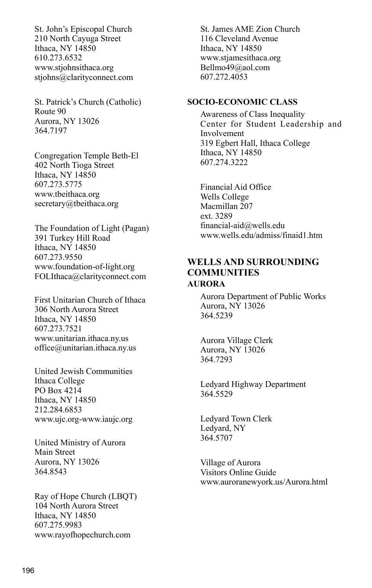St. John's Episcopal Church 210 North Cayuga Street Ithaca, NY 14850 610.273.6532 www.stjohnsithaca.org stjohns@clarityconnect.com

St. Patrick's Church (Catholic) Route 90 Aurora, NY 13026 364.7197

Congregation Temple Beth-El 402 North Tioga Street Ithaca, NY 14850 607.273.5775 www.tbeithaca.org secretary@tbeithaca.org

The Foundation of Light (Pagan) 391 Turkey Hill Road Ithaca, NY 14850 607.273.9550 www.foundation-of-light.org FOLIthaca@clarityconnect.com

First Unitarian Church of Ithaca 306 North Aurora Street Ithaca, NY 14850 607.273.7521 www.unitarian.ithaca.ny.us office@unitarian.ithaca.ny.us

United Jewish Communities Ithaca College PO Box 4214 Ithaca, NY 14850 212.284.6853 www.ujc.org-www.iaujc.org

United Ministry of Aurora Main Street Aurora, NY 13026 364.8543

Ray of Hope Church (LBQT) 104 North Aurora Street Ithaca, NY 14850 607.275.9983 www.rayofhopechurch.com

St. James AME Zion Church 116 Cleveland Avenue Ithaca, NY 14850 www.stjamesithaca.org Bellmo49@aol.com 607.272.4053

#### **SOCIO-ECONOMIC CLASS**

Awareness of Class Inequality Center for Student Leadership and Involvement 319 Egbert Hall, Ithaca College Ithaca, NY 14850 607.274.3222

Financial Aid Office Wells College Macmillan 207 ext. 3289 financial-aid@wells.edu www.wells.edu/admiss/finaid1.htm

#### **Wells and Surrounding Communities AURORA**

Aurora Department of Public Works Aurora, NY 13026 364.5239

Aurora Village Clerk Aurora, NY 13026 364.7293

Ledyard Highway Department 364.5529

Ledyard Town Clerk Ledyard, NY 364.5707

Village of Aurora Visitors Online Guide www.auroranewyork.us/Aurora.html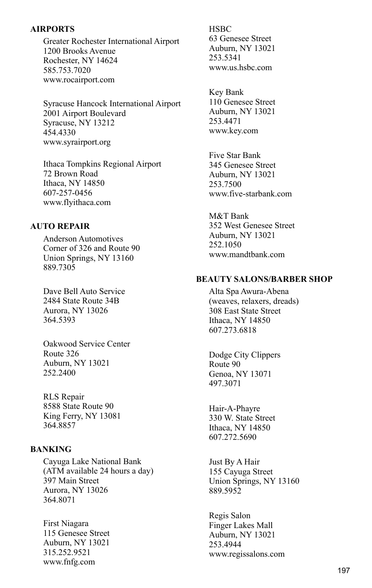#### **AIRPORTS**

Greater Rochester International Airport 1200 Brooks Avenue Rochester, NY 14624 585.753.7020 www.rocairport.com

Syracuse Hancock International Airport 2001 Airport Boulevard Syracuse, NY 13212 454.4330 www.syrairport.org

Ithaca Tompkins Regional Airport 72 Brown Road Ithaca, NY 14850 607-257-0456 www.flyithaca.com

#### **AUTO REPAIR**

Anderson Automotives Corner of 326 and Route 90 Union Springs, NY 13160 889.7305

Dave Bell Auto Service 2484 State Route 34B Aurora, NY 13026 364.5393

Oakwood Service Center Route 326 Auburn, NY 13021 252.2400

RLS Repair 8588 State Route 90 King Ferry, NY 13081 364.8857

#### **BANKING**

Cayuga Lake National Bank (ATM available 24 hours a day) 397 Main Street Aurora, NY 13026 364.8071

First Niagara 115 Genesee Street Auburn, NY 13021 315.252.9521 www.fnfg.com

**HSBC** 63 Genesee Street Auburn, NY 13021 253.5341 www.us.hsbc.com

Key Bank 110 Genesee Street Auburn, NY 13021 253.4471 www.key.com

Five Star Bank 345 Genesee Street Auburn, NY 13021 253.7500 www.five-starbank.com

M&T Bank 352 West Genesee Street Auburn, NY 13021 252.1050 www.mandtbank.com

#### **BEAUTY SALONS/BARBER SHOP**

Alta Spa Awura-Abena (weaves, relaxers, dreads) 308 East State Street Ithaca, NY 14850 607.273.6818

Dodge City Clippers Route 90 Genoa, NY 13071 497.3071

Hair-A-Phayre 330 W. State Street Ithaca, NY 14850 607.272.5690

Just By A Hair 155 Cayuga Street Union Springs, NY 13160 889.5952

Regis Salon Finger Lakes Mall Auburn, NY 13021 253.4944 www.regissalons.com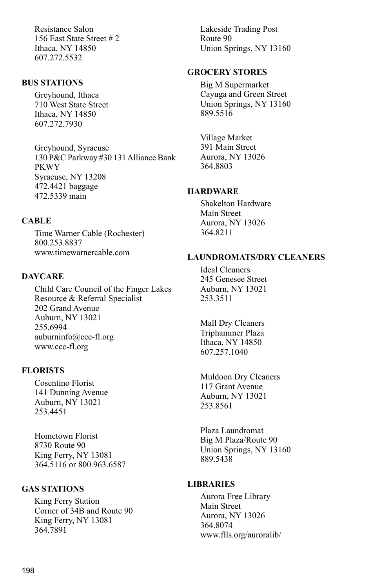Resistance Salon 156 East State Street # 2 Ithaca, NY 14850 607.272.5532

#### **BUS STATIONS**

Greyhound, Ithaca 710 West State Street Ithaca, NY 14850 607.272.7930

Greyhound, Syracuse 130 P&C Parkway #30 131 Alliance Bank PKWY Syracuse, NY 13208 472.4421 baggage 472.5339 main

#### **CABLE**

Time Warner Cable (Rochester) 800.253.8837 www.timewarnercable.com

#### **DAYCARE**

Child Care Council of the Finger Lakes Resource & Referral Specialist 202 Grand Avenue Auburn, NY 13021 255.6994 auburninfo@ccc-fl.org www.ccc-fl.org

#### **FLORISTS**

Cosentino Florist 141 Dunning Avenue Auburn, NY 13021 253.4451

Hometown Florist 8730 Route 90 King Ferry, NY 13081 364.5116 or 800.963.6587

#### **GAS STATIONS**

King Ferry Station Corner of 34B and Route 90 King Ferry, NY 13081 364.7891

Lakeside Trading Post Route 90 Union Springs, NY 13160

#### **GROCERY STORES**

Big M Supermarket Cayuga and Green Street Union Springs, NY 13160 889.5516

Village Market 391 Main Street Aurora, NY 13026 364.8803

#### **HARDWARE**

Shakelton Hardware Main Street Aurora, NY 13026 364.8211

#### **LAUNDROMATS/DRY CLEANERS**

Ideal Cleaners 245 Genesee Street Auburn, NY 13021 253.3511

Mall Dry Cleaners Triphammer Plaza Ithaca, NY 14850 607.257.1040

Muldoon Dry Cleaners 117 Grant Avenue Auburn, NY 13021 253.8561

Plaza Laundromat Big M Plaza/Route 90 Union Springs, NY 13160 889.5438

#### **LIBRARIES**

Aurora Free Library Main Street Aurora, NY 13026 364.8074 www.flls.org/auroralib/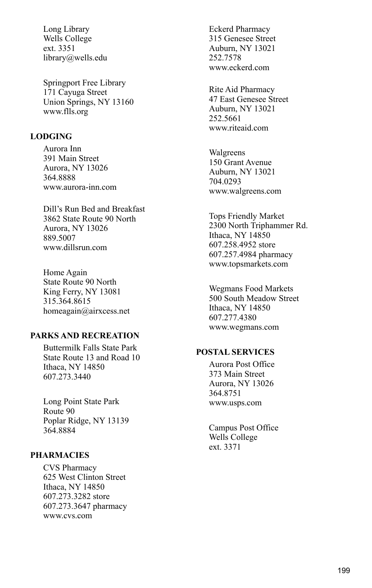Long Library Wells College ext. 3351 library@wells.edu

Springport Free Library 171 Cayuga Street Union Springs, NY 13160 www.flls.org

#### **LODGING**

Aurora Inn 391 Main Street Aurora, NY 13026 364.8888 www.aurora-inn.com

Dill's Run Bed and Breakfast 3862 State Route 90 North Aurora, NY 13026 889.5007 www.dillsrun.com

Home Again State Route 90 North King Ferry, NY 13081 315.364.8615 homeagain@airxcess.net

#### **PARKS AND RECREATION**

Buttermilk Falls State Park State Route 13 and Road 10 Ithaca, NY 14850 607.273.3440

Long Point State Park Route 90 Poplar Ridge, NY 13139 364.8884

#### **PHARMACIES**

CVS Pharmacy 625 West Clinton Street Ithaca, NY 14850 607.273.3282 store 607.273.3647 pharmacy www.cvs.com

Eckerd Pharmacy 315 Genesee Street Auburn, NY 13021 252.7578 www.eckerd.com

Rite Aid Pharmacy 47 East Genesee Street Auburn, NY 13021 252.5661 www.riteaid.com

Walgreens 150 Grant Avenue Auburn, NY 13021 704.0293 www.walgreens.com

Tops Friendly Market 2300 North Triphammer Rd. Ithaca, NY 14850 607.258.4952 store 607.257.4984 pharmacy www.topsmarkets.com

Wegmans Food Markets 500 South Meadow Street Ithaca, NY 14850 607.277.4380 www.wegmans.com

#### **POSTAL SERVICES**

Aurora Post Office 373 Main Street Aurora, NY 13026 364.8751 www.usps.com

Campus Post Office Wells College ext. 3371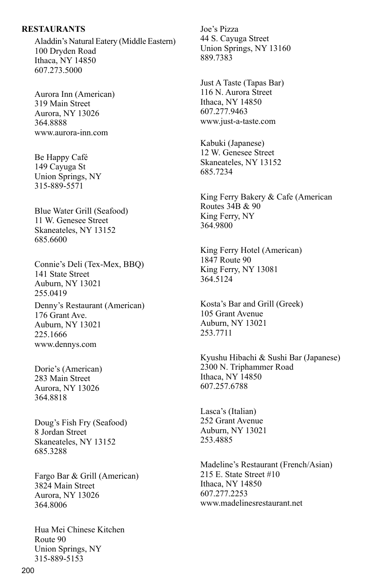#### **RESTAURANTS**

Aladdin's Natural Eatery (Middle Eastern) 100 Dryden Road Ithaca, NY 14850 607.273.5000

Aurora Inn (American) 319 Main Street Aurora, NY 13026 364.8888 www.aurora-inn.com

Be Happy Café 149 Cayuga St Union Springs, NY 315-889-5571

Blue Water Grill (Seafood) 11 W. Genesee Street Skaneateles, NY 13152 685.6600

Connie's Deli (Tex-Mex, BBQ) 141 State Street Auburn, NY 13021 255.0419 Denny's Restaurant (American) 176 Grant Ave. Auburn, NY 13021 225.1666

Dorie's (American) 283 Main Street Aurora, NY 13026 364.8818

www.dennys.com

Doug's Fish Fry (Seafood) 8 Jordan Street Skaneateles, NY 13152 685.3288

Fargo Bar & Grill (American) 3824 Main Street Aurora, NY 13026 364.8006

Hua Mei Chinese Kitchen Route 90 Union Springs, NY 315-889-5153

Joe's Pizza 44 S. Cayuga Street Union Springs, NY 13160 889.7383

Just A Taste (Tapas Bar) 116 N. Aurora Street Ithaca, NY 14850 607.277.9463 www.just-a-taste.com

Kabuki (Japanese) 12 W. Genesee Street Skaneateles, NY 13152 685.7234

King Ferry Bakery & Cafe (American Routes  $34B & 90$ King Ferry, NY 364.9800

King Ferry Hotel (American) 1847 Route 90 King Ferry, NY 13081 364.5124

Kosta's Bar and Grill (Greek) 105 Grant Avenue Auburn, NY 13021 253.7711

Kyushu Hibachi & Sushi Bar (Japanese) 2300 N. Triphammer Road Ithaca, NY 14850 607.257.6788

Lasca's (Italian) 252 Grant Avenue Auburn, NY 13021 253.4885

Madeline's Restaurant (French/Asian) 215 E. State Street #10 Ithaca, NY 14850 607.277.2253 www.madelinesrestaurant.net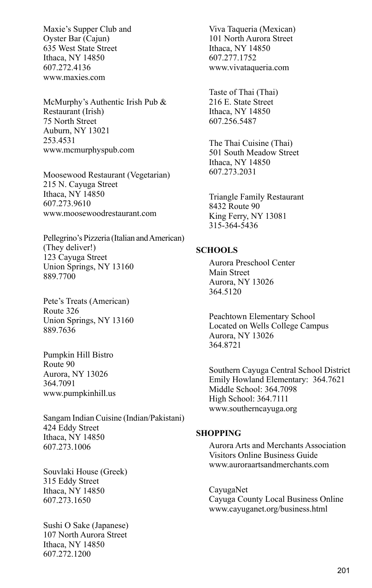Maxie's Supper Club and Oyster Bar (Cajun) 635 West State Street Ithaca, NY 14850 607.272.4136 www.maxies.com

McMurphy's Authentic Irish Pub & Restaurant (Irish) 75 North Street Auburn, NY 13021 253.4531 www.mcmurphyspub.com

Moosewood Restaurant (Vegetarian) 215 N. Cayuga Street Ithaca, NY 14850 607.273.9610 www.moosewoodrestaurant.com

Pellegrino's Pizzeria (Italian and American) (They deliver!) 123 Cayuga Street Union Springs, NY 13160 889.7700

Pete's Treats (American) Route 326 Union Springs, NY 13160 889.7636

Pumpkin Hill Bistro Route 90 Aurora, NY 13026 364.7091 www.pumpkinhill.us

Sangam Indian Cuisine (Indian/Pakistani) 424 Eddy Street Ithaca, NY 14850 607.273.1006

Souvlaki House (Greek) 315 Eddy Street Ithaca, NY 14850 607.273.1650

Sushi O Sake (Japanese) 107 North Aurora Street Ithaca, NY 14850 607.272.1200

Viva Taqueria (Mexican) 101 North Aurora Street Ithaca, NY 14850 607.277.1752 www.vivataqueria.com

Taste of Thai (Thai) 216 E. State Street Ithaca, NY 14850 607.256.5487

The Thai Cuisine (Thai) 501 South Meadow Street Ithaca, NY 14850 607.273.2031

Triangle Family Restaurant 8432 Route 90 King Ferry, NY 13081 315-364-5436

#### **SCHOOLS**

Aurora Preschool Center Main Street Aurora, NY 13026 364.5120

Peachtown Elementary School Located on Wells College Campus Aurora, NY 13026 364.8721

Southern Cayuga Central School District Emily Howland Elementary: 364.7621 Middle School: 364.7098 High School: 364.7111 www.southerncayuga.org

#### **SHOPPING**

Aurora Arts and Merchants Association Visitors Online Business Guide www.auroraartsandmerchants.com

CayugaNet Cayuga County Local Business Online www.cayuganet.org/business.html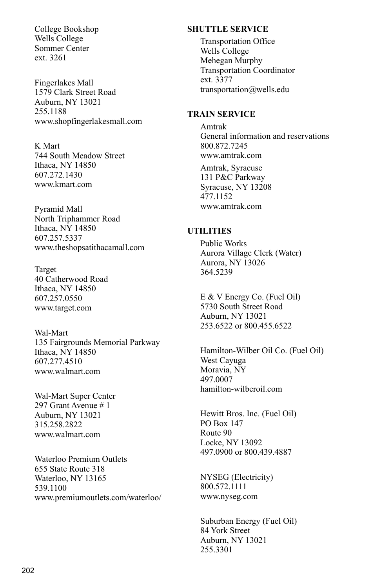College Bookshop Wells College Sommer Center ext. 3261

Fingerlakes Mall 1579 Clark Street Road Auburn, NY 13021 255.1188 www.shopfingerlakesmall.com

K Mart 744 South Meadow Street Ithaca, NY 14850 607.272.1430 www.kmart.com

Pyramid Mall North Triphammer Road Ithaca, NY 14850 607.257.5337 www.theshopsatithacamall.com

Target 40 Catherwood Road Ithaca, NY 14850 607.257.0550 www.target.com

Wal-Mart 135 Fairgrounds Memorial Parkway Ithaca, NY 14850 607.277.4510 www.walmart.com

Wal-Mart Super Center 297 Grant Avenue # 1 Auburn, NY 13021 315.258.2822 www.walmart.com

Waterloo Premium Outlets 655 State Route 318 Waterloo, NY 13165 539.1100 www.premiumoutlets.com/waterloo/

#### **SHUTTLE SERVICE**

Transportation Office Wells College Mehegan Murphy Transportation Coordinator ext. 3377 transportation@wells.edu

#### **TRAIN SERVICE**

Amtrak General information and reservations 800.872.7245 www.amtrak.com

Amtrak, Syracuse 131 P&C Parkway Syracuse, NY 13208 477.1152 www.amtrak.com

#### **UTILITIES**

Public Works Aurora Village Clerk (Water) Aurora, NY 13026 364.5239

E & V Energy Co. (Fuel Oil) 5730 South Street Road Auburn, NY 13021 253.6522 or 800.455.6522

Hamilton-Wilber Oil Co. (Fuel Oil) West Cayuga Moravia, NY 497.0007 hamilton-wilberoil.com

Hewitt Bros. Inc. (Fuel Oil) PO Box 147 Route 90 Locke, NY 13092 497.0900 or 800.439.4887

NYSEG (Electricity) 800.572.1111 www.nyseg.com

Suburban Energy (Fuel Oil) 84 York Street Auburn, NY 13021 255.3301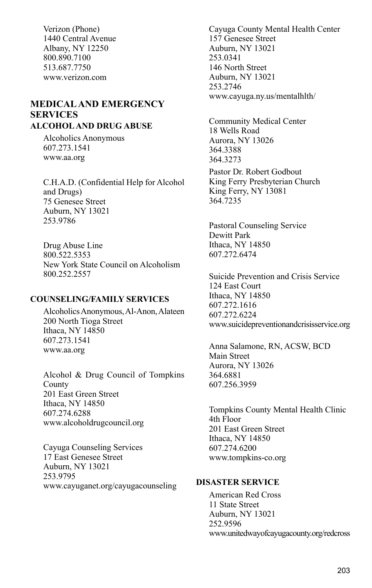Verizon (Phone) 1440 Central Avenue Albany, NY 12250 800.890.7100 513.687.7750 www.verizon.com

### **Medicaland Emergency Services**

#### **ALCOHOL AND DRUG ABUSE**

Alcoholics Anonymous 607.273.1541 www.aa.org

C.H.A.D. (Confidential Help for Alcohol and Drugs) 75 Genesee Street Auburn, NY 13021 253.9786

Drug Abuse Line 800.522.5353 New York State Council on Alcoholism 800.252.2557

#### **COUNSELING/FAMILY SERVICES**

Alcoholics Anonymous, Al-Anon, Alateen 200 North Tioga Street Ithaca, NY 14850 607.273.1541 www.aa.org

Alcohol & Drug Council of Tompkins County 201 East Green Street Ithaca, NY 14850 607.274.6288 www.alcoholdrugcouncil.org

Cayuga Counseling Services 17 East Genesee Street Auburn, NY 13021 253.9795 www.cayuganet.org/cayugacounseling

Cayuga County Mental Health Center 157 Genesee Street Auburn, NY 13021 253.0341 146 North Street Auburn, NY 13021 253.2746 www.cayuga.ny.us/mentalhlth/

Community Medical Center 18 Wells Road Aurora, NY 13026 364.3388 364.3273

Pastor Dr. Robert Godbout King Ferry Presbyterian Church King Ferry, NY 13081 364.7235

Pastoral Counseling Service Dewitt Park Ithaca, NY 14850 607.272.6474

Suicide Prevention and Crisis Service 124 East Court Ithaca, NY 14850 607.272.1616 607.272.6224 www.suicidepreventionandcrisisservice.org

Anna Salamone, RN, ACSW, BCD Main Street Aurora, NY 13026 364.6881 607.256.3959

Tompkins County Mental Health Clinic 4th Floor 201 East Green Street Ithaca, NY 14850 607.274.6200 www.tompkins-co.org

#### **DISASTER SERVICE**

American Red Cross 11 State Street Auburn, NY 13021 252.9596 www.unitedwayofcayugacounty.org/redcross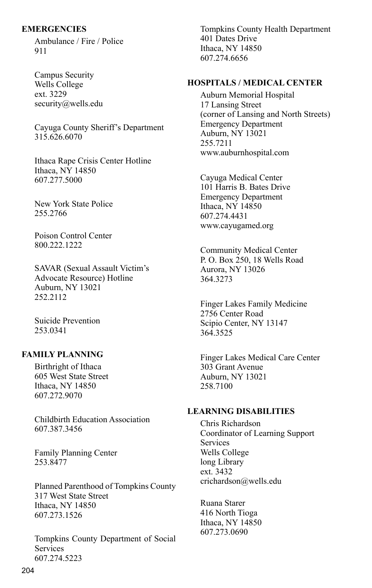#### **EMERGENCIES**

Ambulance / Fire / Police 911

Campus Security Wells College ext. 3229 security@wells.edu

Cayuga County Sheriff's Department 315.626.6070

Ithaca Rape Crisis Center Hotline Ithaca, NY 14850 607.277.5000

New York State Police 255.2766

Poison Control Center 800.222.1222

SAVAR (Sexual Assault Victim's Advocate Resource) Hotline Auburn, NY 13021 252.2112

Suicide Prevention 253.0341

#### **FAMILY PLANNING**

Birthright of Ithaca 605 West State Street Ithaca, NY 14850 607.272.9070

Childbirth Education Association 607.387.3456

Family Planning Center 253.8477

Planned Parenthood of Tompkins County 317 West State Street Ithaca, NY 14850 607.273.1526

Tompkins County Department of Social Services 607.274.5223

Tompkins County Health Department 401 Dates Drive Ithaca, NY 14850 607.274.6656

#### **HOSPITALS / MEDICAL CENTER**

Auburn Memorial Hospital 17 Lansing Street (corner of Lansing and North Streets) Emergency Department Auburn, NY 13021 255.7211 www.auburnhospital.com

Cayuga Medical Center 101 Harris B. Bates Drive Emergency Department Ithaca, NY 14850 607.274.4431 www.cayugamed.org

Community Medical Center P. O. Box 250, 18 Wells Road Aurora, NY 13026 364.3273

Finger Lakes Family Medicine 2756 Center Road Scipio Center, NY 13147 364.3525

Finger Lakes Medical Care Center 303 Grant Avenue Auburn, NY 13021 258.7100

#### **LEARNING DISABILITIES**

Chris Richardson Coordinator of Learning Support **Services** Wells College long Library ext. 3432 crichardson@wells.edu

Ruana Starer 416 North Tioga Ithaca, NY 14850 607.273.0690